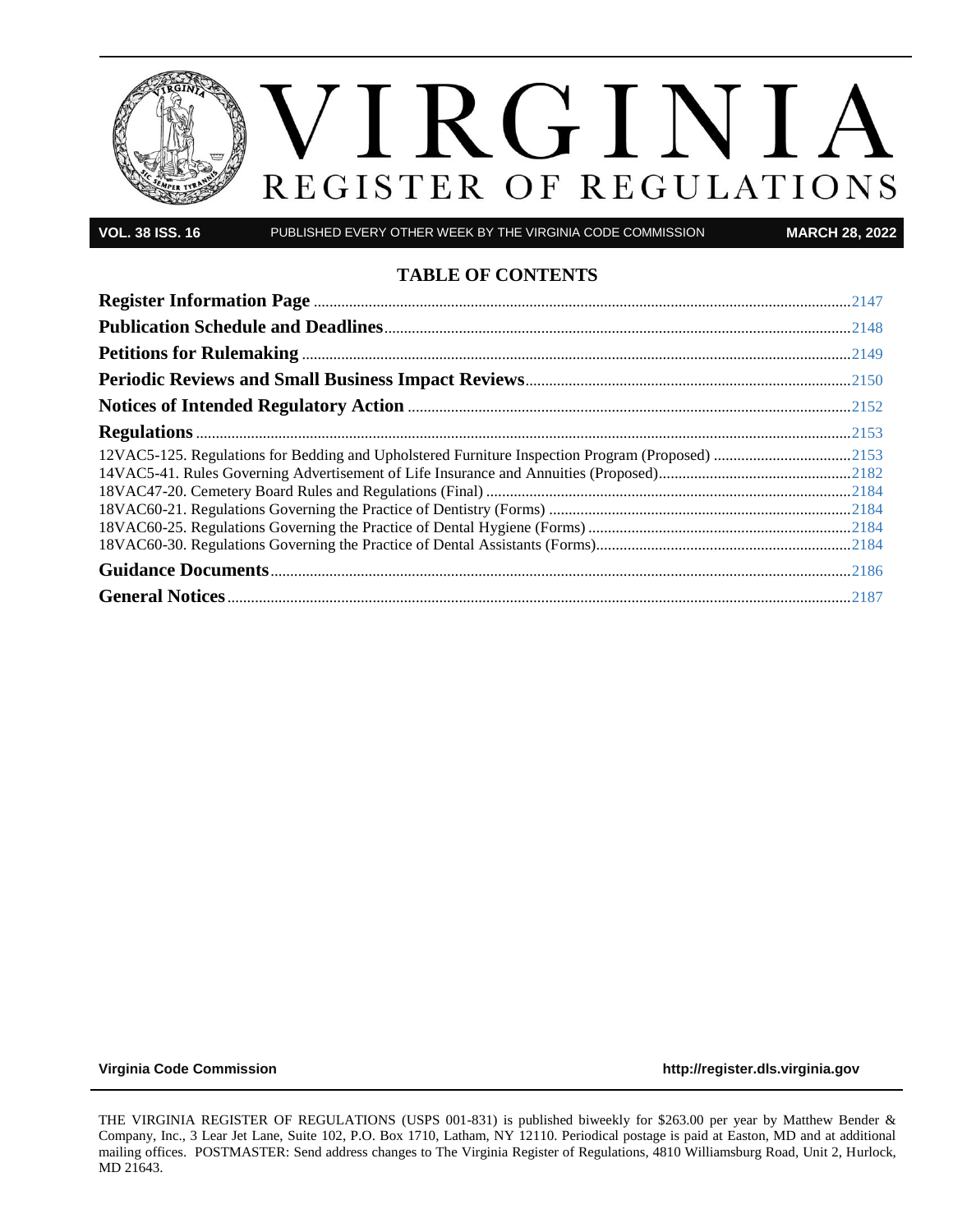

**VOL. 38 ISS. 16** PUBLISHED EVERY OTHER WEEK BY THE VIRGINIA CODE COMMISSION **MARCH 28, 2022**

#### **TABLE OF CONTENTS**

| 12VAC5-125. Regulations for Bedding and Upholstered Furniture Inspection Program (Proposed) 2153 |  |
|--------------------------------------------------------------------------------------------------|--|
|                                                                                                  |  |
|                                                                                                  |  |
|                                                                                                  |  |
|                                                                                                  |  |
|                                                                                                  |  |
|                                                                                                  |  |
|                                                                                                  |  |

**[Virginia Code Commission](http://register.dls.virginia.gov/) [http://register.dls.virginia.gov](http://register.dls.virginia.gov/)**

THE VIRGINIA REGISTER OF REGULATIONS (USPS 001-831) is published biweekly for \$263.00 per year by Matthew Bender & Company, Inc., 3 Lear Jet Lane, Suite 102, P.O. Box 1710, Latham, NY 12110. Periodical postage is paid at Easton, MD and at additional mailing offices. POSTMASTER: Send address changes to The Virginia Register of Regulations, 4810 Williamsburg Road, Unit 2, Hurlock, MD 21643.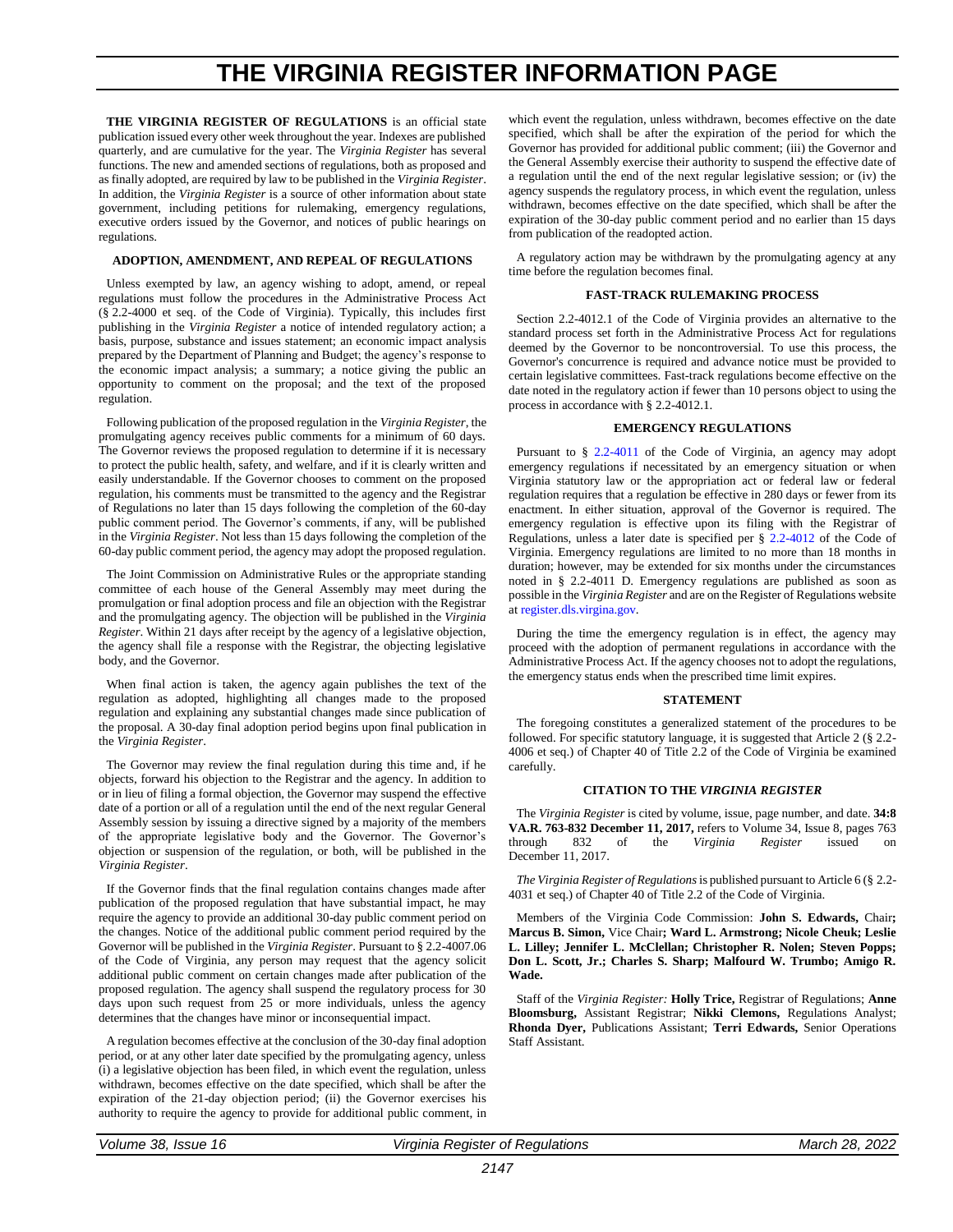## **THE VIRGINIA REGISTER INFORMATION PAGE**

<span id="page-1-0"></span>THE VIRGINIA REGISTER OF REGULATIONS is an official state publication issued every other week throughout the year. Indexes are published quarterly, and are cumulative for the year. The *Virginia Register* has several functions. The new and amended sections of regulations, both as proposed and as finally adopted, are required by law to be published in the *Virginia Register*. In addition, the *Virginia Register* is a source of other information about state government, including petitions for rulemaking, emergency regulations, executive orders issued by the Governor, and notices of public hearings on regulations.

#### **ADOPTION, AMENDMENT, AND REPEAL OF REGULATIONS**

Unless exempted by law, an agency wishing to adopt, amend, or repeal regulations must follow the procedures in the Administrative Process Act (§ 2.2-4000 et seq. of the Code of Virginia). Typically, this includes first publishing in the *Virginia Register* a notice of intended regulatory action; a basis, purpose, substance and issues statement; an economic impact analysis prepared by the Department of Planning and Budget; the agency's response to the economic impact analysis; a summary; a notice giving the public an opportunity to comment on the proposal; and the text of the proposed regulation.

Following publication of the proposed regulation in the *Virginia Register*, the promulgating agency receives public comments for a minimum of 60 days. The Governor reviews the proposed regulation to determine if it is necessary to protect the public health, safety, and welfare, and if it is clearly written and easily understandable. If the Governor chooses to comment on the proposed regulation, his comments must be transmitted to the agency and the Registrar of Regulations no later than 15 days following the completion of the 60-day public comment period. The Governor's comments, if any, will be published in the *Virginia Register*. Not less than 15 days following the completion of the 60-day public comment period, the agency may adopt the proposed regulation.

The Joint Commission on Administrative Rules or the appropriate standing committee of each house of the General Assembly may meet during the promulgation or final adoption process and file an objection with the Registrar and the promulgating agency. The objection will be published in the *Virginia Register*. Within 21 days after receipt by the agency of a legislative objection, the agency shall file a response with the Registrar, the objecting legislative body, and the Governor.

When final action is taken, the agency again publishes the text of the regulation as adopted, highlighting all changes made to the proposed regulation and explaining any substantial changes made since publication of the proposal. A 30-day final adoption period begins upon final publication in the *Virginia Register*.

The Governor may review the final regulation during this time and, if he objects, forward his objection to the Registrar and the agency. In addition to or in lieu of filing a formal objection, the Governor may suspend the effective date of a portion or all of a regulation until the end of the next regular General Assembly session by issuing a directive signed by a majority of the members of the appropriate legislative body and the Governor. The Governor's objection or suspension of the regulation, or both, will be published in the *Virginia Register*.

If the Governor finds that the final regulation contains changes made after publication of the proposed regulation that have substantial impact, he may require the agency to provide an additional 30-day public comment period on the changes. Notice of the additional public comment period required by the Governor will be published in the *Virginia Register*. Pursuant to § 2.2-4007.06 of the Code of Virginia, any person may request that the agency solicit additional public comment on certain changes made after publication of the proposed regulation. The agency shall suspend the regulatory process for 30 days upon such request from 25 or more individuals, unless the agency determines that the changes have minor or inconsequential impact.

A regulation becomes effective at the conclusion of the 30-day final adoption period, or at any other later date specified by the promulgating agency, unless (i) a legislative objection has been filed, in which event the regulation, unless withdrawn, becomes effective on the date specified, which shall be after the expiration of the 21-day objection period; (ii) the Governor exercises his authority to require the agency to provide for additional public comment, in which event the regulation, unless withdrawn, becomes effective on the date specified, which shall be after the expiration of the period for which the Governor has provided for additional public comment; (iii) the Governor and the General Assembly exercise their authority to suspend the effective date of a regulation until the end of the next regular legislative session; or (iv) the agency suspends the regulatory process, in which event the regulation, unless withdrawn, becomes effective on the date specified, which shall be after the expiration of the 30-day public comment period and no earlier than 15 days from publication of the readopted action.

A regulatory action may be withdrawn by the promulgating agency at any time before the regulation becomes final.

#### **FAST-TRACK RULEMAKING PROCESS**

Section 2.2-4012.1 of the Code of Virginia provides an alternative to the standard process set forth in the Administrative Process Act for regulations deemed by the Governor to be noncontroversial. To use this process, the Governor's concurrence is required and advance notice must be provided to certain legislative committees. Fast-track regulations become effective on the date noted in the regulatory action if fewer than 10 persons object to using the process in accordance with § 2.2-4012.1.

#### **EMERGENCY REGULATIONS**

Pursuant to § [2.2-4011](https://law.lis.virginia.gov/vacode/2.2-4011/) of the Code of Virginia, an agency may adopt emergency regulations if necessitated by an emergency situation or when Virginia statutory law or the appropriation act or federal law or federal regulation requires that a regulation be effective in 280 days or fewer from its enactment. In either situation, approval of the Governor is required. The emergency regulation is effective upon its filing with the Registrar of Regulations, unless a later date is specified per § [2.2-4012](https://law.lis.virginia.gov/vacode/2.2-4011/) of the Code of Virginia. Emergency regulations are limited to no more than 18 months in duration; however, may be extended for six months under the circumstances noted in § 2.2-4011 D. Emergency regulations are published as soon as possible in the *Virginia Register* and are on the Register of Regulations website a[t register.dls.virgina.gov.](http://register.dls.virgina.gov/)

During the time the emergency regulation is in effect, the agency may proceed with the adoption of permanent regulations in accordance with the Administrative Process Act. If the agency chooses not to adopt the regulations, the emergency status ends when the prescribed time limit expires.

#### **STATEMENT**

The foregoing constitutes a generalized statement of the procedures to be followed. For specific statutory language, it is suggested that Article 2 (§ 2.2- 4006 et seq.) of Chapter 40 of Title 2.2 of the Code of Virginia be examined carefully.

#### **CITATION TO THE** *VIRGINIA REGISTER*

The *Virginia Register* is cited by volume, issue, page number, and date. **34:8 VA.R. 763-832 December 11, 2017,** refers to Volume 34, Issue 8, pages 763 through 832 of the *Virginia Register* issued on December 11, 2017.

*The Virginia Register of Regulations*is published pursuant to Article 6 (§ 2.2- 4031 et seq.) of Chapter 40 of Title 2.2 of the Code of Virginia.

Members of the Virginia Code Commission: **John S. Edwards,** Chair**; Marcus B. Simon,** Vice Chair**; Ward L. Armstrong; Nicole Cheuk; Leslie L. Lilley; Jennifer L. McClellan; Christopher R. Nolen; Steven Popps; Don L. Scott, Jr.; Charles S. Sharp; Malfourd W. Trumbo; Amigo R. Wade.**

Staff of the *Virginia Register:* **Holly Trice,** Registrar of Regulations; **Anne Bloomsburg,** Assistant Registrar; **Nikki Clemons,** Regulations Analyst; **Rhonda Dyer,** Publications Assistant; **Terri Edwards,** Senior Operations Staff Assistant.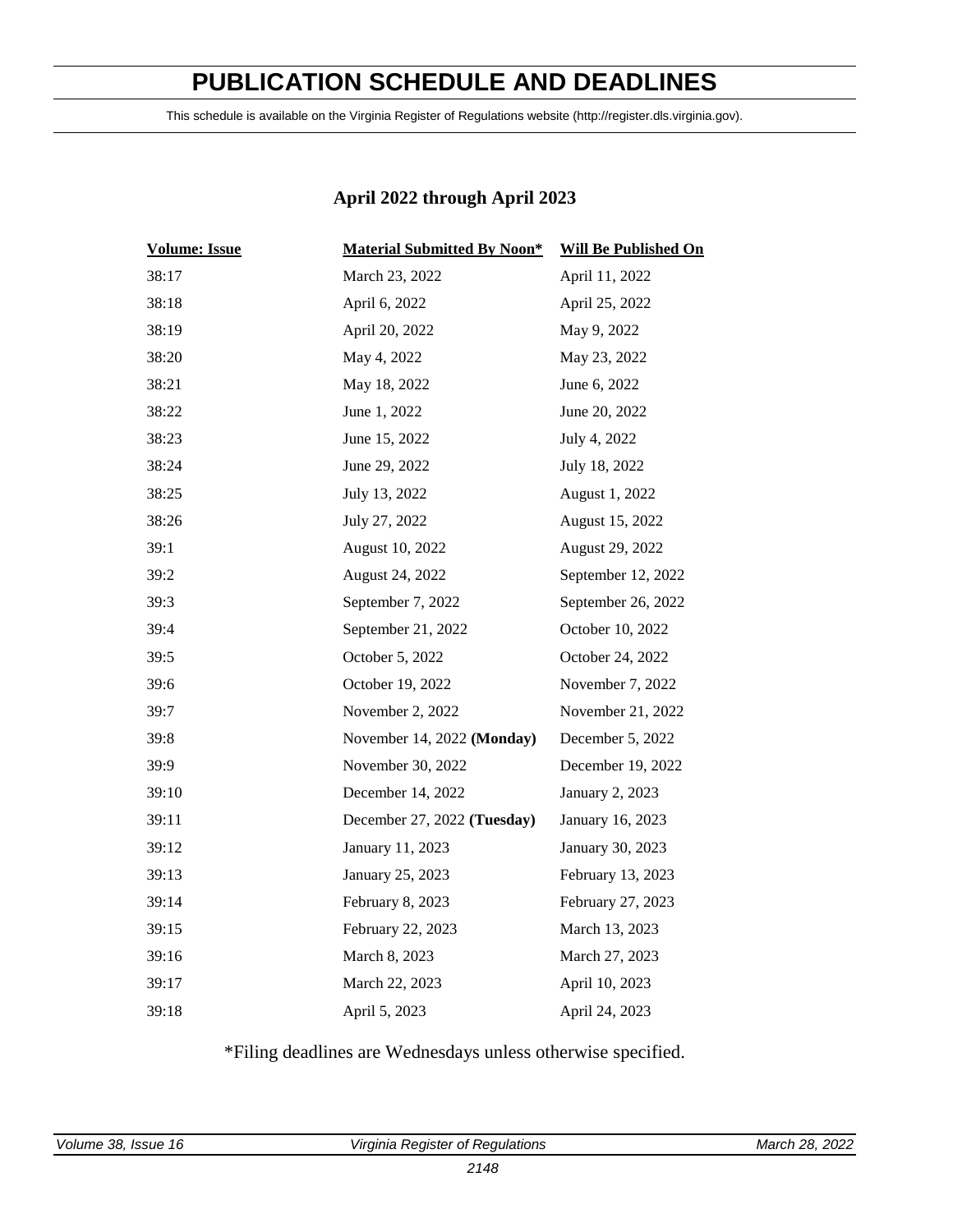## **PUBLICATION SCHEDULE AND DEADLINES**

<span id="page-2-0"></span>This schedule is available on the Virginia Register of Regulations website (http://register.dls.virginia.gov).

#### **April 2022 through April 2023**

| <b>Volume: Issue</b> | <b>Material Submitted By Noon*</b> | <b>Will Be Published On</b> |
|----------------------|------------------------------------|-----------------------------|
| 38:17                | March 23, 2022                     | April 11, 2022              |
| 38:18                | April 6, 2022                      | April 25, 2022              |
| 38:19                | April 20, 2022                     | May 9, 2022                 |
| 38:20                | May 4, 2022                        | May 23, 2022                |
| 38:21                | May 18, 2022                       | June 6, 2022                |
| 38:22                | June 1, 2022                       | June 20, 2022               |
| 38:23                | June 15, 2022                      | July 4, 2022                |
| 38:24                | June 29, 2022                      | July 18, 2022               |
| 38:25                | July 13, 2022                      | August 1, 2022              |
| 38:26                | July 27, 2022                      | August 15, 2022             |
| 39:1                 | August 10, 2022                    | August 29, 2022             |
| 39:2                 | August 24, 2022                    | September 12, 2022          |
| 39:3                 | September 7, 2022                  | September 26, 2022          |
| 39:4                 | September 21, 2022                 | October 10, 2022            |
| 39:5                 | October 5, 2022                    | October 24, 2022            |
| 39:6                 | October 19, 2022                   | November 7, 2022            |
| 39:7                 | November 2, 2022                   | November 21, 2022           |
| 39:8                 | November 14, 2022 (Monday)         | December 5, 2022            |
| 39:9                 | November 30, 2022                  | December 19, 2022           |
| 39:10                | December 14, 2022                  | January 2, 2023             |
| 39:11                | December 27, 2022 (Tuesday)        | January 16, 2023            |
| 39:12                | January 11, 2023                   | January 30, 2023            |
| 39:13                | January 25, 2023                   | February 13, 2023           |
| 39:14                | February 8, 2023                   | February 27, 2023           |
| 39:15                | February 22, 2023                  | March 13, 2023              |
| 39:16                | March 8, 2023                      | March 27, 2023              |
| 39:17                | March 22, 2023                     | April 10, 2023              |
| 39:18                | April 5, 2023                      | April 24, 2023              |

\*Filing deadlines are Wednesdays unless otherwise specified.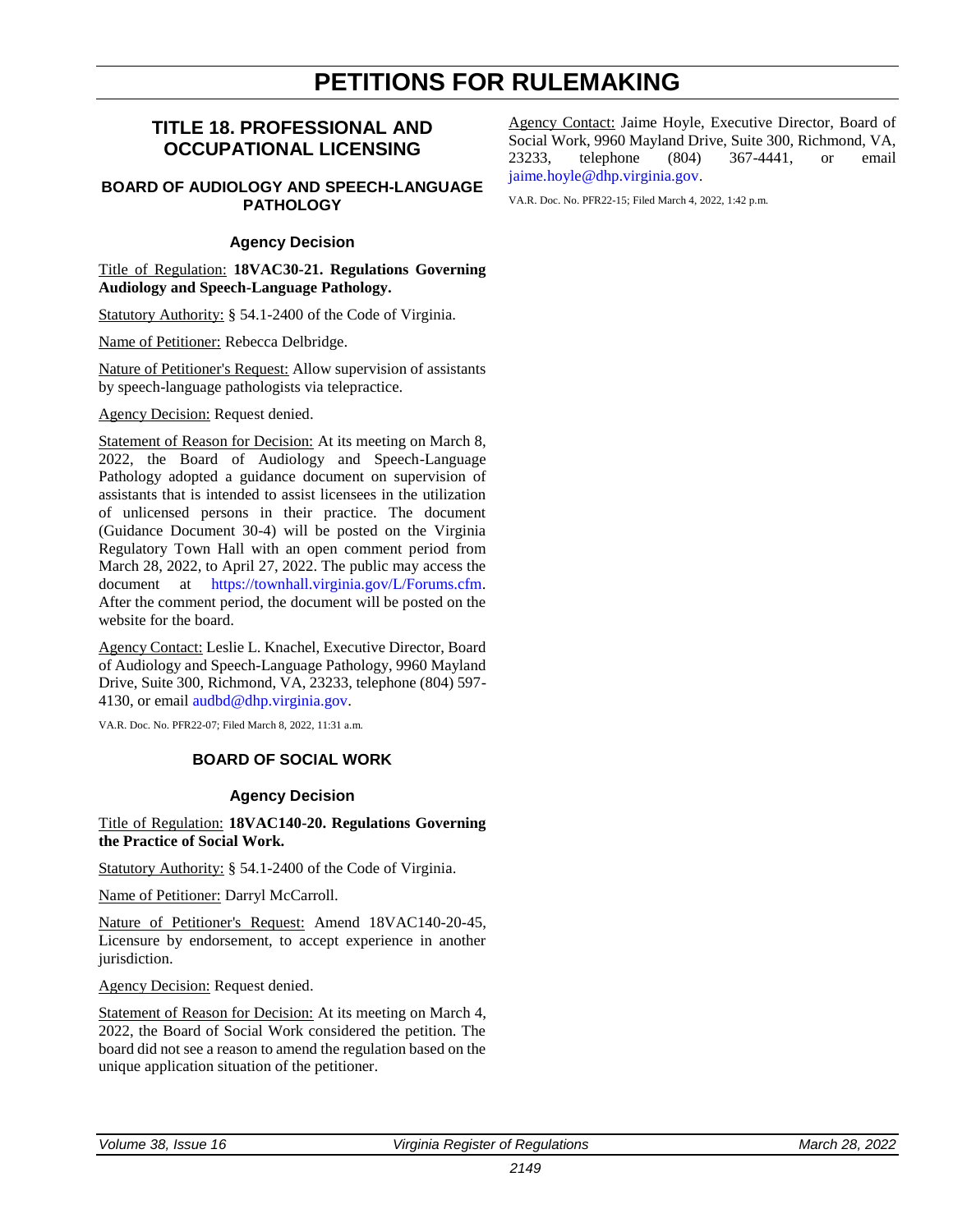## **PETITIONS FOR RULEMAKING**

#### <span id="page-3-0"></span>**TITLE 18. PROFESSIONAL AND OCCUPATIONAL LICENSING**

#### **BOARD OF AUDIOLOGY AND SPEECH-LANGUAGE PATHOLOGY**

#### **Agency Decision**

Title of Regulation: **18VAC30-21. Regulations Governing Audiology and Speech-Language Pathology.**

Statutory Authority: § 54.1-2400 of the Code of Virginia.

Name of Petitioner: Rebecca Delbridge.

Nature of Petitioner's Request: Allow supervision of assistants by speech-language pathologists via telepractice.

Agency Decision: Request denied.

Statement of Reason for Decision: At its meeting on March 8, 2022, the Board of Audiology and Speech-Language Pathology adopted a guidance document on supervision of assistants that is intended to assist licensees in the utilization of unlicensed persons in their practice. The document (Guidance Document 30-4) will be posted on the Virginia Regulatory Town Hall with an open comment period from March 28, 2022, to April 27, 2022. The public may access the document at [https://townhall.virginia.gov/L/Forums.cfm.](https://townhall.virginia.gov/L/Forums.cfm) After the comment period, the document will be posted on the website for the board.

Agency Contact: Leslie L. Knachel, Executive Director, Board of Audiology and Speech-Language Pathology, 9960 Mayland Drive, Suite 300, Richmond, VA, 23233, telephone (804) 597 4130, or email [audbd@dhp.virginia.gov.](mailto:AudBD@dhp.virginia.gov)

VA.R. Doc. No. PFR22-07; Filed March 8, 2022, 11:31 a.m.

#### **BOARD OF SOCIAL WORK**

#### **Agency Decision**

Title of Regulation: **18VAC140-20. Regulations Governing the Practice of Social Work.**

Statutory Authority: § 54.1-2400 of the Code of Virginia.

Name of Petitioner: Darryl McCarroll.

Nature of Petitioner's Request: Amend 18VAC140-20-45, Licensure by endorsement, to accept experience in another jurisdiction.

Agency Decision: Request denied.

Statement of Reason for Decision: At its meeting on March 4, 2022, the Board of Social Work considered the petition. The board did not see a reason to amend the regulation based on the unique application situation of the petitioner.

Agency Contact: Jaime Hoyle, Executive Director, Board of Social Work, 9960 Mayland Drive, Suite 300, Richmond, VA, 23233, telephone (804) 367-4441, or email [jaime.hoyle@dhp.virginia.gov.](mailto:jaime.hoyle@dhp.virginia.gov)

VA.R. Doc. No. PFR22-15; Filed March 4, 2022, 1:42 p.m.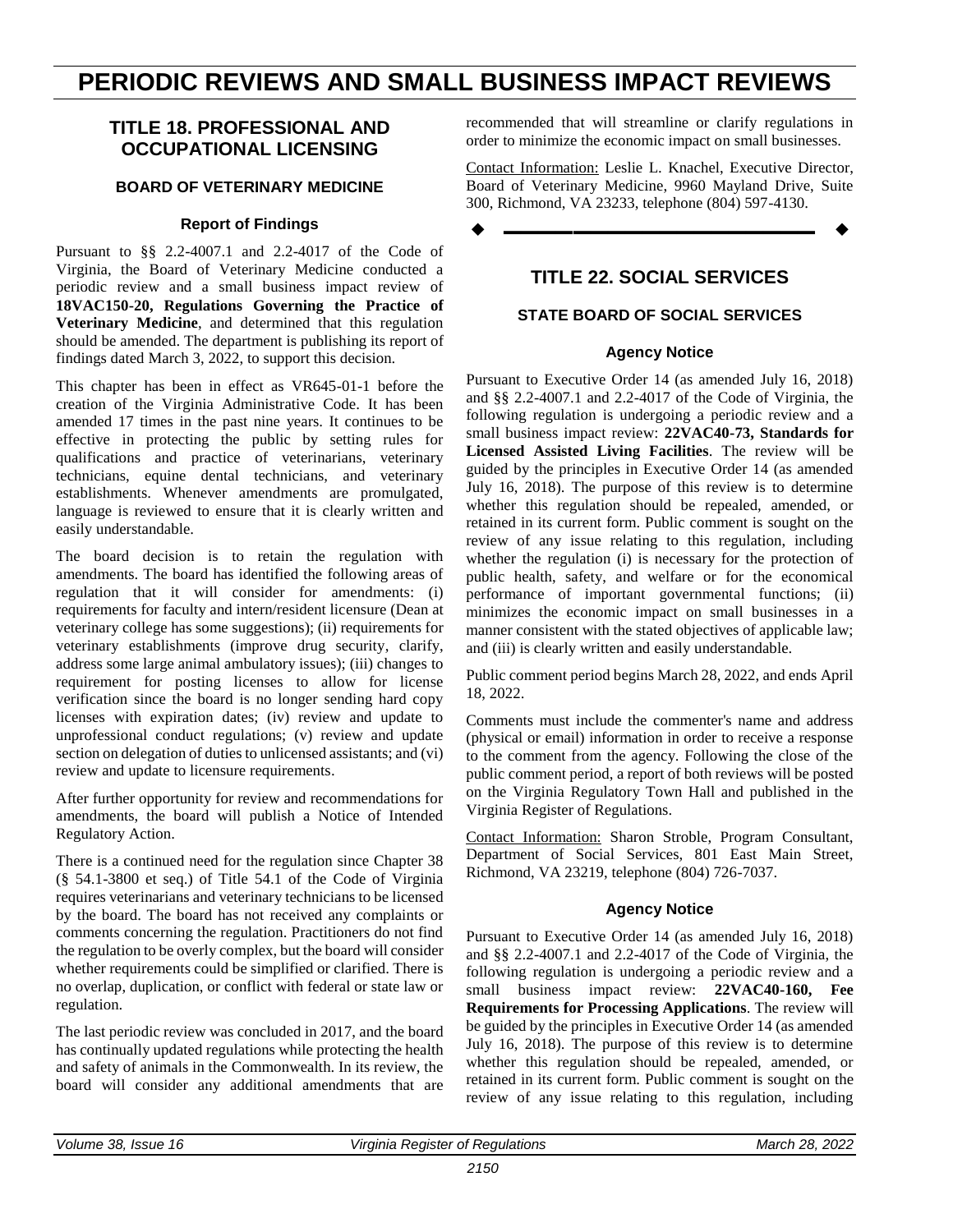## <span id="page-4-0"></span>**PERIODIC REVIEWS AND SMALL BUSINESS IMPACT REVIEWS**

#### **TITLE 18. PROFESSIONAL AND OCCUPATIONAL LICENSING**

#### **BOARD OF VETERINARY MEDICINE**

#### **Report of Findings**

Pursuant to §§ 2.2-4007.1 and 2.2-4017 of the Code of Virginia, the Board of Veterinary Medicine conducted a periodic review and a small business impact review of **18VAC150-20, Regulations Governing the Practice of Veterinary Medicine**, and determined that this regulation should be amended. The department is publishing its report of findings dated March 3, 2022, to support this decision.

This chapter has been in effect as VR645-01-1 before the creation of the Virginia Administrative Code. It has been amended 17 times in the past nine years. It continues to be effective in protecting the public by setting rules for qualifications and practice of veterinarians, veterinary technicians, equine dental technicians, and veterinary establishments. Whenever amendments are promulgated, language is reviewed to ensure that it is clearly written and easily understandable.

The board decision is to retain the regulation with amendments. The board has identified the following areas of regulation that it will consider for amendments: (i) requirements for faculty and intern/resident licensure (Dean at veterinary college has some suggestions); (ii) requirements for veterinary establishments (improve drug security, clarify, address some large animal ambulatory issues); (iii) changes to requirement for posting licenses to allow for license verification since the board is no longer sending hard copy licenses with expiration dates; (iv) review and update to unprofessional conduct regulations; (v) review and update section on delegation of duties to unlicensed assistants; and (vi) review and update to licensure requirements.

After further opportunity for review and recommendations for amendments, the board will publish a Notice of Intended Regulatory Action.

There is a continued need for the regulation since Chapter 38 (§ 54.1-3800 et seq.) of Title 54.1 of the Code of Virginia requires veterinarians and veterinary technicians to be licensed by the board. The board has not received any complaints or comments concerning the regulation. Practitioners do not find the regulation to be overly complex, but the board will consider whether requirements could be simplified or clarified. There is no overlap, duplication, or conflict with federal or state law or regulation.

The last periodic review was concluded in 2017, and the board has continually updated regulations while protecting the health and safety of animals in the Commonwealth. In its review, the board will consider any additional amendments that are recommended that will streamline or clarify regulations in order to minimize the economic impact on small businesses.

Contact Information: Leslie L. Knachel, Executive Director, Board of Veterinary Medicine, 9960 Mayland Drive, Suite 300, Richmond, VA 23233, telephone (804) 597-4130.

**––––––––––––––––––**

#### **TITLE 22. SOCIAL SERVICES**

#### **STATE BOARD OF SOCIAL SERVICES**

#### **Agency Notice**

Pursuant to Executive Order 14 (as amended July 16, 2018) and §§ 2.2-4007.1 and 2.2-4017 of the Code of Virginia, the following regulation is undergoing a periodic review and a small business impact review: **22VAC40-73, Standards for Licensed Assisted Living Facilities**. The review will be guided by the principles in Executive Order 14 (as amended July 16, 2018). The purpose of this review is to determine whether this regulation should be repealed, amended, or retained in its current form. Public comment is sought on the review of any issue relating to this regulation, including whether the regulation (i) is necessary for the protection of public health, safety, and welfare or for the economical performance of important governmental functions; (ii) minimizes the economic impact on small businesses in a manner consistent with the stated objectives of applicable law; and (iii) is clearly written and easily understandable.

Public comment period begins March 28, 2022, and ends April 18, 2022.

Comments must include the commenter's name and address (physical or email) information in order to receive a response to the comment from the agency. Following the close of the public comment period, a report of both reviews will be posted on the Virginia Regulatory Town Hall and published in the Virginia Register of Regulations.

Contact Information: Sharon Stroble, Program Consultant, Department of Social Services, 801 East Main Street, Richmond, VA 23219, telephone (804) 726-7037.

#### **Agency Notice**

Pursuant to Executive Order 14 (as amended July 16, 2018) and §§ 2.2-4007.1 and 2.2-4017 of the Code of Virginia, the following regulation is undergoing a periodic review and a small business impact review: **22VAC40-160, Fee Requirements for Processing Applications**. The review will be guided by the principles in Executive Order 14 (as amended July 16, 2018). The purpose of this review is to determine whether this regulation should be repealed, amended, or retained in its current form. Public comment is sought on the review of any issue relating to this regulation, including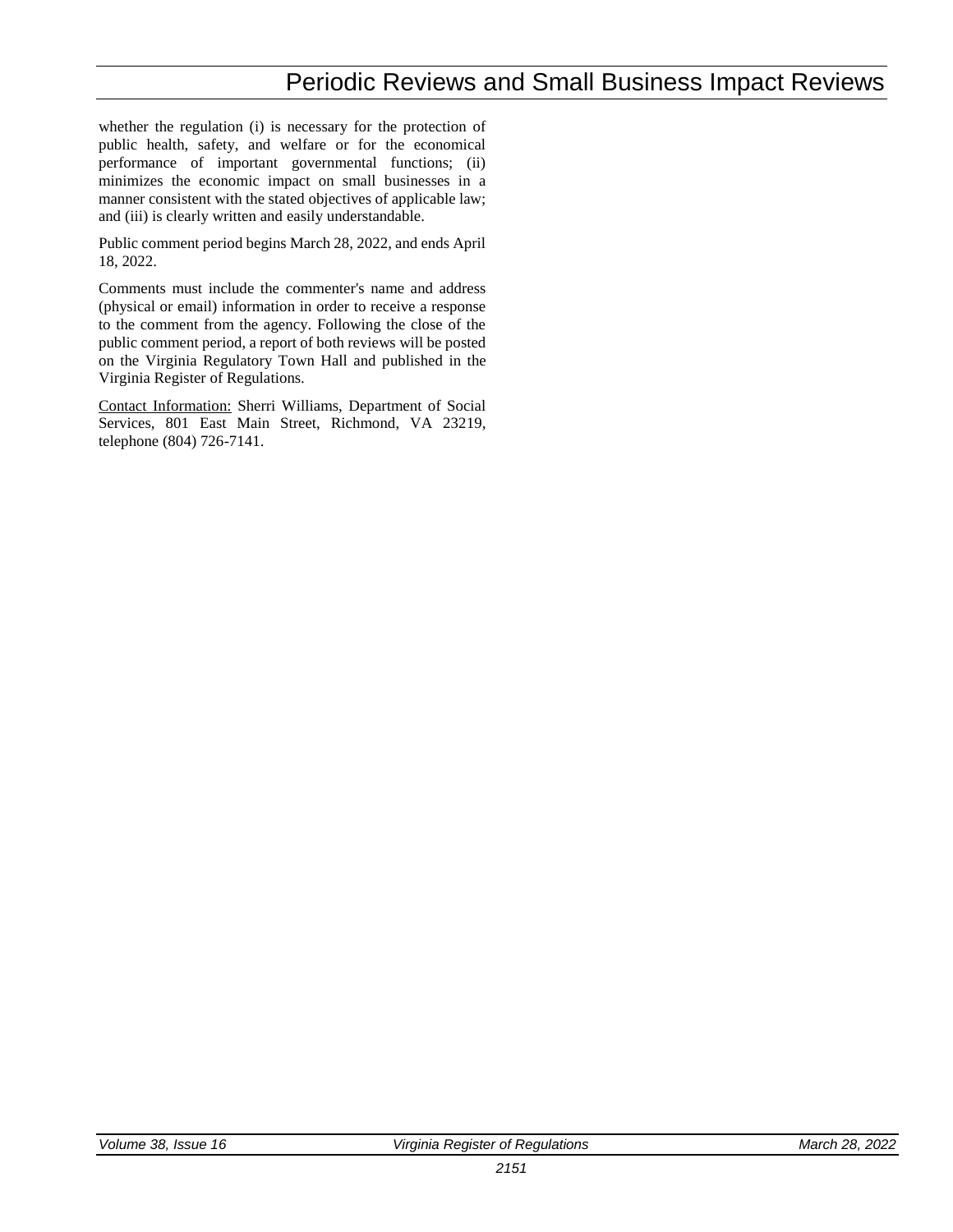## Periodic Reviews and Small Business Impact Reviews

whether the regulation (i) is necessary for the protection of public health, safety, and welfare or for the economical performance of important governmental functions; (ii) minimizes the economic impact on small businesses in a manner consistent with the stated objectives of applicable law; and (iii) is clearly written and easily understandable.

Public comment period begins March 28, 2022, and ends April 18, 2022.

Comments must include the commenter's name and address (physical or email) information in order to receive a response to the comment from the agency. Following the close of the public comment period, a report of both reviews will be posted on the Virginia Regulatory Town Hall and published in the Virginia Register of Regulations.

Contact Information: Sherri Williams, Department of Social Services, 801 East Main Street, Richmond, VA 23219, telephone (804) 726-7141.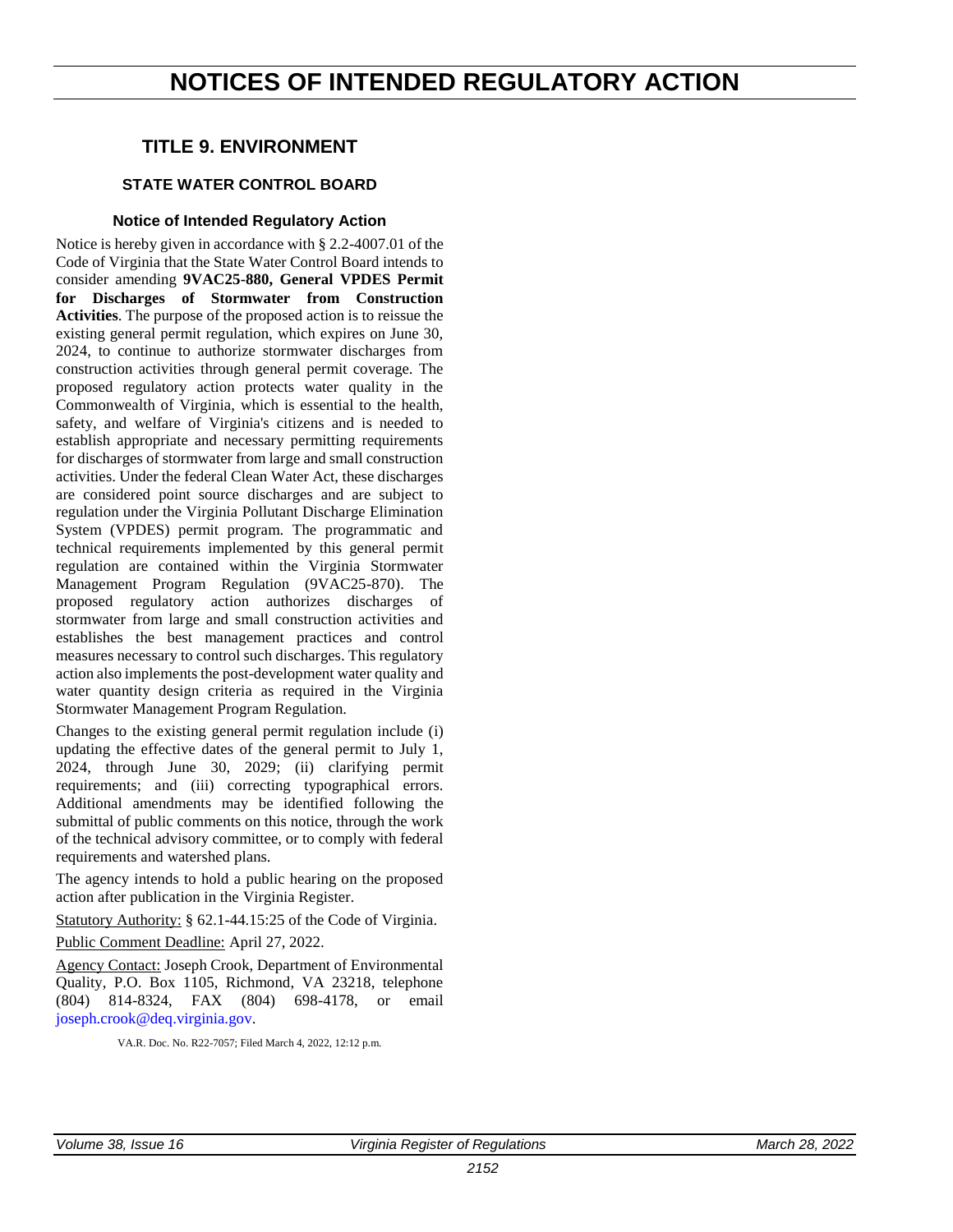## <span id="page-6-0"></span>**NOTICES OF INTENDED REGULATORY ACTION**

#### **TITLE 9. ENVIRONMENT**

#### **STATE WATER CONTROL BOARD**

#### **Notice of Intended Regulatory Action**

Notice is hereby given in accordance with § 2.2-4007.01 of the Code of Virginia that the State Water Control Board intends to consider amending **9VAC25-880, General VPDES Permit for Discharges of Stormwater from Construction Activities**. The purpose of the proposed action is to reissue the existing general permit regulation, which expires on June 30, 2024, to continue to authorize stormwater discharges from construction activities through general permit coverage. The proposed regulatory action protects water quality in the Commonwealth of Virginia, which is essential to the health, safety, and welfare of Virginia's citizens and is needed to establish appropriate and necessary permitting requirements for discharges of stormwater from large and small construction activities. Under the federal Clean Water Act, these discharges are considered point source discharges and are subject to regulation under the Virginia Pollutant Discharge Elimination System (VPDES) permit program. The programmatic and technical requirements implemented by this general permit regulation are contained within the Virginia Stormwater Management Program Regulation (9VAC25-870). The proposed regulatory action authorizes discharges of stormwater from large and small construction activities and establishes the best management practices and control measures necessary to control such discharges. This regulatory action also implements the post-development water quality and water quantity design criteria as required in the Virginia Stormwater Management Program Regulation.

Changes to the existing general permit regulation include (i) updating the effective dates of the general permit to July 1, 2024, through June 30, 2029; (ii) clarifying permit requirements; and (iii) correcting typographical errors. Additional amendments may be identified following the submittal of public comments on this notice, through the work of the technical advisory committee, or to comply with federal requirements and watershed plans.

The agency intends to hold a public hearing on the proposed action after publication in the Virginia Register.

Statutory Authority: § 62.1-44.15:25 of the Code of Virginia.

Public Comment Deadline: April 27, 2022.

Agency Contact: Joseph Crook, Department of Environmental Quality, P.O. Box 1105, Richmond, VA 23218, telephone (804) 814-8324, FAX (804) 698-4178, or email [joseph.crook@deq.virginia.gov.](mailto:joseph.crook@deq.virginia.gov)

VA.R. Doc. No. R22-7057; Filed March 4, 2022, 12:12 p.m.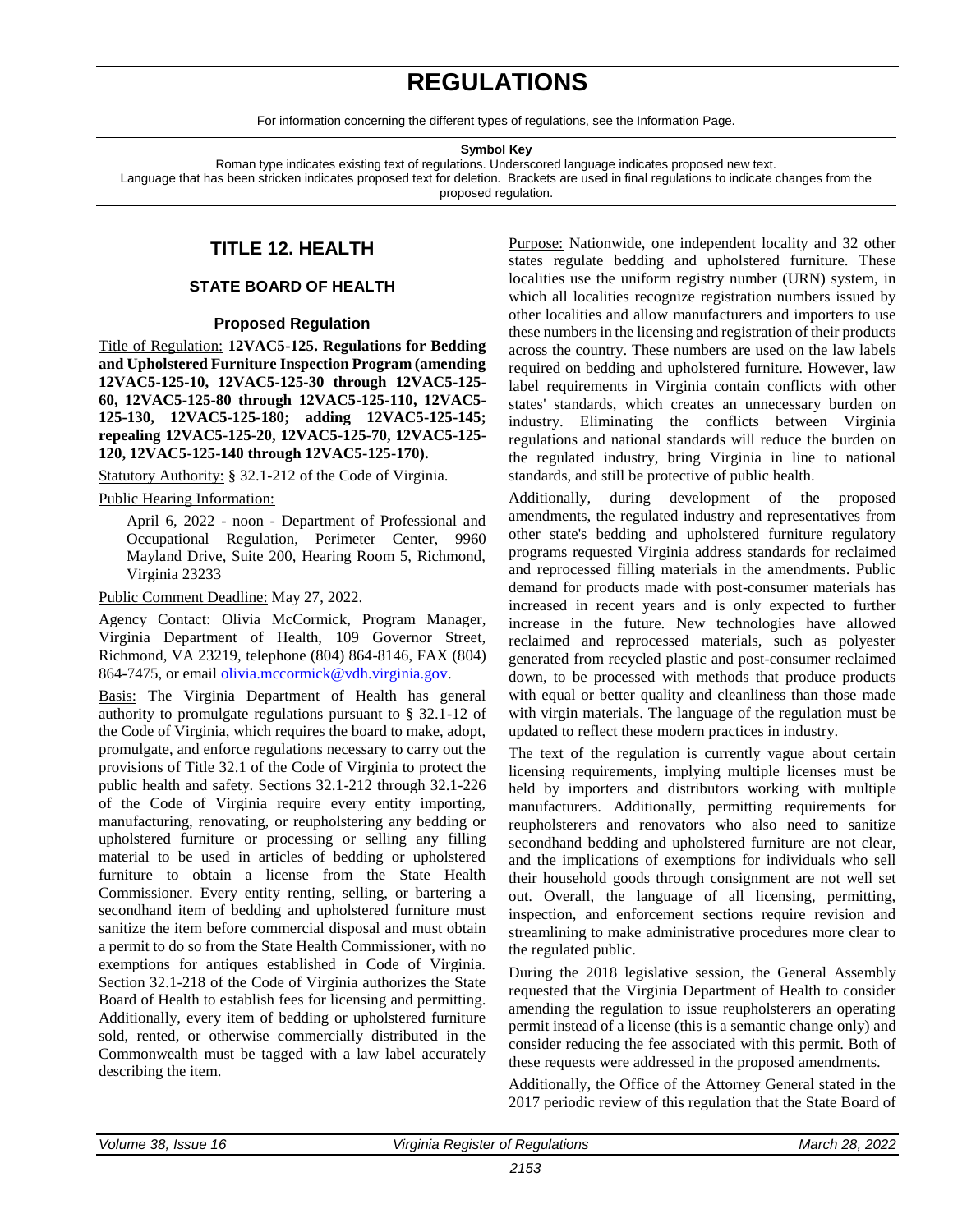## **REGULATIONS**

For information concerning the different types of regulations, see the Information Page.

**Symbol Key**

Roman type indicates existing text of regulations. Underscored language indicates proposed new text.

<span id="page-7-0"></span>Language that has been stricken indicates proposed text for deletion. Brackets are used in final regulations to indicate changes from the proposed regulation.

### **TITLE 12. HEALTH**

#### **STATE BOARD OF HEALTH**

#### **Proposed Regulation**

Title of Regulation: **12VAC5-125. Regulations for Bedding and Upholstered Furniture Inspection Program (amending 12VAC5-125-10, 12VAC5-125-30 through 12VAC5-125- 60, 12VAC5-125-80 through 12VAC5-125-110, 12VAC5- 125-130, 12VAC5-125-180; adding 12VAC5-125-145; repealing 12VAC5-125-20, 12VAC5-125-70, 12VAC5-125- 120, 12VAC5-125-140 through 12VAC5-125-170).**

Statutory Authority: § 32.1-212 of the Code of Virginia.

#### Public Hearing Information:

April 6, 2022 - noon - Department of Professional and Occupational Regulation, Perimeter Center, 9960 Mayland Drive, Suite 200, Hearing Room 5, Richmond, Virginia 23233

#### Public Comment Deadline: May 27, 2022.

Agency Contact: Olivia McCormick, Program Manager, Virginia Department of Health, 109 Governor Street, Richmond, VA 23219, telephone (804) 864-8146, FAX (804) 864-7475, or email [olivia.mccormick@vdh.virginia.gov.](mailto:olivia.mccormick@vdh.virginia.gov)

Basis: The Virginia Department of Health has general authority to promulgate regulations pursuant to § 32.1-12 of the Code of Virginia, which requires the board to make, adopt, promulgate, and enforce regulations necessary to carry out the provisions of Title 32.1 of the Code of Virginia to protect the public health and safety. Sections 32.1-212 through 32.1-226 of the Code of Virginia require every entity importing, manufacturing, renovating, or reupholstering any bedding or upholstered furniture or processing or selling any filling material to be used in articles of bedding or upholstered furniture to obtain a license from the State Health Commissioner. Every entity renting, selling, or bartering a secondhand item of bedding and upholstered furniture must sanitize the item before commercial disposal and must obtain a permit to do so from the State Health Commissioner, with no exemptions for antiques established in Code of Virginia. Section 32.1-218 of the Code of Virginia authorizes the State Board of Health to establish fees for licensing and permitting. Additionally, every item of bedding or upholstered furniture sold, rented, or otherwise commercially distributed in the Commonwealth must be tagged with a law label accurately describing the item.

Purpose: Nationwide, one independent locality and 32 other states regulate bedding and upholstered furniture. These localities use the uniform registry number (URN) system, in which all localities recognize registration numbers issued by other localities and allow manufacturers and importers to use these numbers in the licensing and registration of their products across the country. These numbers are used on the law labels required on bedding and upholstered furniture. However, law label requirements in Virginia contain conflicts with other states' standards, which creates an unnecessary burden on industry. Eliminating the conflicts between Virginia regulations and national standards will reduce the burden on the regulated industry, bring Virginia in line to national standards, and still be protective of public health.

Additionally, during development of the proposed amendments, the regulated industry and representatives from other state's bedding and upholstered furniture regulatory programs requested Virginia address standards for reclaimed and reprocessed filling materials in the amendments. Public demand for products made with post-consumer materials has increased in recent years and is only expected to further increase in the future. New technologies have allowed reclaimed and reprocessed materials, such as polyester generated from recycled plastic and post-consumer reclaimed down, to be processed with methods that produce products with equal or better quality and cleanliness than those made with virgin materials. The language of the regulation must be updated to reflect these modern practices in industry.

The text of the regulation is currently vague about certain licensing requirements, implying multiple licenses must be held by importers and distributors working with multiple manufacturers. Additionally, permitting requirements for reupholsterers and renovators who also need to sanitize secondhand bedding and upholstered furniture are not clear, and the implications of exemptions for individuals who sell their household goods through consignment are not well set out. Overall, the language of all licensing, permitting, inspection, and enforcement sections require revision and streamlining to make administrative procedures more clear to the regulated public.

During the 2018 legislative session, the General Assembly requested that the Virginia Department of Health to consider amending the regulation to issue reupholsterers an operating permit instead of a license (this is a semantic change only) and consider reducing the fee associated with this permit. Both of these requests were addressed in the proposed amendments.

Additionally, the Office of the Attorney General stated in the 2017 periodic review of this regulation that the State Board of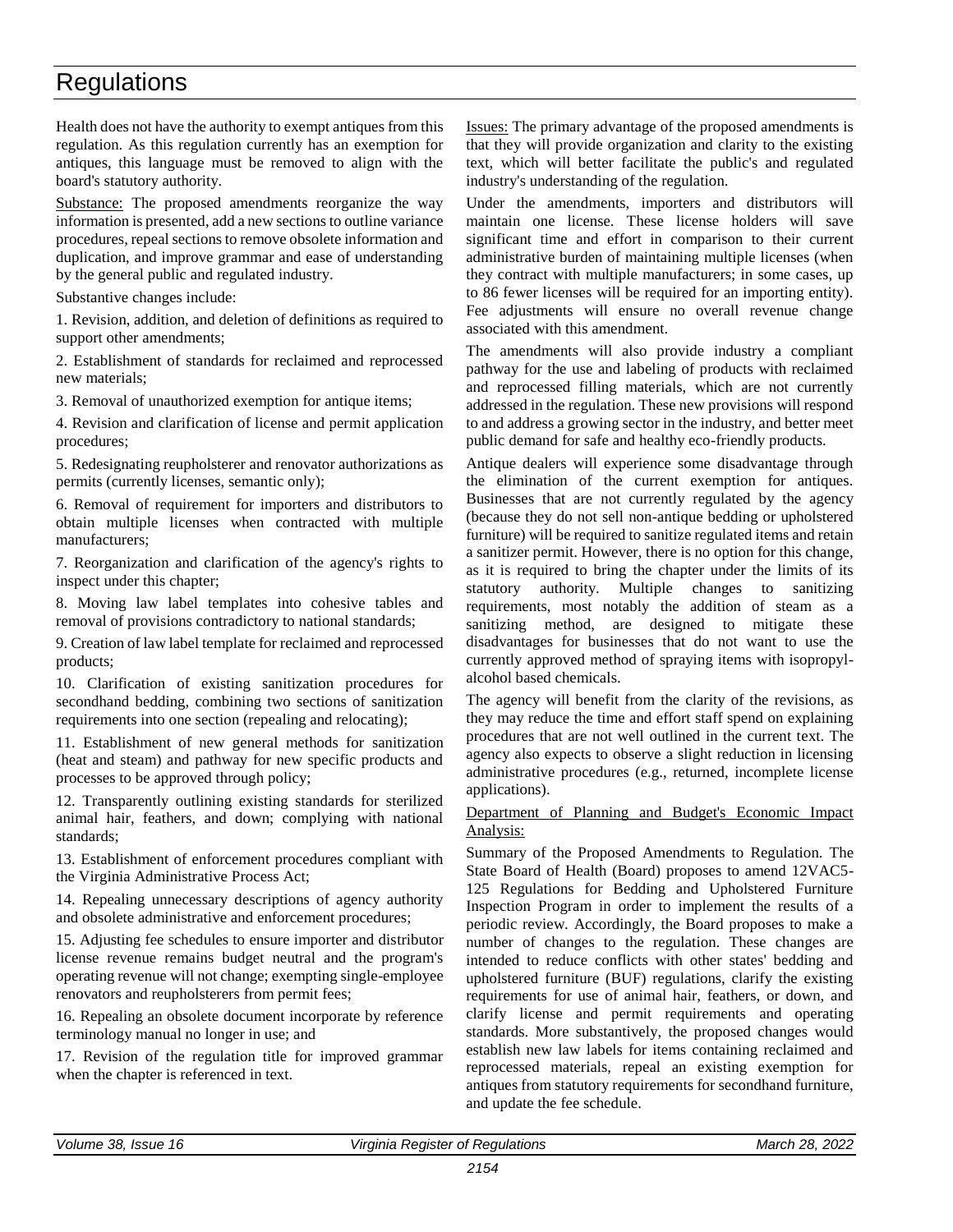Health does not have the authority to exempt antiques from this regulation. As this regulation currently has an exemption for antiques, this language must be removed to align with the board's statutory authority.

Substance: The proposed amendments reorganize the way information is presented, add a new sections to outline variance procedures, repeal sections to remove obsolete information and duplication, and improve grammar and ease of understanding by the general public and regulated industry.

Substantive changes include:

1. Revision, addition, and deletion of definitions as required to support other amendments;

2. Establishment of standards for reclaimed and reprocessed new materials;

3. Removal of unauthorized exemption for antique items;

4. Revision and clarification of license and permit application procedures;

5. Redesignating reupholsterer and renovator authorizations as permits (currently licenses, semantic only);

6. Removal of requirement for importers and distributors to obtain multiple licenses when contracted with multiple manufacturers;

7. Reorganization and clarification of the agency's rights to inspect under this chapter;

8. Moving law label templates into cohesive tables and removal of provisions contradictory to national standards;

9. Creation of law label template for reclaimed and reprocessed products;

10. Clarification of existing sanitization procedures for secondhand bedding, combining two sections of sanitization requirements into one section (repealing and relocating);

11. Establishment of new general methods for sanitization (heat and steam) and pathway for new specific products and processes to be approved through policy;

12. Transparently outlining existing standards for sterilized animal hair, feathers, and down; complying with national standards;

13. Establishment of enforcement procedures compliant with the Virginia Administrative Process Act;

14. Repealing unnecessary descriptions of agency authority and obsolete administrative and enforcement procedures;

15. Adjusting fee schedules to ensure importer and distributor license revenue remains budget neutral and the program's operating revenue will not change; exempting single-employee renovators and reupholsterers from permit fees;

16. Repealing an obsolete document incorporate by reference terminology manual no longer in use; and

17. Revision of the regulation title for improved grammar when the chapter is referenced in text.

Issues: The primary advantage of the proposed amendments is that they will provide organization and clarity to the existing text, which will better facilitate the public's and regulated industry's understanding of the regulation.

Under the amendments, importers and distributors will maintain one license. These license holders will save significant time and effort in comparison to their current administrative burden of maintaining multiple licenses (when they contract with multiple manufacturers; in some cases, up to 86 fewer licenses will be required for an importing entity). Fee adjustments will ensure no overall revenue change associated with this amendment.

The amendments will also provide industry a compliant pathway for the use and labeling of products with reclaimed and reprocessed filling materials, which are not currently addressed in the regulation. These new provisions will respond to and address a growing sector in the industry, and better meet public demand for safe and healthy eco-friendly products.

Antique dealers will experience some disadvantage through the elimination of the current exemption for antiques. Businesses that are not currently regulated by the agency (because they do not sell non-antique bedding or upholstered furniture) will be required to sanitize regulated items and retain a sanitizer permit. However, there is no option for this change, as it is required to bring the chapter under the limits of its statutory authority. Multiple changes to sanitizing requirements, most notably the addition of steam as a sanitizing method, are designed to mitigate these disadvantages for businesses that do not want to use the currently approved method of spraying items with isopropylalcohol based chemicals.

The agency will benefit from the clarity of the revisions, as they may reduce the time and effort staff spend on explaining procedures that are not well outlined in the current text. The agency also expects to observe a slight reduction in licensing administrative procedures (e.g., returned, incomplete license applications).

#### Department of Planning and Budget's Economic Impact Analysis:

Summary of the Proposed Amendments to Regulation. The State Board of Health (Board) proposes to amend 12VAC5- 125 Regulations for Bedding and Upholstered Furniture Inspection Program in order to implement the results of a periodic review. Accordingly, the Board proposes to make a number of changes to the regulation. These changes are intended to reduce conflicts with other states' bedding and upholstered furniture (BUF) regulations, clarify the existing requirements for use of animal hair, feathers, or down, and clarify license and permit requirements and operating standards. More substantively, the proposed changes would establish new law labels for items containing reclaimed and reprocessed materials, repeal an existing exemption for antiques from statutory requirements for secondhand furniture, and update the fee schedule.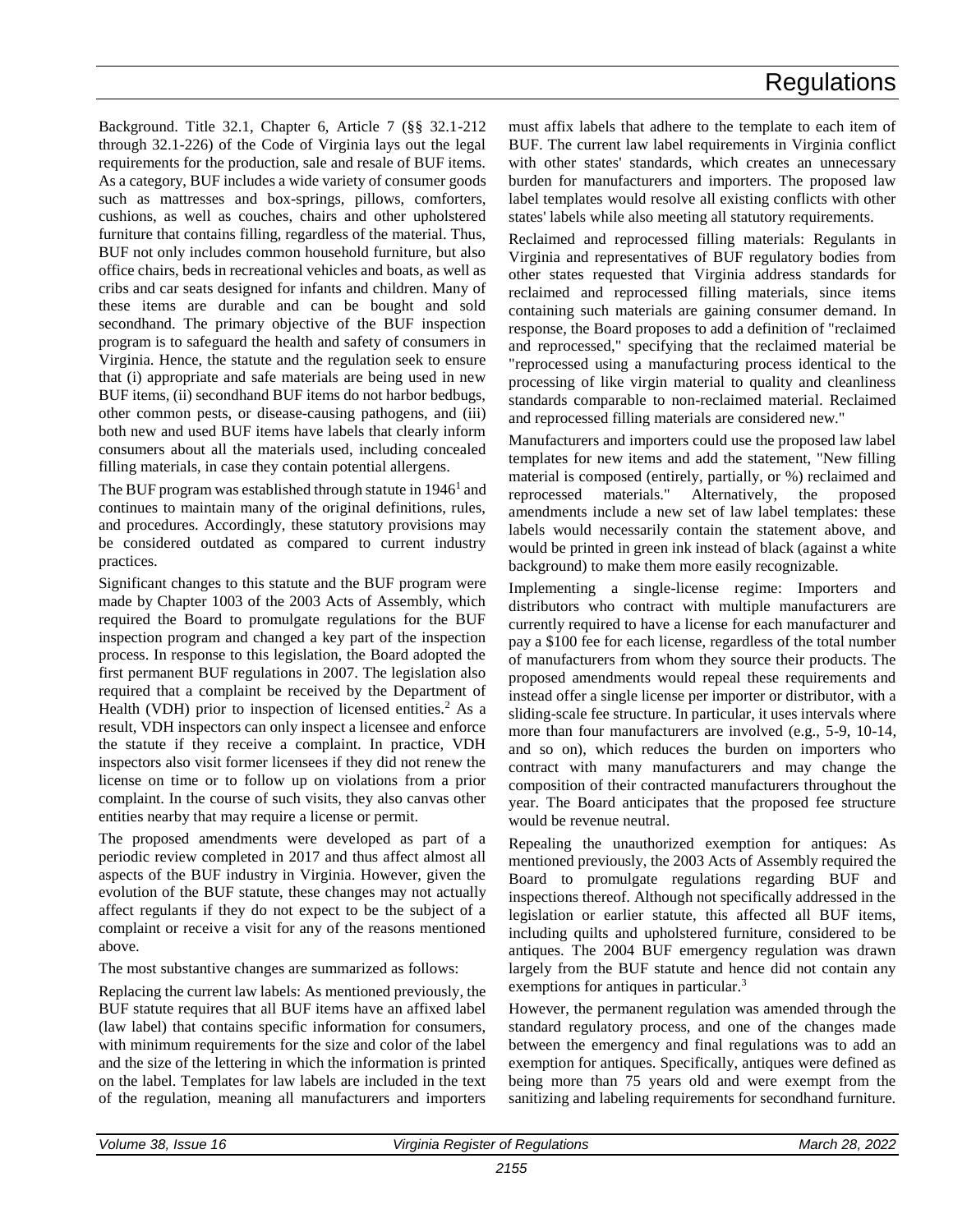Background. Title 32.1, Chapter 6, Article 7 (§§ 32.1-212 through 32.1-226) of the Code of Virginia lays out the legal requirements for the production, sale and resale of BUF items. As a category, BUF includes a wide variety of consumer goods such as mattresses and box-springs, pillows, comforters, cushions, as well as couches, chairs and other upholstered furniture that contains filling, regardless of the material. Thus, BUF not only includes common household furniture, but also office chairs, beds in recreational vehicles and boats, as well as cribs and car seats designed for infants and children. Many of these items are durable and can be bought and sold secondhand. The primary objective of the BUF inspection program is to safeguard the health and safety of consumers in Virginia. Hence, the statute and the regulation seek to ensure that (i) appropriate and safe materials are being used in new BUF items, (ii) secondhand BUF items do not harbor bedbugs, other common pests, or disease-causing pathogens, and (iii) both new and used BUF items have labels that clearly inform consumers about all the materials used, including concealed filling materials, in case they contain potential allergens.

The BUF program was established through statute in 1946<sup>1</sup> and continues to maintain many of the original definitions, rules, and procedures. Accordingly, these statutory provisions may be considered outdated as compared to current industry practices.

Significant changes to this statute and the BUF program were made by Chapter 1003 of the 2003 Acts of Assembly, which required the Board to promulgate regulations for the BUF inspection program and changed a key part of the inspection process. In response to this legislation, the Board adopted the first permanent BUF regulations in 2007. The legislation also required that a complaint be received by the Department of Health (VDH) prior to inspection of licensed entities. $2$  As a result, VDH inspectors can only inspect a licensee and enforce the statute if they receive a complaint. In practice, VDH inspectors also visit former licensees if they did not renew the license on time or to follow up on violations from a prior complaint. In the course of such visits, they also canvas other entities nearby that may require a license or permit.

The proposed amendments were developed as part of a periodic review completed in 2017 and thus affect almost all aspects of the BUF industry in Virginia. However, given the evolution of the BUF statute, these changes may not actually affect regulants if they do not expect to be the subject of a complaint or receive a visit for any of the reasons mentioned above.

The most substantive changes are summarized as follows:

Replacing the current law labels: As mentioned previously, the BUF statute requires that all BUF items have an affixed label (law label) that contains specific information for consumers, with minimum requirements for the size and color of the label and the size of the lettering in which the information is printed on the label. Templates for law labels are included in the text of the regulation, meaning all manufacturers and importers must affix labels that adhere to the template to each item of BUF. The current law label requirements in Virginia conflict with other states' standards, which creates an unnecessary burden for manufacturers and importers. The proposed law label templates would resolve all existing conflicts with other states' labels while also meeting all statutory requirements.

Reclaimed and reprocessed filling materials: Regulants in Virginia and representatives of BUF regulatory bodies from other states requested that Virginia address standards for reclaimed and reprocessed filling materials, since items containing such materials are gaining consumer demand. In response, the Board proposes to add a definition of "reclaimed and reprocessed," specifying that the reclaimed material be "reprocessed using a manufacturing process identical to the processing of like virgin material to quality and cleanliness standards comparable to non-reclaimed material. Reclaimed and reprocessed filling materials are considered new."

Manufacturers and importers could use the proposed law label templates for new items and add the statement, "New filling material is composed (entirely, partially, or %) reclaimed and reprocessed materials." Alternatively, the proposed amendments include a new set of law label templates: these labels would necessarily contain the statement above, and would be printed in green ink instead of black (against a white background) to make them more easily recognizable.

Implementing a single-license regime: Importers and distributors who contract with multiple manufacturers are currently required to have a license for each manufacturer and pay a \$100 fee for each license, regardless of the total number of manufacturers from whom they source their products. The proposed amendments would repeal these requirements and instead offer a single license per importer or distributor, with a sliding-scale fee structure. In particular, it uses intervals where more than four manufacturers are involved (e.g., 5-9, 10-14, and so on), which reduces the burden on importers who contract with many manufacturers and may change the composition of their contracted manufacturers throughout the year. The Board anticipates that the proposed fee structure would be revenue neutral.

Repealing the unauthorized exemption for antiques: As mentioned previously, the 2003 Acts of Assembly required the Board to promulgate regulations regarding BUF and inspections thereof. Although not specifically addressed in the legislation or earlier statute, this affected all BUF items, including quilts and upholstered furniture, considered to be antiques. The 2004 BUF emergency regulation was drawn largely from the BUF statute and hence did not contain any exemptions for antiques in particular.<sup>3</sup>

However, the permanent regulation was amended through the standard regulatory process, and one of the changes made between the emergency and final regulations was to add an exemption for antiques. Specifically, antiques were defined as being more than 75 years old and were exempt from the sanitizing and labeling requirements for secondhand furniture.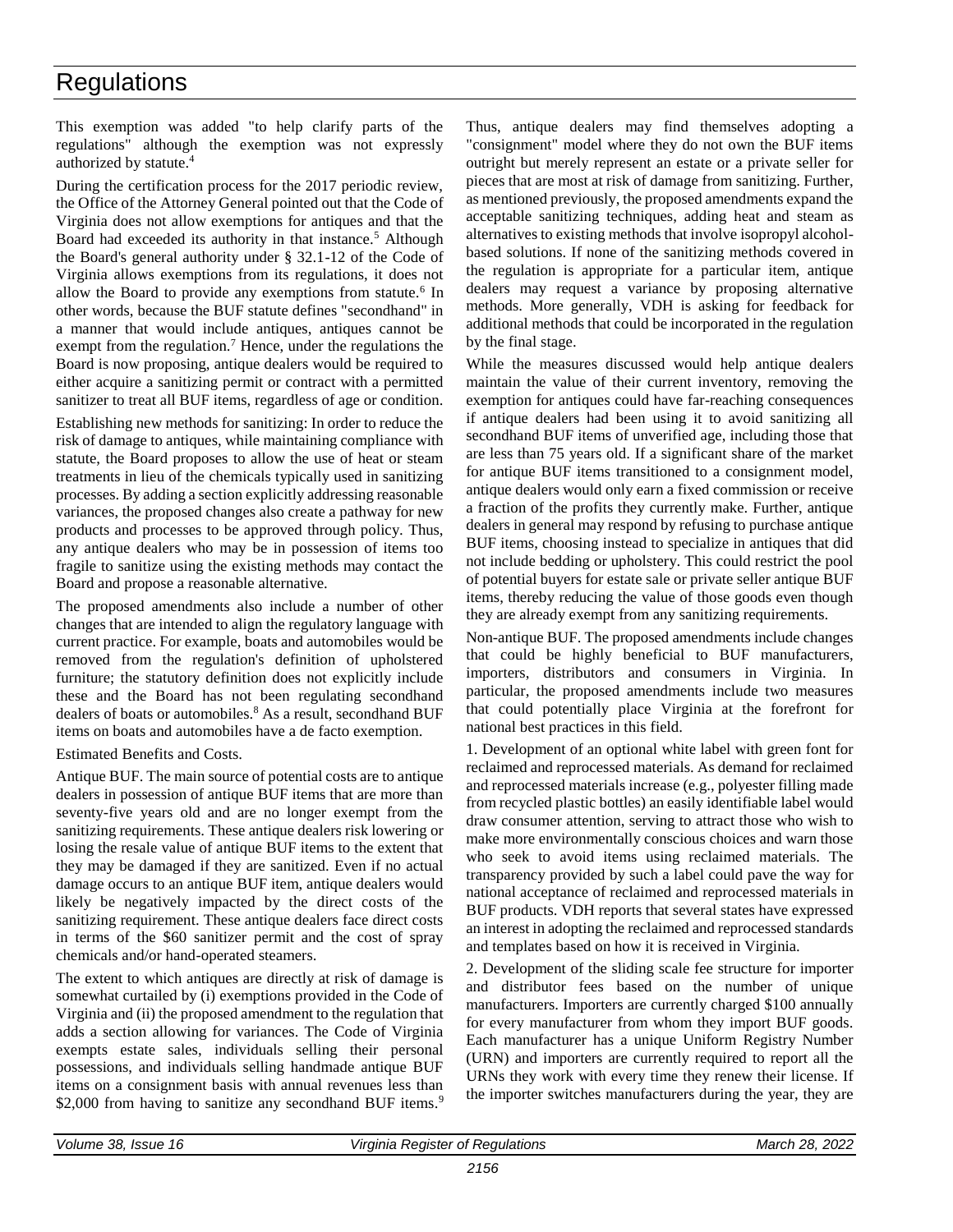This exemption was added "to help clarify parts of the regulations" although the exemption was not expressly authorized by statute.<sup>4</sup>

During the certification process for the 2017 periodic review, the Office of the Attorney General pointed out that the Code of Virginia does not allow exemptions for antiques and that the Board had exceeded its authority in that instance.<sup>5</sup> Although the Board's general authority under § 32.1-12 of the Code of Virginia allows exemptions from its regulations, it does not allow the Board to provide any exemptions from statute.<sup>6</sup> In other words, because the BUF statute defines "secondhand" in a manner that would include antiques, antiques cannot be exempt from the regulation.<sup>7</sup> Hence, under the regulations the Board is now proposing, antique dealers would be required to either acquire a sanitizing permit or contract with a permitted sanitizer to treat all BUF items, regardless of age or condition.

Establishing new methods for sanitizing: In order to reduce the risk of damage to antiques, while maintaining compliance with statute, the Board proposes to allow the use of heat or steam treatments in lieu of the chemicals typically used in sanitizing processes. By adding a section explicitly addressing reasonable variances, the proposed changes also create a pathway for new products and processes to be approved through policy. Thus, any antique dealers who may be in possession of items too fragile to sanitize using the existing methods may contact the Board and propose a reasonable alternative.

The proposed amendments also include a number of other changes that are intended to align the regulatory language with current practice. For example, boats and automobiles would be removed from the regulation's definition of upholstered furniture; the statutory definition does not explicitly include these and the Board has not been regulating secondhand dealers of boats or automobiles.<sup>8</sup> As a result, secondhand BUF items on boats and automobiles have a de facto exemption.

Estimated Benefits and Costs.

Antique BUF. The main source of potential costs are to antique dealers in possession of antique BUF items that are more than seventy-five years old and are no longer exempt from the sanitizing requirements. These antique dealers risk lowering or losing the resale value of antique BUF items to the extent that they may be damaged if they are sanitized. Even if no actual damage occurs to an antique BUF item, antique dealers would likely be negatively impacted by the direct costs of the sanitizing requirement. These antique dealers face direct costs in terms of the \$60 sanitizer permit and the cost of spray chemicals and/or hand-operated steamers.

The extent to which antiques are directly at risk of damage is somewhat curtailed by (i) exemptions provided in the Code of Virginia and (ii) the proposed amendment to the regulation that adds a section allowing for variances. The Code of Virginia exempts estate sales, individuals selling their personal possessions, and individuals selling handmade antique BUF items on a consignment basis with annual revenues less than \$2,000 from having to sanitize any secondhand BUF items.<sup>9</sup>

Thus, antique dealers may find themselves adopting a "consignment" model where they do not own the BUF items outright but merely represent an estate or a private seller for pieces that are most at risk of damage from sanitizing. Further, as mentioned previously, the proposed amendments expand the acceptable sanitizing techniques, adding heat and steam as alternatives to existing methods that involve isopropyl alcoholbased solutions. If none of the sanitizing methods covered in the regulation is appropriate for a particular item, antique dealers may request a variance by proposing alternative methods. More generally, VDH is asking for feedback for additional methods that could be incorporated in the regulation by the final stage.

While the measures discussed would help antique dealers maintain the value of their current inventory, removing the exemption for antiques could have far-reaching consequences if antique dealers had been using it to avoid sanitizing all secondhand BUF items of unverified age, including those that are less than 75 years old. If a significant share of the market for antique BUF items transitioned to a consignment model, antique dealers would only earn a fixed commission or receive a fraction of the profits they currently make. Further, antique dealers in general may respond by refusing to purchase antique BUF items, choosing instead to specialize in antiques that did not include bedding or upholstery. This could restrict the pool of potential buyers for estate sale or private seller antique BUF items, thereby reducing the value of those goods even though they are already exempt from any sanitizing requirements.

Non-antique BUF. The proposed amendments include changes that could be highly beneficial to BUF manufacturers, importers, distributors and consumers in Virginia. In particular, the proposed amendments include two measures that could potentially place Virginia at the forefront for national best practices in this field.

1. Development of an optional white label with green font for reclaimed and reprocessed materials. As demand for reclaimed and reprocessed materials increase (e.g., polyester filling made from recycled plastic bottles) an easily identifiable label would draw consumer attention, serving to attract those who wish to make more environmentally conscious choices and warn those who seek to avoid items using reclaimed materials. The transparency provided by such a label could pave the way for national acceptance of reclaimed and reprocessed materials in BUF products. VDH reports that several states have expressed an interest in adopting the reclaimed and reprocessed standards and templates based on how it is received in Virginia.

2. Development of the sliding scale fee structure for importer and distributor fees based on the number of unique manufacturers. Importers are currently charged \$100 annually for every manufacturer from whom they import BUF goods. Each manufacturer has a unique Uniform Registry Number (URN) and importers are currently required to report all the URNs they work with every time they renew their license. If the importer switches manufacturers during the year, they are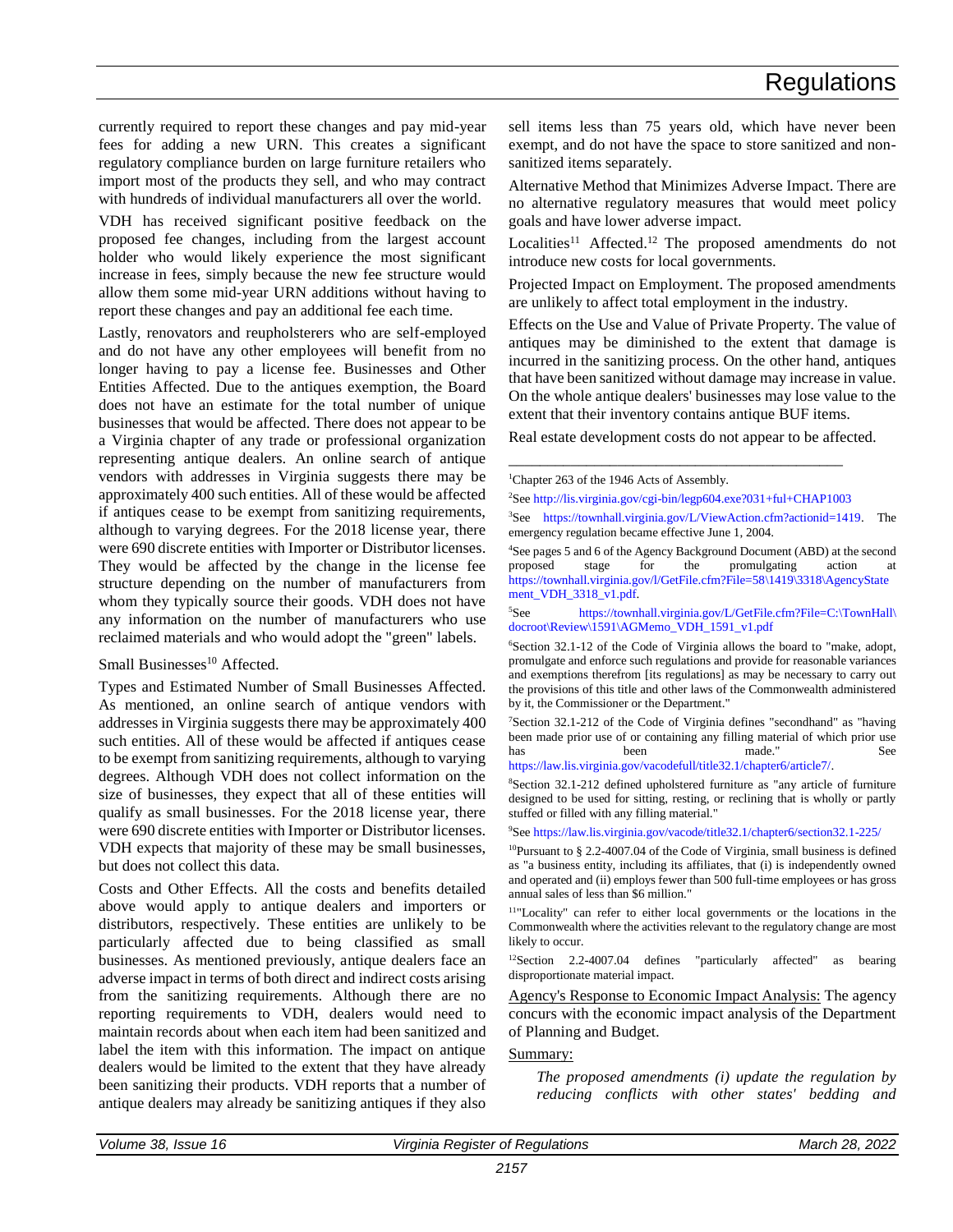currently required to report these changes and pay mid-year fees for adding a new URN. This creates a significant regulatory compliance burden on large furniture retailers who import most of the products they sell, and who may contract with hundreds of individual manufacturers all over the world.

VDH has received significant positive feedback on the proposed fee changes, including from the largest account holder who would likely experience the most significant increase in fees, simply because the new fee structure would allow them some mid-year URN additions without having to report these changes and pay an additional fee each time.

Lastly, renovators and reupholsterers who are self-employed and do not have any other employees will benefit from no longer having to pay a license fee. Businesses and Other Entities Affected. Due to the antiques exemption, the Board does not have an estimate for the total number of unique businesses that would be affected. There does not appear to be a Virginia chapter of any trade or professional organization representing antique dealers. An online search of antique vendors with addresses in Virginia suggests there may be approximately 400 such entities. All of these would be affected if antiques cease to be exempt from sanitizing requirements, although to varying degrees. For the 2018 license year, there were 690 discrete entities with Importer or Distributor licenses. They would be affected by the change in the license fee structure depending on the number of manufacturers from whom they typically source their goods. VDH does not have any information on the number of manufacturers who use reclaimed materials and who would adopt the "green" labels.

#### Small Businesses<sup>10</sup> Affected.

Types and Estimated Number of Small Businesses Affected. As mentioned, an online search of antique vendors with addresses in Virginia suggests there may be approximately 400 such entities. All of these would be affected if antiques cease to be exempt from sanitizing requirements, although to varying degrees. Although VDH does not collect information on the size of businesses, they expect that all of these entities will qualify as small businesses. For the 2018 license year, there were 690 discrete entities with Importer or Distributor licenses. VDH expects that majority of these may be small businesses, but does not collect this data.

Costs and Other Effects. All the costs and benefits detailed above would apply to antique dealers and importers or distributors, respectively. These entities are unlikely to be particularly affected due to being classified as small businesses. As mentioned previously, antique dealers face an adverse impact in terms of both direct and indirect costs arising from the sanitizing requirements. Although there are no reporting requirements to VDH, dealers would need to maintain records about when each item had been sanitized and label the item with this information. The impact on antique dealers would be limited to the extent that they have already been sanitizing their products. VDH reports that a number of antique dealers may already be sanitizing antiques if they also

sell items less than 75 years old, which have never been exempt, and do not have the space to store sanitized and nonsanitized items separately.

Alternative Method that Minimizes Adverse Impact. There are no alternative regulatory measures that would meet policy goals and have lower adverse impact.

Localities<sup>11</sup> Affected.<sup>12</sup> The proposed amendments do not introduce new costs for local governments.

Projected Impact on Employment. The proposed amendments are unlikely to affect total employment in the industry.

Effects on the Use and Value of Private Property. The value of antiques may be diminished to the extent that damage is incurred in the sanitizing process. On the other hand, antiques that have been sanitized without damage may increase in value. On the whole antique dealers' businesses may lose value to the extent that their inventory contains antique BUF items.

Real estate development costs do not appear to be affected.

\_\_\_\_\_\_\_\_\_\_\_\_\_\_\_\_\_\_\_\_\_\_\_\_\_\_\_\_\_\_\_\_\_\_\_\_\_\_\_\_\_\_\_

<sup>1</sup>Chapter 263 of the 1946 Acts of Assembly.

<sup>2</sup>See [http://lis.virginia.gov/cgi-bin/legp604.exe?031+ful+CHAP1003](http://lis.virginia.gov/cgi-bin/legp604.exe?031%20ful%20CHAP1003) <sup>3</sup>See [https://townhall.virginia.gov/L/ViewAction.cfm?actionid=1419.](https://townhall.virginia.gov/L/ViewAction.cfm?actionid=1419) The emergency regulation became effective June 1, 2004.

<sup>4</sup>See pages 5 and 6 of the Agency Background Document (ABD) at the second proposed stage for the promulgating action at [https://townhall.virginia.gov/l/GetFile.cfm?File=58\1419\3318\AgencyState](https://townhall.virginia.gov/l/GetFile.cfm?File=58/1419/3318/AgencyStatement_VDH_3318_v1.pdf) [ment\\_VDH\\_3318\\_v1.pdf.](https://townhall.virginia.gov/l/GetFile.cfm?File=58/1419/3318/AgencyStatement_VDH_3318_v1.pdf)

<sup>5</sup>See [https://townhall.virginia.gov/L/GetFile.cfm?File=C:\TownHall\](https://townhall.virginia.gov/L/GetFile.cfm?File=C:/TownHall/docroot/Review/1591/AGMemo_VDH_1591_v1.pdf) [docroot\Review\1591\AGMemo\\_VDH\\_1591\\_v1.pdf](https://townhall.virginia.gov/L/GetFile.cfm?File=C:/TownHall/docroot/Review/1591/AGMemo_VDH_1591_v1.pdf)

<sup>6</sup>Section 32.1-12 of the Code of Virginia allows the board to "make, adopt, promulgate and enforce such regulations and provide for reasonable variances and exemptions therefrom [its regulations] as may be necessary to carry out the provisions of this title and other laws of the Commonwealth administered by it, the Commissioner or the Department."

<sup>7</sup>Section 32.1-212 of the Code of Virginia defines "secondhand" as "having been made prior use of or containing any filling material of which prior use has been made." See [https://law.lis.virginia.gov/vacodefull/title32.1/chapter6/article7/.](https://law.lis.virginia.gov/vacodefull/title32.1/chapter6/article7/)

<sup>8</sup>Section 32.1-212 defined upholstered furniture as "any article of furniture designed to be used for sitting, resting, or reclining that is wholly or partly stuffed or filled with any filling material."

<sup>9</sup>See <https://law.lis.virginia.gov/vacode/title32.1/chapter6/section32.1-225/>

<sup>10</sup>Pursuant to  $\frac{82.24007.04}{6}$  of the Code of Virginia, small business is defined as "a business entity, including its affiliates, that (i) is independently owned and operated and (ii) employs fewer than 500 full-time employees or has gross annual sales of less than \$6 million."

<sup>11</sup>"Locality" can refer to either local governments or the locations in the Commonwealth where the activities relevant to the regulatory change are most likely to occur.

<sup>12</sup>Section 2.2-4007.04 defines "particularly affected" as bearing disproportionate material impact.

Agency's Response to Economic Impact Analysis: The agency concurs with the economic impact analysis of the Department of Planning and Budget.

#### Summary:

*The proposed amendments (i) update the regulation by reducing conflicts with other states' bedding and*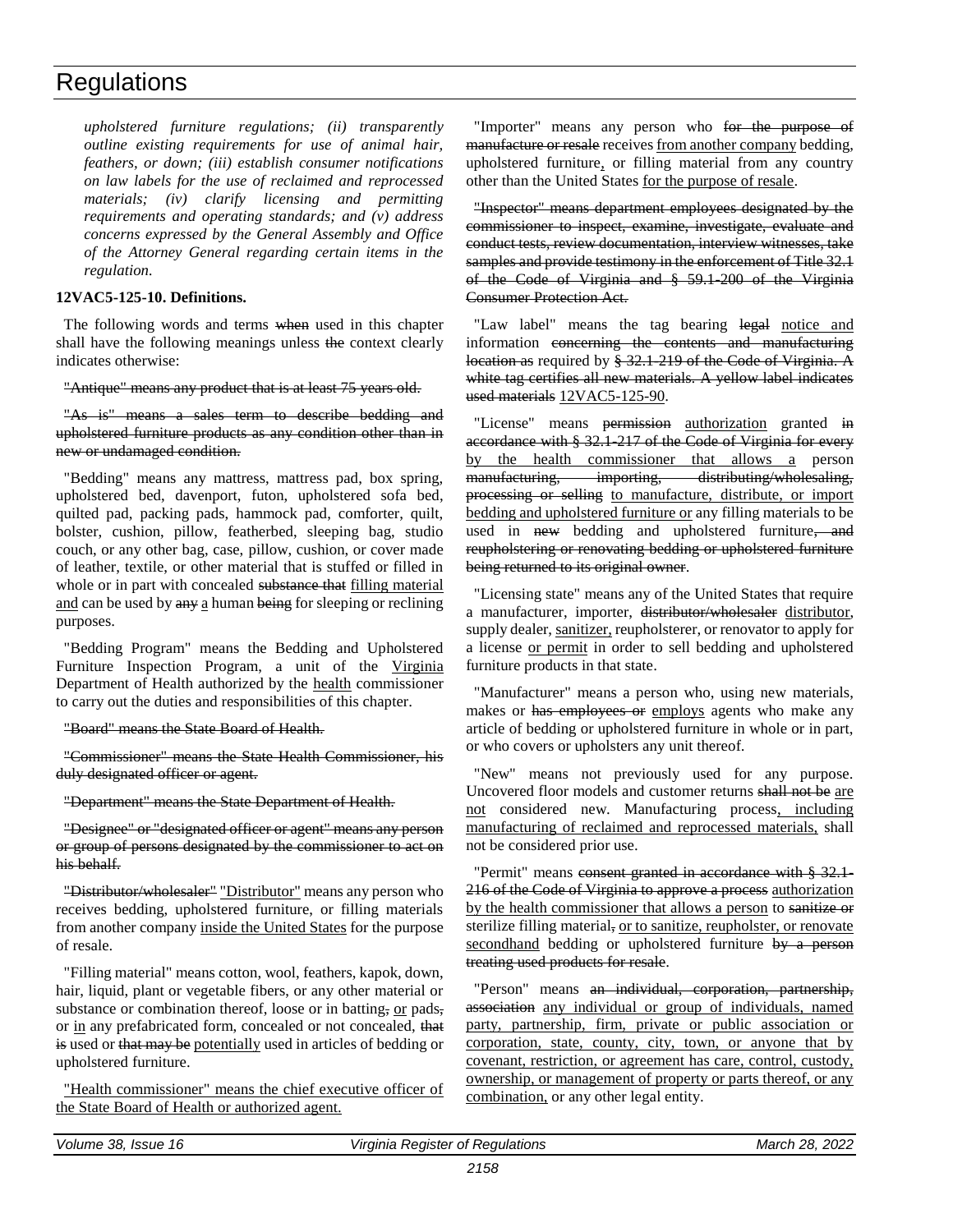*upholstered furniture regulations; (ii) transparently outline existing requirements for use of animal hair, feathers, or down; (iii) establish consumer notifications on law labels for the use of reclaimed and reprocessed materials; (iv) clarify licensing and permitting requirements and operating standards; and (v) address concerns expressed by the General Assembly and Office of the Attorney General regarding certain items in the regulation.* 

#### **12VAC5-125-10. Definitions.**

The following words and terms when used in this chapter shall have the following meanings unless the context clearly indicates otherwise:

#### "Antique" means any product that is at least 75 years old.

"As is" means a sales term to describe bedding and upholstered furniture products as any condition other than in new or undamaged condition.

"Bedding" means any mattress, mattress pad, box spring, upholstered bed, davenport, futon, upholstered sofa bed, quilted pad, packing pads, hammock pad, comforter, quilt, bolster, cushion, pillow, featherbed, sleeping bag, studio couch, or any other bag, case, pillow, cushion, or cover made of leather, textile, or other material that is stuffed or filled in whole or in part with concealed substance that filling material and can be used by any a human being for sleeping or reclining purposes.

"Bedding Program" means the Bedding and Upholstered Furniture Inspection Program, a unit of the Virginia Department of Health authorized by the health commissioner to carry out the duties and responsibilities of this chapter.

#### "Board" means the State Board of Health.

"Commissioner" means the State Health Commissioner, his duly designated officer or agent.

"Department" means the State Department of Health.

"Designee" or "designated officer or agent" means any person or group of persons designated by the commissioner to act on his behalf.

"Distributor/wholesaler" "Distributor" means any person who receives bedding, upholstered furniture, or filling materials from another company inside the United States for the purpose of resale.

"Filling material" means cotton, wool, feathers, kapok, down, hair, liquid, plant or vegetable fibers, or any other material or substance or combination thereof, loose or in batting, or pads, or in any prefabricated form, concealed or not concealed, that is used or that may be potentially used in articles of bedding or upholstered furniture.

"Health commissioner" means the chief executive officer of the State Board of Health or authorized agent.

"Importer" means any person who for the purpose of manufacture or resale receives from another company bedding, upholstered furniture, or filling material from any country other than the United States for the purpose of resale.

"Inspector" means department employees designated by the commissioner to inspect, examine, investigate, evaluate and conduct tests, review documentation, interview witnesses, take samples and provide testimony in the enforcement of Title 32.1 of the Code of Virginia and § 59.1-200 of the Virginia Consumer Protection Act.

"Law label" means the tag bearing legal notice and information concerning the contents and manufacturing location as required by § 32.1-219 of the Code of Virginia. A white tag certifies all new materials. A yellow label indicates used materials 12VAC5-125-90.

"License" means permission authorization granted in accordance with § 32.1-217 of the Code of Virginia for every by the health commissioner that allows a person manufacturing, importing, distributing/wholesaling, processing or selling to manufacture, distribute, or import bedding and upholstered furniture or any filling materials to be used in new bedding and upholstered furniture, and reupholstering or renovating bedding or upholstered furniture being returned to its original owner.

"Licensing state" means any of the United States that require a manufacturer, importer, distributor/wholesaler distributor, supply dealer, sanitizer, reupholsterer, or renovator to apply for a license or permit in order to sell bedding and upholstered furniture products in that state.

"Manufacturer" means a person who, using new materials, makes or has employees or employs agents who make any article of bedding or upholstered furniture in whole or in part, or who covers or upholsters any unit thereof.

"New" means not previously used for any purpose. Uncovered floor models and customer returns shall not be are not considered new. Manufacturing process, including manufacturing of reclaimed and reprocessed materials, shall not be considered prior use.

"Permit" means consent granted in accordance with § 32.1-216 of the Code of Virginia to approve a process authorization by the health commissioner that allows a person to sanitize or sterilize filling material, or to sanitize, reupholster, or renovate secondhand bedding or upholstered furniture by a person treating used products for resale.

"Person" means an individual, corporation, partnership, association any individual or group of individuals, named party, partnership, firm, private or public association or corporation, state, county, city, town, or anyone that by covenant, restriction, or agreement has care, control, custody, ownership, or management of property or parts thereof, or any combination, or any other legal entity.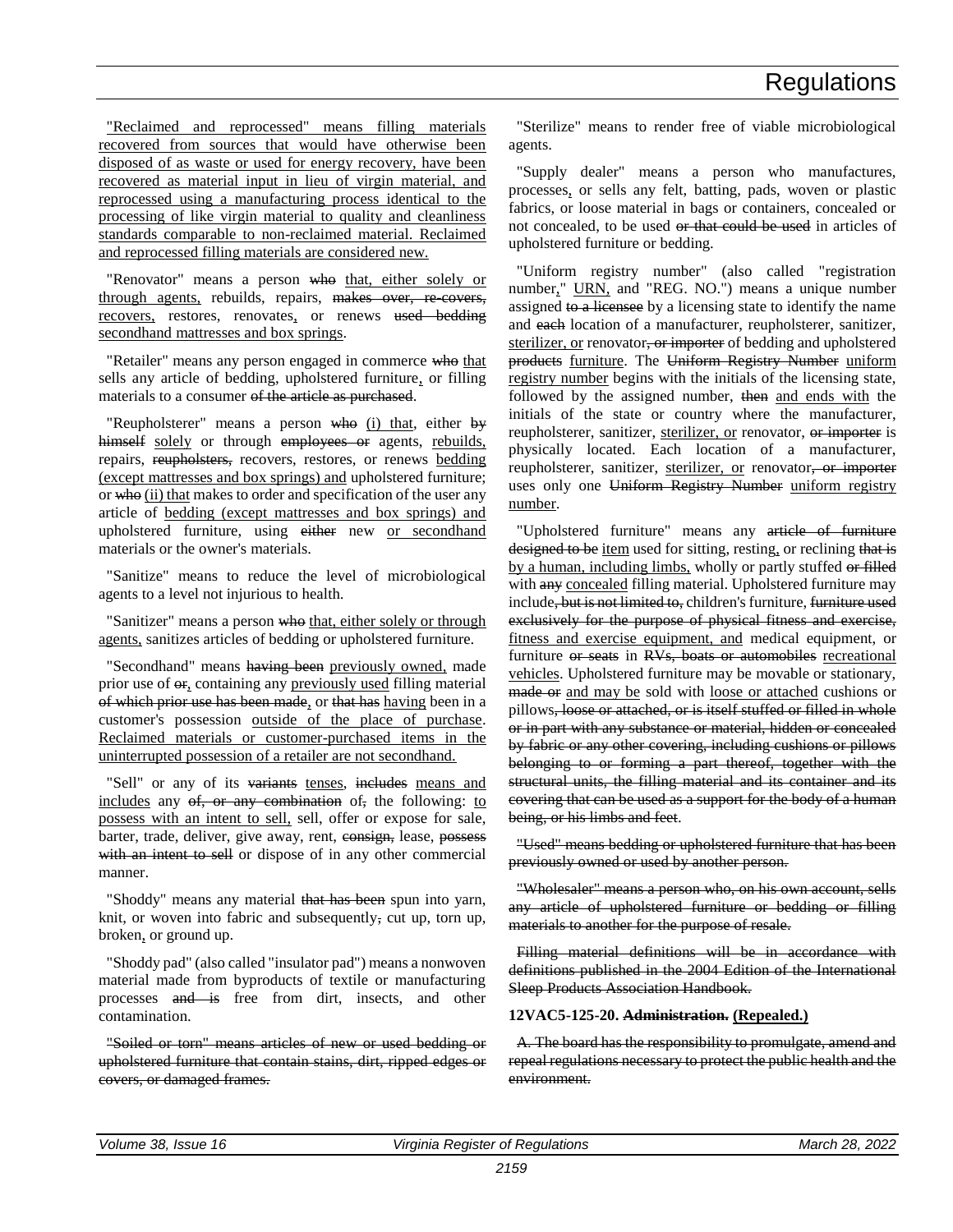"Reclaimed and reprocessed" means filling materials recovered from sources that would have otherwise been disposed of as waste or used for energy recovery, have been recovered as material input in lieu of virgin material, and reprocessed using a manufacturing process identical to the processing of like virgin material to quality and cleanliness standards comparable to non-reclaimed material. Reclaimed and reprocessed filling materials are considered new.

"Renovator" means a person who that, either solely or through agents, rebuilds, repairs, makes over, re-covers, recovers, restores, renovates, or renews used bedding secondhand mattresses and box springs.

"Retailer" means any person engaged in commerce who that sells any article of bedding, upholstered furniture, or filling materials to a consumer of the article as purchased.

"Reupholsterer" means a person who (i) that, either  $b$ himself solely or through employees or agents, rebuilds, repairs, reupholsters, recovers, restores, or renews bedding (except mattresses and box springs) and upholstered furniture; or who (ii) that makes to order and specification of the user any article of bedding (except mattresses and box springs) and upholstered furniture, using either new or secondhand materials or the owner's materials.

"Sanitize" means to reduce the level of microbiological agents to a level not injurious to health.

"Sanitizer" means a person who that, either solely or through agents, sanitizes articles of bedding or upholstered furniture.

"Secondhand" means having been previously owned, made prior use of  $er_2$  containing any previously used filling material of which prior use has been made, or that has having been in a customer's possession outside of the place of purchase. Reclaimed materials or customer-purchased items in the uninterrupted possession of a retailer are not secondhand.

"Sell" or any of its variants tenses, includes means and includes any  $\theta f$ , or any combination of, the following: to possess with an intent to sell, sell, offer or expose for sale, barter, trade, deliver, give away, rent, consign, lease, possess with an intent to sell or dispose of in any other commercial manner.

"Shoddy" means any material that has been spun into yarn, knit, or woven into fabric and subsequently, cut up, torn up, broken, or ground up.

"Shoddy pad" (also called "insulator pad") means a nonwoven material made from byproducts of textile or manufacturing processes and is free from dirt, insects, and other contamination.

"Soiled or torn" means articles of new or used bedding or upholstered furniture that contain stains, dirt, ripped edges or covers, or damaged frames.

"Sterilize" means to render free of viable microbiological agents.

"Supply dealer" means a person who manufactures, processes, or sells any felt, batting, pads, woven or plastic fabrics, or loose material in bags or containers, concealed or not concealed, to be used or that could be used in articles of upholstered furniture or bedding.

"Uniform registry number" (also called "registration number," URN, and "REG. NO.") means a unique number assigned to a licensee by a licensing state to identify the name and each location of a manufacturer, reupholsterer, sanitizer, sterilizer, or renovator, or importer of bedding and upholstered products furniture. The Uniform Registry Number uniform registry number begins with the initials of the licensing state, followed by the assigned number, then and ends with the initials of the state or country where the manufacturer, reupholsterer, sanitizer, sterilizer, or renovator, or importer is physically located. Each location of a manufacturer, reupholsterer, sanitizer, sterilizer, or renovator, or importer uses only one Uniform Registry Number uniform registry number.

"Upholstered furniture" means any article of furniture designed to be item used for sitting, resting, or reclining that is by a human, including limbs, wholly or partly stuffed or filled with any concealed filling material. Upholstered furniture may include, but is not limited to, children's furniture, furniture used exclusively for the purpose of physical fitness and exercise, fitness and exercise equipment, and medical equipment, or furniture or seats in RVs, boats or automobiles recreational vehicles. Upholstered furniture may be movable or stationary, made or and may be sold with loose or attached cushions or pillows, loose or attached, or is itself stuffed or filled in whole or in part with any substance or material, hidden or concealed by fabric or any other covering, including cushions or pillows belonging to or forming a part thereof, together with the structural units, the filling material and its container and its covering that can be used as a support for the body of a human being, or his limbs and feet.

"Used" means bedding or upholstered furniture that has been previously owned or used by another person.

"Wholesaler" means a person who, on his own account, sells any article of upholstered furniture or bedding or filling materials to another for the purpose of resale.

Filling material definitions will be in accordance with definitions published in the 2004 Edition of the International Sleep Products Association Handbook.

#### **12VAC5-125-20. Administration. (Repealed.)**

A. The board has the responsibility to promulgate, amend and repeal regulations necessary to protect the public health and the environment.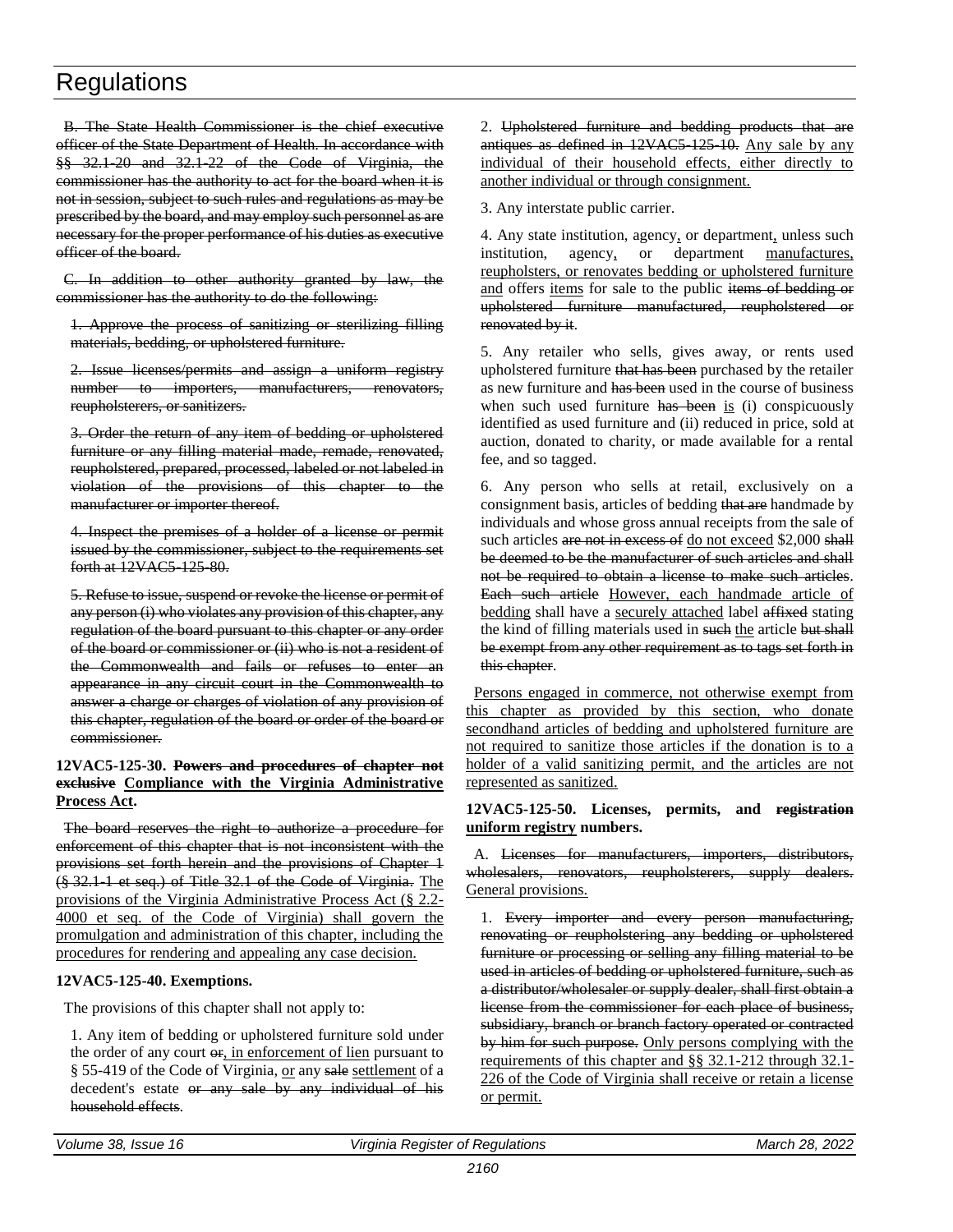B. The State Health Commissioner is the chief executive officer of the State Department of Health. In accordance with §§ 32.1-20 and 32.1-22 of the Code of Virginia, the commissioner has the authority to act for the board when it is not in session, subject to such rules and regulations as may be prescribed by the board, and may employ such personnel as are necessary for the proper performance of his duties as executive officer of the board.

C. In addition to other authority granted by law, the commissioner has the authority to do the following:

1. Approve the process of sanitizing or sterilizing filling materials, bedding, or upholstered furniture.

2. Issue licenses/permits and assign a uniform registry number to importers, manufacturers, renovators, reupholsterers, or sanitizers.

3. Order the return of any item of bedding or upholstered furniture or any filling material made, remade, renovated, reupholstered, prepared, processed, labeled or not labeled in violation of the provisions of this chapter to the manufacturer or importer thereof.

4. Inspect the premises of a holder of a license or permit issued by the commissioner, subject to the requirements set forth at 12VAC5-125-80.

5. Refuse to issue, suspend or revoke the license or permit of any person (i) who violates any provision of this chapter, any regulation of the board pursuant to this chapter or any order of the board or commissioner or (ii) who is not a resident of the Commonwealth and fails or refuses to enter an appearance in any circuit court in the Commonwealth to answer a charge or charges of violation of any provision of this chapter, regulation of the board or order of the board or commissioner.

#### **12VAC5-125-30. Powers and procedures of chapter not exclusive Compliance with the Virginia Administrative Process Act.**

The board reserves the right to authorize a procedure for enforcement of this chapter that is not inconsistent with the provisions set forth herein and the provisions of Chapter 1 (§ 32.1-1 et seq.) of Title 32.1 of the Code of Virginia. The provisions of the Virginia Administrative Process Act (§ 2.2- 4000 et seq. of the Code of Virginia) shall govern the promulgation and administration of this chapter, including the procedures for rendering and appealing any case decision.

#### **12VAC5-125-40. Exemptions.**

The provisions of this chapter shall not apply to:

1. Any item of bedding or upholstered furniture sold under the order of any court or, in enforcement of lien pursuant to § 55-419 of the Code of Virginia, or any sale settlement of a decedent's estate or any sale by any individual of his household effects.

2. Upholstered furniture and bedding products that are antiques as defined in 12VAC5 125 10. Any sale by any individual of their household effects, either directly to another individual or through consignment.

3. Any interstate public carrier.

4. Any state institution, agency, or department, unless such institution, agency, or department manufactures, reupholsters, or renovates bedding or upholstered furniture and offers items for sale to the public items of bedding or upholstered furniture manufactured, reupholstered or renovated by it.

5. Any retailer who sells, gives away, or rents used upholstered furniture that has been purchased by the retailer as new furniture and has been used in the course of business when such used furniture has been is (i) conspicuously identified as used furniture and (ii) reduced in price, sold at auction, donated to charity, or made available for a rental fee, and so tagged.

6. Any person who sells at retail, exclusively on a consignment basis, articles of bedding that are handmade by individuals and whose gross annual receipts from the sale of such articles are not in excess of do not exceed \$2,000 shall be deemed to be the manufacturer of such articles and shall not be required to obtain a license to make such articles. Each such article However, each handmade article of bedding shall have a securely attached label affixed stating the kind of filling materials used in such the article but shall be exempt from any other requirement as to tags set forth in this chapter.

Persons engaged in commerce, not otherwise exempt from this chapter as provided by this section, who donate secondhand articles of bedding and upholstered furniture are not required to sanitize those articles if the donation is to a holder of a valid sanitizing permit, and the articles are not represented as sanitized.

#### **12VAC5-125-50. Licenses, permits, and registration uniform registry numbers.**

A. Licenses for manufacturers, importers, distributors, wholesalers, renovators, reupholsterers, supply dealers. General provisions.

1. Every importer and every person manufacturing, renovating or reupholstering any bedding or upholstered furniture or processing or selling any filling material to be used in articles of bedding or upholstered furniture, such as a distributor/wholesaler or supply dealer, shall first obtain a license from the commissioner for each place of business, subsidiary, branch or branch factory operated or contracted by him for such purpose. Only persons complying with the requirements of this chapter and §§ 32.1-212 through 32.1- 226 of the Code of Virginia shall receive or retain a license or permit.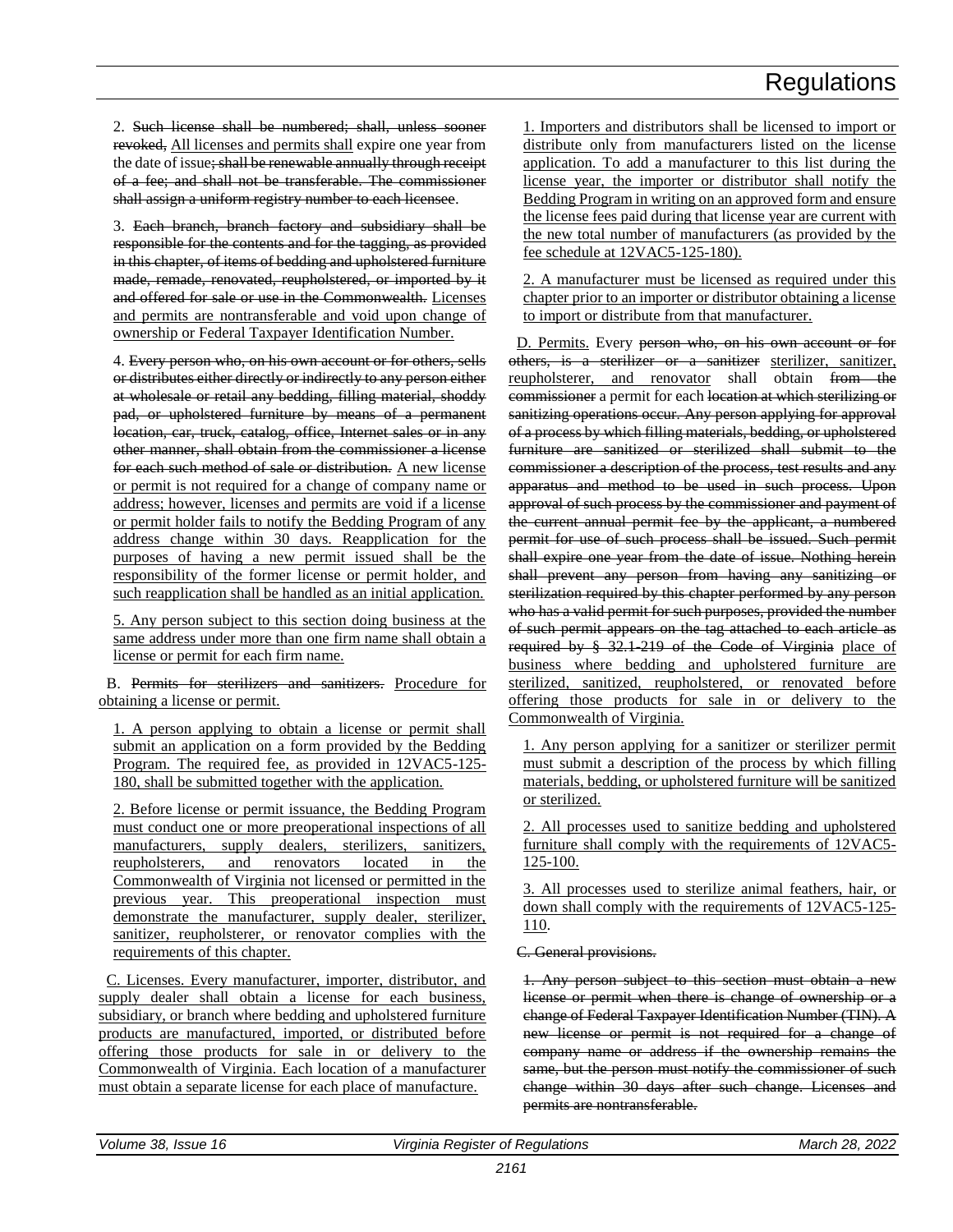2. Such license shall be numbered; shall, unless sooner revoked, All licenses and permits shall expire one year from the date of issue; shall be renewable annually through receipt of a fee; and shall not be transferable. The commissioner shall assign a uniform registry number to each licensee.

3. Each branch, branch factory and subsidiary shall be responsible for the contents and for the tagging, as provided in this chapter, of items of bedding and upholstered furniture made, remade, renovated, reupholstered, or imported by it and offered for sale or use in the Commonwealth. Licenses and permits are nontransferable and void upon change of ownership or Federal Taxpayer Identification Number.

4. Every person who, on his own account or for others, sells or distributes either directly or indirectly to any person either at wholesale or retail any bedding, filling material, shoddy pad, or upholstered furniture by means of a permanent location, car, truck, catalog, office, Internet sales or in any other manner, shall obtain from the commissioner a license for each such method of sale or distribution. A new license or permit is not required for a change of company name or address; however, licenses and permits are void if a license or permit holder fails to notify the Bedding Program of any address change within 30 days. Reapplication for the purposes of having a new permit issued shall be the responsibility of the former license or permit holder, and such reapplication shall be handled as an initial application.

5. Any person subject to this section doing business at the same address under more than one firm name shall obtain a license or permit for each firm name.

B. Permits for sterilizers and sanitizers. Procedure for obtaining a license or permit.

1. A person applying to obtain a license or permit shall submit an application on a form provided by the Bedding Program. The required fee, as provided in 12VAC5-125- 180, shall be submitted together with the application.

2. Before license or permit issuance, the Bedding Program must conduct one or more preoperational inspections of all manufacturers, supply dealers, sterilizers, sanitizers, reupholsterers, and renovators located in the Commonwealth of Virginia not licensed or permitted in the previous year. This preoperational inspection must demonstrate the manufacturer, supply dealer, sterilizer, sanitizer, reupholsterer, or renovator complies with the requirements of this chapter.

C. Licenses. Every manufacturer, importer, distributor, and supply dealer shall obtain a license for each business, subsidiary, or branch where bedding and upholstered furniture products are manufactured, imported, or distributed before offering those products for sale in or delivery to the Commonwealth of Virginia. Each location of a manufacturer must obtain a separate license for each place of manufacture.

1. Importers and distributors shall be licensed to import or distribute only from manufacturers listed on the license application. To add a manufacturer to this list during the license year, the importer or distributor shall notify the Bedding Program in writing on an approved form and ensure the license fees paid during that license year are current with the new total number of manufacturers (as provided by the fee schedule at 12VAC5-125-180).

2. A manufacturer must be licensed as required under this chapter prior to an importer or distributor obtaining a license to import or distribute from that manufacturer.

D. Permits. Every person who, on his own account or for others, is a sterilizer or a sanitizer sterilizer, sanitizer, reupholsterer, and renovator shall obtain from the commissioner a permit for each location at which sterilizing or sanitizing operations occur. Any person applying for approval of a process by which filling materials, bedding, or upholstered furniture are sanitized or sterilized shall submit to the commissioner a description of the process, test results and any apparatus and method to be used in such process. Upon approval of such process by the commissioner and payment of the current annual permit fee by the applicant, a numbered permit for use of such process shall be issued. Such permit shall expire one year from the date of issue. Nothing herein shall prevent any person from having any sanitizing or sterilization required by this chapter performed by any person who has a valid permit for such purposes, provided the number of such permit appears on the tag attached to each article as required by § 32.1-219 of the Code of Virginia place of business where bedding and upholstered furniture are sterilized, sanitized, reupholstered, or renovated before offering those products for sale in or delivery to the Commonwealth of Virginia.

1. Any person applying for a sanitizer or sterilizer permit must submit a description of the process by which filling materials, bedding, or upholstered furniture will be sanitized or sterilized.

2. All processes used to sanitize bedding and upholstered furniture shall comply with the requirements of 12VAC5- 125-100.

3. All processes used to sterilize animal feathers, hair, or down shall comply with the requirements of 12VAC5-125- 110.

#### C. General provisions.

1. Any person subject to this section must obtain a new license or permit when there is change of ownership or a change of Federal Taxpayer Identification Number (TIN). A new license or permit is not required for a change of company name or address if the ownership remains the same, but the person must notify the commissioner of such change within 30 days after such change. Licenses and permits are nontransferable.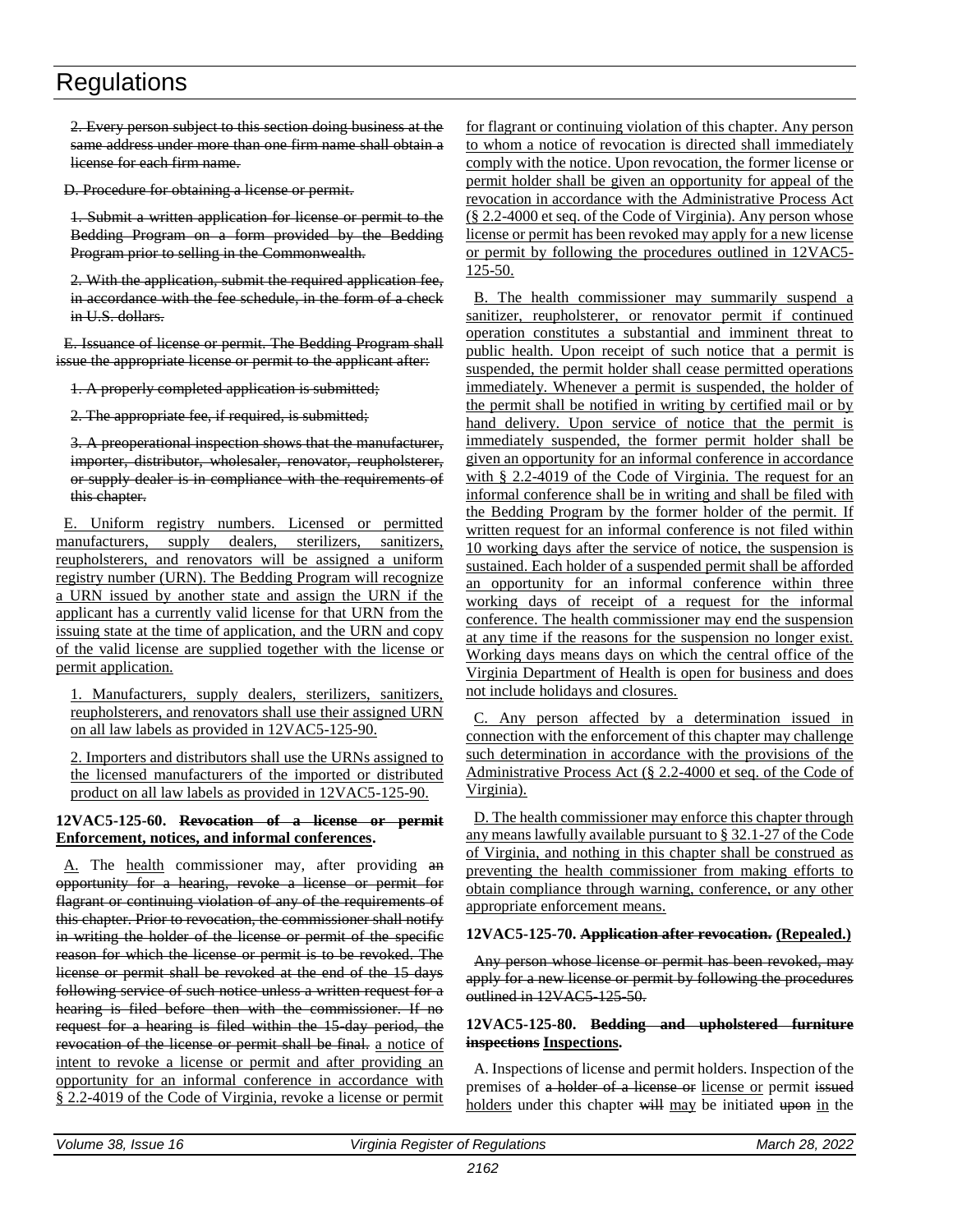2. Every person subject to this section doing business at the same address under more than one firm name shall obtain a license for each firm name.

D. Procedure for obtaining a license or permit.

1. Submit a written application for license or permit to the Bedding Program on a form provided by the Bedding Program prior to selling in the Commonwealth.

2. With the application, submit the required application fee, in accordance with the fee schedule, in the form of a check in U.S. dollars.

E. Issuance of license or permit. The Bedding Program shall issue the appropriate license or permit to the applicant after:

1. A properly completed application is submitted;

2. The appropriate fee, if required, is submitted;

3. A preoperational inspection shows that the manufacturer, importer, distributor, wholesaler, renovator, reupholsterer, or supply dealer is in compliance with the requirements of this chapter.

E. Uniform registry numbers. Licensed or permitted manufacturers, supply dealers, sterilizers, sanitizers, reupholsterers, and renovators will be assigned a uniform registry number (URN). The Bedding Program will recognize a URN issued by another state and assign the URN if the applicant has a currently valid license for that URN from the issuing state at the time of application, and the URN and copy of the valid license are supplied together with the license or permit application.

1. Manufacturers, supply dealers, sterilizers, sanitizers, reupholsterers, and renovators shall use their assigned URN on all law labels as provided in 12VAC5-125-90.

2. Importers and distributors shall use the URNs assigned to the licensed manufacturers of the imported or distributed product on all law labels as provided in 12VAC5-125-90.

#### **12VAC5-125-60. Revocation of a license or permit Enforcement, notices, and informal conferences.**

A. The health commissioner may, after providing an opportunity for a hearing, revoke a license or permit for flagrant or continuing violation of any of the requirements of this chapter. Prior to revocation, the commissioner shall notify in writing the holder of the license or permit of the specific reason for which the license or permit is to be revoked. The license or permit shall be revoked at the end of the 15 days following service of such notice unless a written request for a hearing is filed before then with the commissioner. If no request for a hearing is filed within the 15-day period, the revocation of the license or permit shall be final, a notice of intent to revoke a license or permit and after providing an opportunity for an informal conference in accordance with § 2.2-4019 of the Code of Virginia, revoke a license or permit

for flagrant or continuing violation of this chapter. Any person to whom a notice of revocation is directed shall immediately comply with the notice. Upon revocation, the former license or permit holder shall be given an opportunity for appeal of the revocation in accordance with the Administrative Process Act (§ 2.2-4000 et seq. of the Code of Virginia). Any person whose license or permit has been revoked may apply for a new license or permit by following the procedures outlined in 12VAC5- 125-50.

B. The health commissioner may summarily suspend a sanitizer, reupholsterer, or renovator permit if continued operation constitutes a substantial and imminent threat to public health. Upon receipt of such notice that a permit is suspended, the permit holder shall cease permitted operations immediately. Whenever a permit is suspended, the holder of the permit shall be notified in writing by certified mail or by hand delivery. Upon service of notice that the permit is immediately suspended, the former permit holder shall be given an opportunity for an informal conference in accordance with § 2.2-4019 of the Code of Virginia. The request for an informal conference shall be in writing and shall be filed with the Bedding Program by the former holder of the permit. If written request for an informal conference is not filed within 10 working days after the service of notice, the suspension is sustained. Each holder of a suspended permit shall be afforded an opportunity for an informal conference within three working days of receipt of a request for the informal conference. The health commissioner may end the suspension at any time if the reasons for the suspension no longer exist. Working days means days on which the central office of the Virginia Department of Health is open for business and does not include holidays and closures.

C. Any person affected by a determination issued in connection with the enforcement of this chapter may challenge such determination in accordance with the provisions of the Administrative Process Act (§ 2.2-4000 et seq. of the Code of Virginia).

D. The health commissioner may enforce this chapter through any means lawfully available pursuant to § 32.1-27 of the Code of Virginia, and nothing in this chapter shall be construed as preventing the health commissioner from making efforts to obtain compliance through warning, conference, or any other appropriate enforcement means.

#### **12VAC5-125-70. Application after revocation. (Repealed.)**

Any person whose license or permit has been revoked, may apply for a new license or permit by following the procedures outlined in 12VAC5 125 50.

#### **12VAC5-125-80. Bedding and upholstered furniture inspections Inspections.**

A. Inspections of license and permit holders. Inspection of the premises of a holder of a license or license or permit issued holders under this chapter will may be initiated upon in the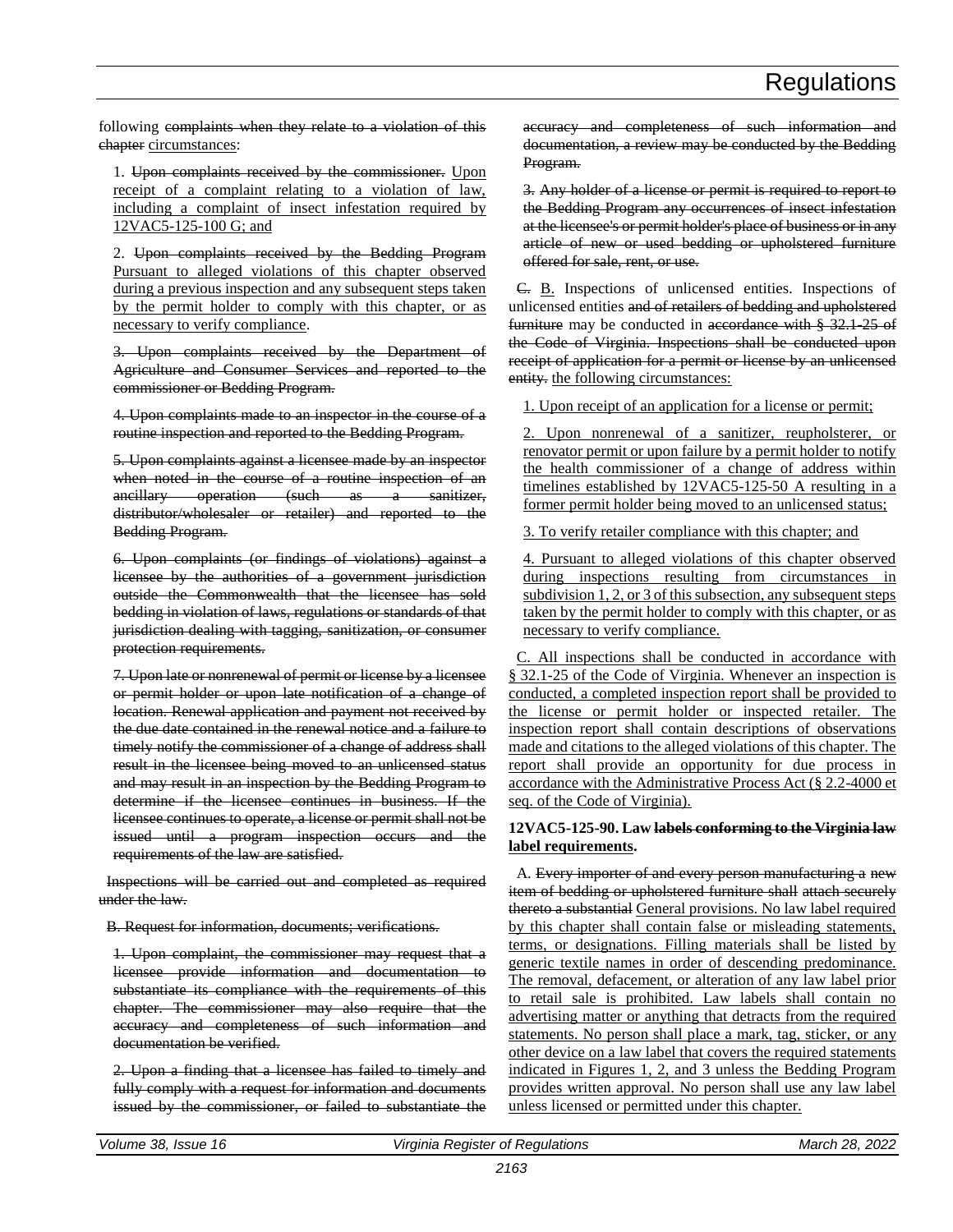following complaints when they relate to a violation of this chapter circumstances:

1. Upon complaints received by the commissioner. Upon receipt of a complaint relating to a violation of law, including a complaint of insect infestation required by 12VAC5-125-100 G; and

2. Upon complaints received by the Bedding Program Pursuant to alleged violations of this chapter observed during a previous inspection and any subsequent steps taken by the permit holder to comply with this chapter, or as necessary to verify compliance.

3. Upon complaints received by the Department of Agriculture and Consumer Services and reported to the commissioner or Bedding Program.

4. Upon complaints made to an inspector in the course of a routine inspection and reported to the Bedding Program.

5. Upon complaints against a licensee made by an inspector when noted in the course of a routine inspection of an ancillary operation (such as a sanitizer, distributor/wholesaler or retailer) and reported to the Bedding Program.

6. Upon complaints (or findings of violations) against a licensee by the authorities of a government jurisdiction outside the Commonwealth that the licensee has sold bedding in violation of laws, regulations or standards of that jurisdiction dealing with tagging, sanitization, or consumer protection requirements.

7. Upon late or nonrenewal of permit or license by a licensee or permit holder or upon late notification of a change of location. Renewal application and payment not received by the due date contained in the renewal notice and a failure to timely notify the commissioner of a change of address shall result in the licensee being moved to an unlicensed status and may result in an inspection by the Bedding Program to determine if the licensee continues in business. If the licensee continues to operate, a license or permit shall not be issued until a program inspection occurs and the requirements of the law are satisfied.

Inspections will be carried out and completed as required under the law.

B. Request for information, documents; verifications.

1. Upon complaint, the commissioner may request that a licensee provide information and documentation to substantiate its compliance with the requirements of this chapter. The commissioner may also require that the accuracy and completeness of such information and documentation be verified.

2. Upon a finding that a licensee has failed to timely and fully comply with a request for information and documents issued by the commissioner, or failed to substantiate the

accuracy and completeness of such information and documentation, a review may be conducted by the Bedding Program.

3. Any holder of a license or permit is required to report to the Bedding Program any occurrences of insect infestation at the licensee's or permit holder's place of business or in any article of new or used bedding or upholstered furniture offered for sale, rent, or use.

C. B. Inspections of unlicensed entities. Inspections of unlicensed entities and of retailers of bedding and upholstered furniture may be conducted in accordance with § 32.1-25 of the Code of Virginia. Inspections shall be conducted upon receipt of application for a permit or license by an unlicensed entity. the following circumstances:

1. Upon receipt of an application for a license or permit;

2. Upon nonrenewal of a sanitizer, reupholsterer, or renovator permit or upon failure by a permit holder to notify the health commissioner of a change of address within timelines established by 12VAC5-125-50 A resulting in a former permit holder being moved to an unlicensed status;

3. To verify retailer compliance with this chapter; and

4. Pursuant to alleged violations of this chapter observed during inspections resulting from circumstances in subdivision 1, 2, or 3 of this subsection, any subsequent steps taken by the permit holder to comply with this chapter, or as necessary to verify compliance.

C. All inspections shall be conducted in accordance with § 32.1-25 of the Code of Virginia. Whenever an inspection is conducted, a completed inspection report shall be provided to the license or permit holder or inspected retailer. The inspection report shall contain descriptions of observations made and citations to the alleged violations of this chapter. The report shall provide an opportunity for due process in accordance with the Administrative Process Act (§ 2.2-4000 et seq. of the Code of Virginia).

#### **12VAC5-125-90. Law labels conforming to the Virginia law label requirements.**

A. Every importer of and every person manufacturing a new item of bedding or upholstered furniture shall attach securely thereto a substantial General provisions. No law label required by this chapter shall contain false or misleading statements, terms, or designations. Filling materials shall be listed by generic textile names in order of descending predominance. The removal, defacement, or alteration of any law label prior to retail sale is prohibited. Law labels shall contain no advertising matter or anything that detracts from the required statements. No person shall place a mark, tag, sticker, or any other device on a law label that covers the required statements indicated in Figures 1, 2, and 3 unless the Bedding Program provides written approval. No person shall use any law label unless licensed or permitted under this chapter.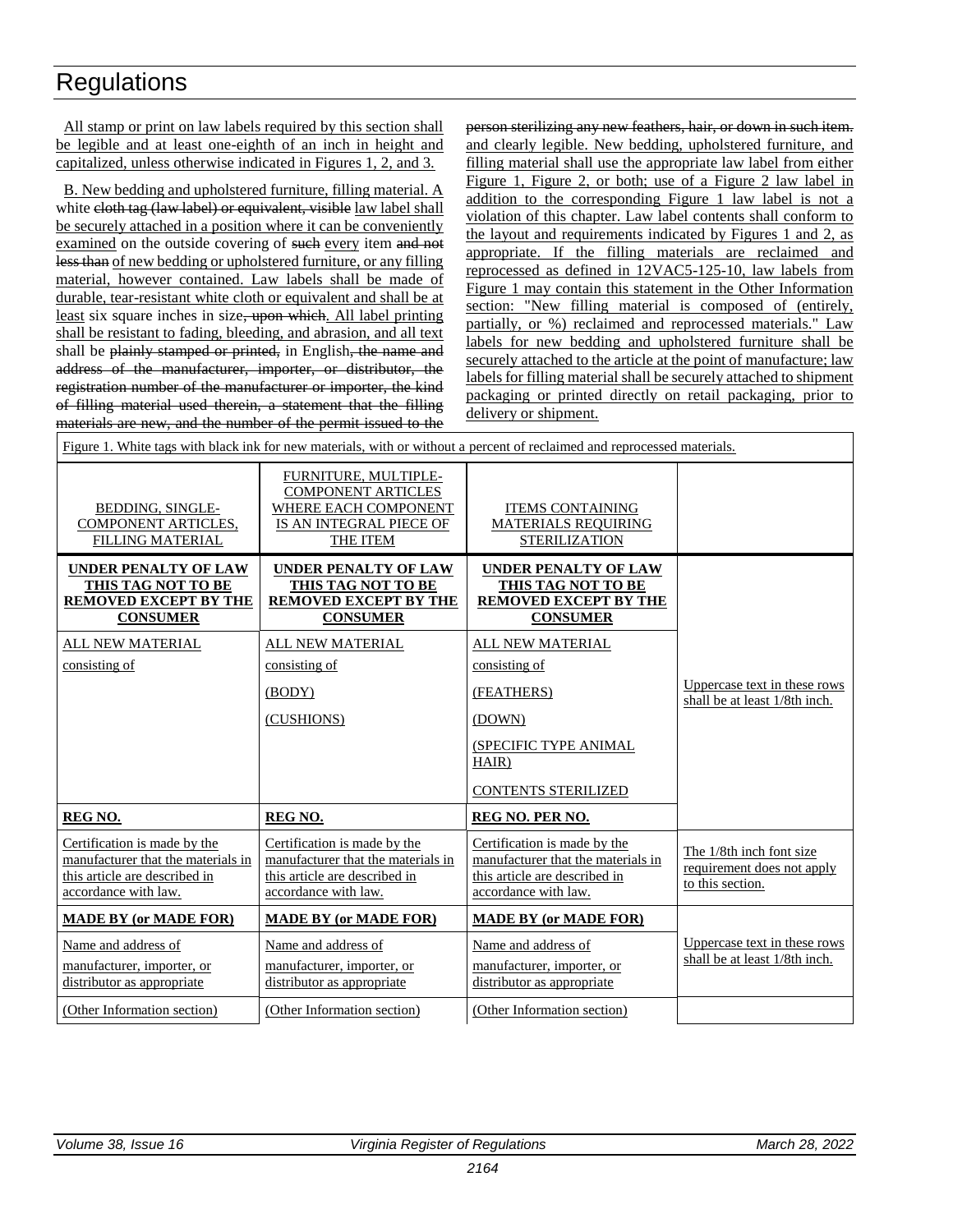All stamp or print on law labels required by this section shall be legible and at least one-eighth of an inch in height and capitalized, unless otherwise indicated in Figures 1, 2, and 3.

B. New bedding and upholstered furniture, filling material. A white eloth tag (law label) or equivalent, visible law label shall be securely attached in a position where it can be conveniently examined on the outside covering of such every item and not less than of new bedding or upholstered furniture, or any filling material, however contained. Law labels shall be made of durable, tear-resistant white cloth or equivalent and shall be at least six square inches in size, upon which. All label printing shall be resistant to fading, bleeding, and abrasion, and all text shall be plainly stamped or printed, in English, the name and address of the manufacturer, importer, or distributor, the registration number of the manufacturer or importer, the kind of filling material used therein, a statement that the filling materials are new, and the number of the permit issued to the

person sterilizing any new feathers, hair, or down in such item. and clearly legible. New bedding, upholstered furniture, and filling material shall use the appropriate law label from either Figure 1, Figure 2, or both; use of a Figure 2 law label in addition to the corresponding Figure 1 law label is not a violation of this chapter. Law label contents shall conform to the layout and requirements indicated by Figures 1 and 2, as appropriate. If the filling materials are reclaimed and reprocessed as defined in 12VAC5-125-10, law labels from Figure 1 may contain this statement in the Other Information section: "New filling material is composed of (entirely, partially, or %) reclaimed and reprocessed materials." Law labels for new bedding and upholstered furniture shall be securely attached to the article at the point of manufacture; law labels for filling material shall be securely attached to shipment packaging or printed directly on retail packaging, prior to delivery or shipment.

| Figure 1. White tags with black ink for new materials, with or without a percent of reclaimed and reprocessed materials.                                                     |                                                                                                                                                                                                                                                             |                                                                            |  |
|------------------------------------------------------------------------------------------------------------------------------------------------------------------------------|-------------------------------------------------------------------------------------------------------------------------------------------------------------------------------------------------------------------------------------------------------------|----------------------------------------------------------------------------|--|
| FURNITURE, MULTIPLE-<br><b>COMPONENT ARTICLES</b><br>WHERE EACH COMPONENT<br>IS AN INTEGRAL PIECE OF<br>THE ITEM                                                             | <b>ITEMS CONTAINING</b><br><b>MATERIALS REOUIRING</b><br><b>STERILIZATION</b>                                                                                                                                                                               |                                                                            |  |
| <b>UNDER PENALTY OF LAW</b><br>THIS TAG NOT TO BE<br><b>REMOVED EXCEPT BY THE</b><br><b>CONSUMER</b><br>ALL NEW MATERIAL<br>consisting of<br>(BODY)<br>(CUSHIONS)<br>REG NO. | <b>UNDER PENALTY OF LAW</b><br>THIS TAG NOT TO BE<br><b>REMOVED EXCEPT BY THE</b><br><b>CONSUMER</b><br>ALL NEW MATERIAL<br>consisting of<br>(FEATHERS)<br>(DOWN)<br>(SPECIFIC TYPE ANIMAL<br>HAIR)<br><b>CONTENTS STERILIZED</b><br><b>REG NO. PER NO.</b> | Uppercase text in these rows<br>shall be at least 1/8th inch.              |  |
| Certification is made by the<br>manufacturer that the materials in<br>this article are described in<br>accordance with law.<br><b>MADE BY (or MADE FOR)</b>                  | Certification is made by the<br>manufacturer that the materials in<br>this article are described in<br>accordance with law.<br><b>MADE BY (or MADE FOR)</b>                                                                                                 | The 1/8th inch font size<br>requirement does not apply<br>to this section. |  |
| Name and address of<br>manufacturer, importer, or<br>distributor as appropriate<br>(Other Information section)                                                               | Name and address of<br>manufacturer, importer, or<br>distributor as appropriate<br>(Other Information section)                                                                                                                                              | Uppercase text in these rows<br>shall be at least 1/8th inch.              |  |
|                                                                                                                                                                              |                                                                                                                                                                                                                                                             |                                                                            |  |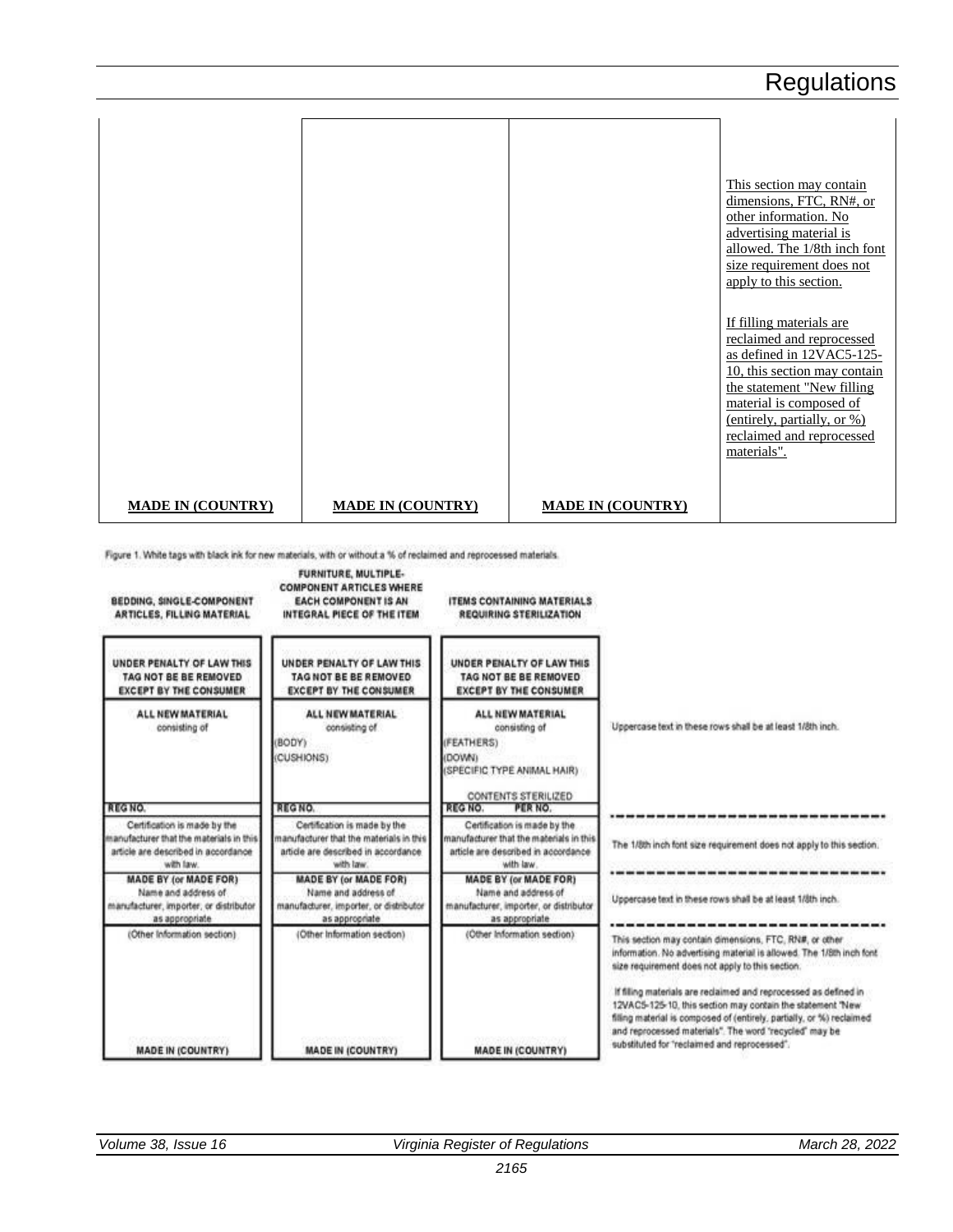|                          |                          |                          | This section may contain<br>dimensions, FTC, RN#, or<br>other information. No<br>advertising material is<br>allowed. The 1/8th inch font<br>size requirement does not<br>apply to this section.<br>If filling materials are<br>reclaimed and reprocessed<br>as defined in 12VAC5-125-<br>10, this section may contain<br>the statement "New filling"<br>material is composed of<br>(entirely, partially, or %)<br>reclaimed and reprocessed<br>materials". |
|--------------------------|--------------------------|--------------------------|------------------------------------------------------------------------------------------------------------------------------------------------------------------------------------------------------------------------------------------------------------------------------------------------------------------------------------------------------------------------------------------------------------------------------------------------------------|
| <b>MADE IN (COUNTRY)</b> | <b>MADE IN (COUNTRY)</b> | <b>MADE IN (COUNTRY)</b> |                                                                                                                                                                                                                                                                                                                                                                                                                                                            |

Figure 1. White tags with black ink for new materials, with or without a % of reclaimed and reprocessed materials.

BEDDING, SINGLE-COMPONENT ARTICLES, FILLING MATERIAL

FURNITURE, MULTIPLE-**COMPONENT ARTICLES WHERE EACH COMPONENT IS AN** INTEGRAL PIECE OF THE ITEM

**ITEMS CONTAINING MATERIALS** REQUIRING STERILIZATION

| UNDER PENALTY OF LAW THIS<br>TAG NOT BE BE REMOVED<br><b>EXCEPT BY THE CONSUMER</b>                                         | UNDER PENALTY OF LAW THIS<br>TAG NOT BE BE REMOVED<br><b>EXCEPT BY THE CONSUMER</b>                                         | UNDER PENALTY OF LAW THIS<br>TAG NOT BE BE REMOVED<br><b>EXCEPT BY THE CONSUMER</b>                                                                |                                                                                                                                                                                                                                                                                                                   |
|-----------------------------------------------------------------------------------------------------------------------------|-----------------------------------------------------------------------------------------------------------------------------|----------------------------------------------------------------------------------------------------------------------------------------------------|-------------------------------------------------------------------------------------------------------------------------------------------------------------------------------------------------------------------------------------------------------------------------------------------------------------------|
| <b>ALL NEW MATERIAL</b><br>consisting of<br><b>REGNO</b>                                                                    | ALL NEW MATERIAL<br>consisting of<br>(BODY)<br>(CUSHIONS)<br>REGNO.                                                         | ALL NEW MATERIAL<br>consisting of<br>(FEATHERS)<br>(DOWN)<br>(SPECIFIC TYPE ANIMAL HAIR)<br>CONTENTS STERILIZED<br><b>REG NO.</b><br><b>PERNO.</b> | Uppercase text in these rows shall be at least 1/8th inch.                                                                                                                                                                                                                                                        |
|                                                                                                                             |                                                                                                                             |                                                                                                                                                    |                                                                                                                                                                                                                                                                                                                   |
| Certification is made by the<br>manufacturer that the materials in this<br>article are described in accordance<br>with law. | Certification is made by the<br>manufacturer that the materials in this<br>article are described in accordance<br>with law. | Certification is made by the<br>manufacturer that the materials in this<br>article are described in accordance<br>with law.                        | The 1/8th inch font size requirement does not apply to this section.                                                                                                                                                                                                                                              |
| <b>MADE BY (or MADE FOR)</b><br>Name and address of<br>manufacturer, importer, or distributor<br>as appropriate             | <b>MADE BY (or MADE FOR)</b><br>Name and address of<br>manufacturer, importer, or distributor<br>as appropriate             | <b>MADE BY (or MADE FOR)</b><br>Name and address of<br>manufacturer, importer, or distributor<br>as appropriate                                    | Uppercase text in these rows shall be at least 1/8th inch.                                                                                                                                                                                                                                                        |
| (Other Information section)                                                                                                 | (Other Information section)                                                                                                 | (Other Information section).                                                                                                                       | This section may contain dimensions, FTC, RN#, or other<br>information. No advertising material is allowed. The 1/8th inch font.<br>size requirement does not apply to this section.                                                                                                                              |
| <b>MADE IN (COUNTRY)</b>                                                                                                    | <b>MADE IN (COUNTRY)</b>                                                                                                    | <b>MADE IN (COUNTRY)</b>                                                                                                                           | If filing materials are reclaimed and reprocessed as defined in<br>12VAC5-125-10, this section may contain the statement 'New<br>filling material is composed of (entirely, partially, or %) reclaimed.<br>and reprocessed materials". The word 'recycled' may be<br>substituted for "reclaimed and reprocessed". |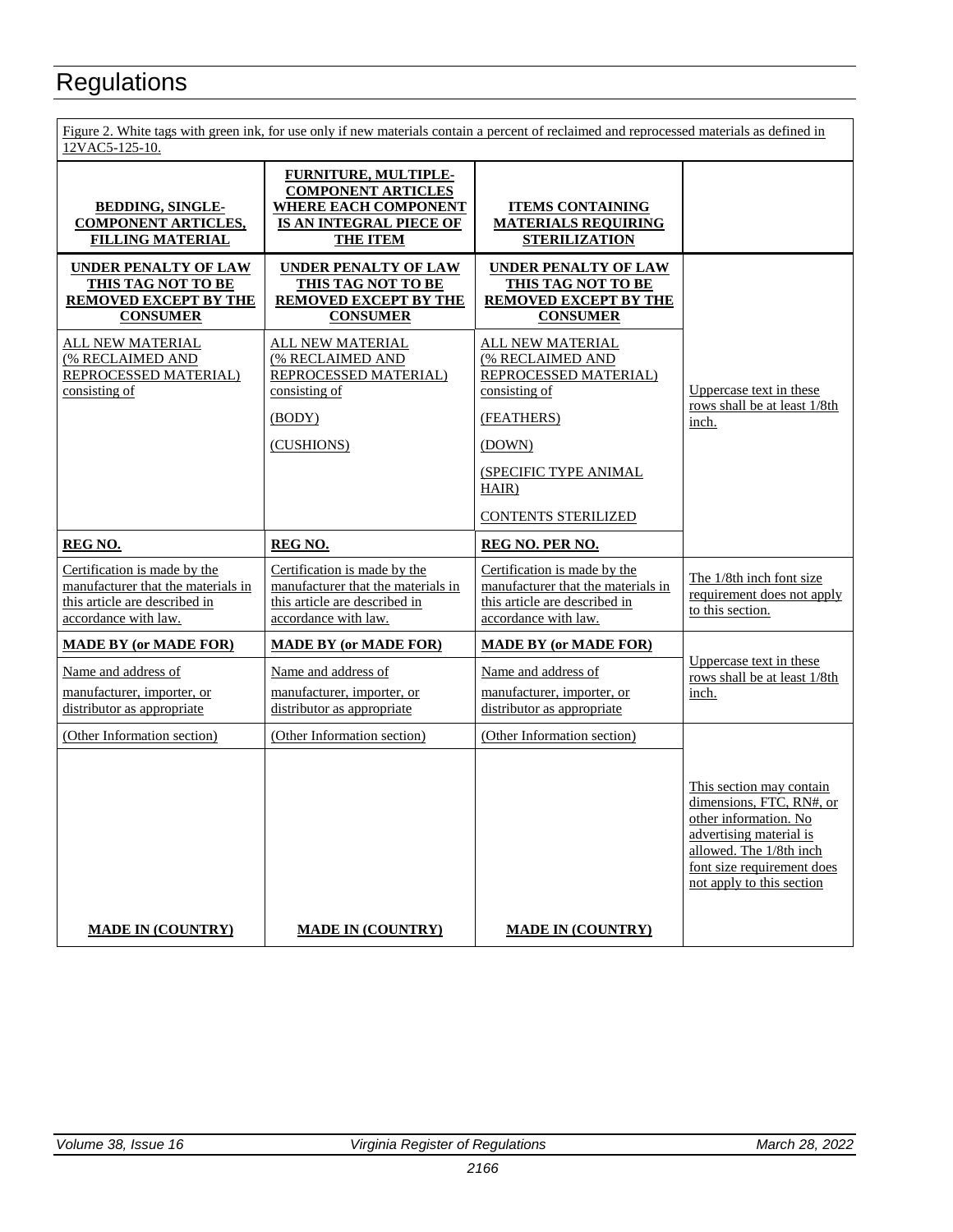| Figure 2. White tags with green ink, for use only if new materials contain a percent of reclaimed and reprocessed materials as defined in<br>12VAC5-125-10. |                                                                                                                                       |                                                                                                                                                                        |                                                                                                                                                                                                |
|-------------------------------------------------------------------------------------------------------------------------------------------------------------|---------------------------------------------------------------------------------------------------------------------------------------|------------------------------------------------------------------------------------------------------------------------------------------------------------------------|------------------------------------------------------------------------------------------------------------------------------------------------------------------------------------------------|
| <b>BEDDING, SINGLE-</b><br><b>COMPONENT ARTICLES,</b><br><b>FILLING MATERIAL</b>                                                                            | <b>FURNITURE, MULTIPLE-</b><br><b>COMPONENT ARTICLES</b><br><b>WHERE EACH COMPONENT</b><br>IS AN INTEGRAL PIECE OF<br><b>THE ITEM</b> | <b>ITEMS CONTAINING</b><br><b>MATERIALS REQUIRING</b><br><b>STERILIZATION</b>                                                                                          |                                                                                                                                                                                                |
| UNDER PENALTY OF LAW<br>THIS TAG NOT TO BE<br><b>REMOVED EXCEPT BY THE</b><br><b>CONSUMER</b>                                                               | <b>UNDER PENALTY OF LAW</b><br><b>THIS TAG NOT TO BE</b><br><b>REMOVED EXCEPT BY THE</b><br><b>CONSUMER</b>                           | <b>UNDER PENALTY OF LAW</b><br><b>THIS TAG NOT TO BE</b><br><b>REMOVED EXCEPT BY THE</b><br><b>CONSUMER</b>                                                            |                                                                                                                                                                                                |
| ALL NEW MATERIAL<br>(% RECLAIMED AND<br>REPROCESSED MATERIAL)<br>consisting of                                                                              | ALL NEW MATERIAL<br>(% RECLAIMED AND<br>REPROCESSED MATERIAL)<br>consisting of<br>(BODY)<br>(CUSHIONS)                                | ALL NEW MATERIAL<br>(% RECLAIMED AND<br>REPROCESSED MATERIAL)<br>consisting of<br>(FEATHERS)<br>(DOWN)<br>(SPECIFIC TYPE ANIMAL<br>HAIR)<br><b>CONTENTS STERILIZED</b> | Uppercase text in these<br>rows shall be at least 1/8th<br>inch.                                                                                                                               |
| REG NO.                                                                                                                                                     |                                                                                                                                       | <b>REG NO. PER NO.</b>                                                                                                                                                 |                                                                                                                                                                                                |
|                                                                                                                                                             | <b>REG NO.</b>                                                                                                                        |                                                                                                                                                                        |                                                                                                                                                                                                |
| Certification is made by the<br>manufacturer that the materials in<br>this article are described in<br>accordance with law.                                 | Certification is made by the<br>manufacturer that the materials in<br>this article are described in<br>accordance with law.           | Certification is made by the<br>manufacturer that the materials in<br>this article are described in<br>accordance with law.                                            | The 1/8th inch font size<br>requirement does not apply<br>to this section.                                                                                                                     |
| <b>MADE BY (or MADE FOR)</b>                                                                                                                                | <b>MADE BY (or MADE FOR)</b>                                                                                                          | <b>MADE BY (or MADE FOR)</b>                                                                                                                                           |                                                                                                                                                                                                |
| Name and address of<br>manufacturer, importer, or<br>distributor as appropriate                                                                             | Name and address of<br>manufacturer, importer, or<br>distributor as appropriate                                                       | Name and address of<br>manufacturer, importer, or<br>distributor as appropriate                                                                                        | Uppercase text in these<br>rows shall be at least 1/8th<br>inch.                                                                                                                               |
| (Other Information section)                                                                                                                                 | (Other Information section)                                                                                                           | (Other Information section)                                                                                                                                            |                                                                                                                                                                                                |
|                                                                                                                                                             |                                                                                                                                       |                                                                                                                                                                        | This section may contain<br>dimensions, FTC, RN#, or<br>other information. No<br>advertising material is<br>allowed. The 1/8th inch<br>font size requirement does<br>not apply to this section |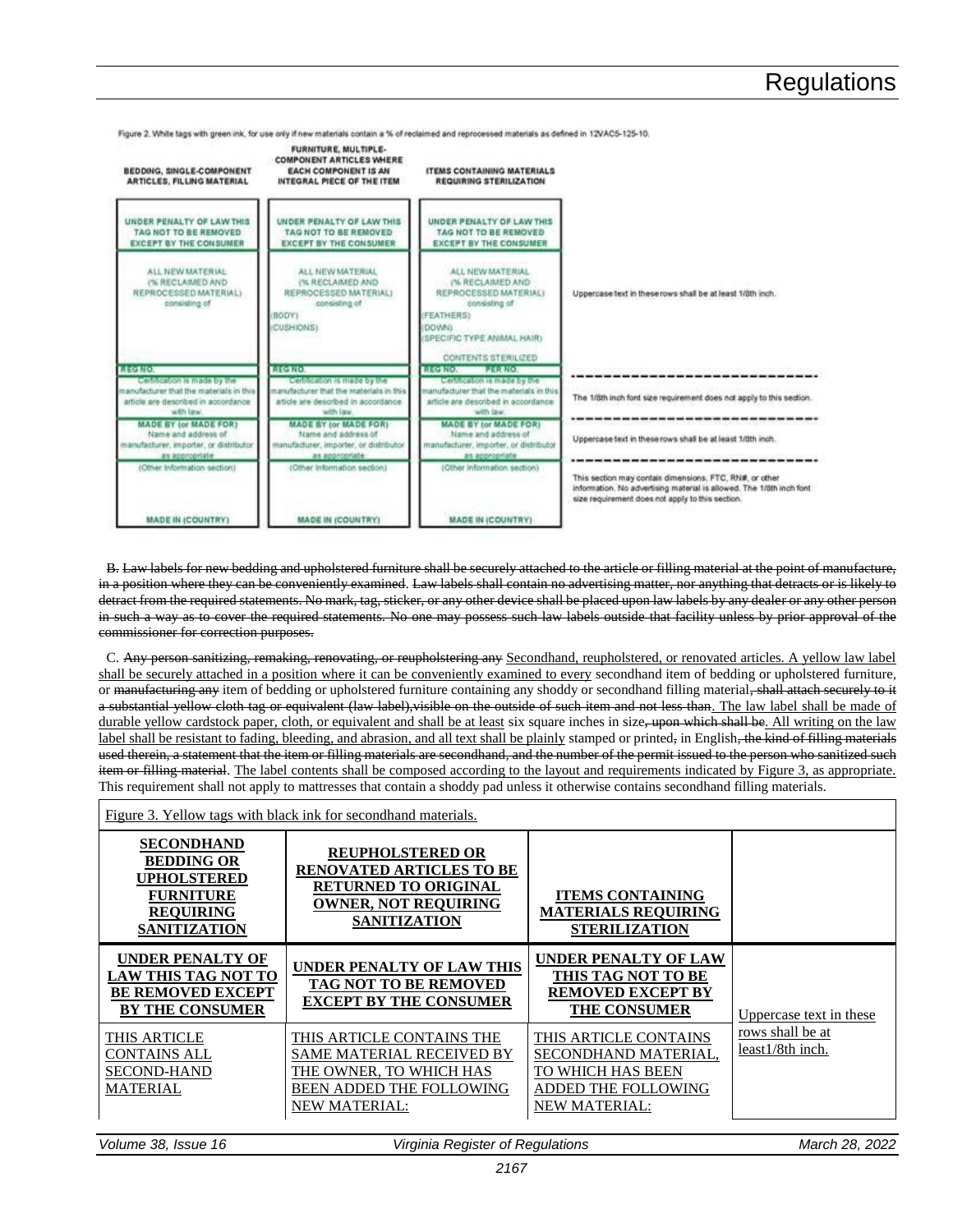FURNITURE, MULTIPLE-**COMPONENT ARTICLES WHERE BEDDING, SINGLE-COMPONENT ITEMS CONTAINING MATERIALS** EACH COMPONENT IS AN **ARTICLES, FILLING MATERIAL** INTEGRAL PIECE OF THE ITEM **REQUIRING STERILIZATION** UNDER PENALTY OF LAW THIS UNDER PENALTY OF LAW THIS UNDER PENALTY OF LAW THIS TAG NOT TO BE REMOVED. TAG NOT TO BE REMOVED TAG NOT TO BE REMOVED. **EXCEPT BY THE CONSUMER EXCEPT BY THE CONSUMER EXCEPT BY THE CONSUMER** ALL NEW MATERIAL ALL NEW MATERIAL ALL NEW MATERIAL (% RECLAIMED AND<br>REPROCESSED MATERIAL) (% RECLAIMED AND<br>REPROCESSED MATERIAL) (% RECLAIMED AND REPROCESSED MATERIAL) Uppercase text in these rows shall be at least 1/8th inch. ting of ting of to prite BODY) EATHERSY **GAVOO** CUSHIONS) PECIFIC TYPE ANIMAL HAIR) CONTENTS STERILIZED REG NO. PER NO.<br>Certification is made by the **HECTIC BECERED** Certification is made by the Certification is made by the -------------------------anufacturer that the materials in thi nufacturer that the materials in th nufacturer that the materials in thi The 1/8th inch font size requirement does not apply to this section. article are described in accordance article are described in accordance article are described in accordance with law. **ION TODAY** with law. **MADE BY (or MADE FOR) MADE BY (or MADE FOR) MADE BY (or MADE FOR)** Name and address of Name and address of Name and address of Uppercase text in these rows shall be at least 1/8th inch. anufacturer, importer, or distributo hufacturer, importer, or distribute ufacturer, importer, or distribute as appropriate as appropriate as appropriate (Other Information section) (Other Information section) (Other Information section) This section may contain dimensions, FTC, RN#, or other information. No advertising material is allowed. The 1/8th inch font size requirement does not apply to this section. **MADE IN (COUNTRY) MADE IN (COUNTRY) MADE IN (COUNTRY)** 

Figure 2. White tags with green ink, for use only if new materials contain a % of reclaimed and reprocessed materials as defined in 12VAC5-125-10.

B. Law labels for new bedding and upholstered furniture shall be securely attached to the article or filling material at the point of manufacture, in a position where they can be conveniently examined. Law labels shall contain no advertising matter, nor anything that detracts or is likely to detract from the required statements. No mark, tag, sticker, or any other device shall be placed upon law labels by any dealer or any other person in such a way as to cover the required statements. No one may possess such law labels outside that facility unless by prior approval of the commissioner for correction purposes.

C. Any person sanitizing, remaking, renovating, or reupholstering any Secondhand, reupholstered, or renovated articles. A yellow law label shall be securely attached in a position where it can be conveniently examined to every secondhand item of bedding or upholstered furniture, or manufacturing any item of bedding or upholstered furniture containing any shoddy or secondhand filling material, shall attach securely to it a substantial yellow cloth tag or equivalent (law label), visible on the outside of such item and not less than. The law label shall be made of durable yellow cardstock paper, cloth, or equivalent and shall be at least six square inches in size, upon which shall be. All writing on the law label shall be resistant to fading, bleeding, and abrasion, and all text shall be plainly stamped or printed, in English, the kind of filling materials used therein, a statement that the item or filling materials are secondhand, and the number of the permit issued to the person who sanitized such item or filling material. The label contents shall be composed according to the layout and requirements indicated by Figure 3, as appropriate. This requirement shall not apply to mattresses that contain a shoddy pad unless it otherwise contains secondhand filling materials.

| Figure 3. Yellow tags with black ink for second hand materials.                                                      |                                                                                                                                                 |                                                                                                                   |                                      |
|----------------------------------------------------------------------------------------------------------------------|-------------------------------------------------------------------------------------------------------------------------------------------------|-------------------------------------------------------------------------------------------------------------------|--------------------------------------|
| <b>SECONDHAND</b><br><b>BEDDING OR</b><br>UPHOLSTERED<br><b>FURNITURE</b><br><b>REQUIRING</b><br><b>SANITIZATION</b> | <b>REUPHOLSTERED OR</b><br><b>RENOVATED ARTICLES TO BE</b><br><b>RETURNED TO ORIGINAL</b><br><b>OWNER, NOT REQUIRING</b><br><b>SANITIZATION</b> | <b>ITEMS CONTAINING</b><br><b>MATERIALS REQUIRING</b><br><b>STERILIZATION</b>                                     |                                      |
| <b>UNDER PENALTY OF</b><br><b>LAW THIS TAG NOT TO</b><br><b>BE REMOVED EXCEPT</b><br><b>BY THE CONSUMER</b>          | <b>UNDER PENALTY OF LAW THIS</b><br>TAG NOT TO BE REMOVED<br><b>EXCEPT BY THE CONSUMER</b>                                                      | UNDER PENALTY OF LAW<br>THIS TAG NOT TO BE<br><b>REMOVED EXCEPT BY</b><br><b>THE CONSUMER</b>                     | Uppercase text in these              |
| THIS ARTICLE<br><b>CONTAINS ALL</b><br><b>SECOND-HAND</b><br>MATERIAL                                                | THIS ARTICLE CONTAINS THE<br>SAME MATERIAL RECEIVED BY<br>THE OWNER, TO WHICH HAS<br>BEEN ADDED THE FOLLOWING<br><b>NEW MATERIAL:</b>           | THIS ARTICLE CONTAINS<br>SECONDHAND MATERIAL,<br>TO WHICH HAS BEEN<br>ADDED THE FOLLOWING<br><u>NEW MATERIAL:</u> | rows shall be at<br>least1/8th inch. |
| Volume 38, Issue 16                                                                                                  | Virginia Register of Regulations                                                                                                                |                                                                                                                   | March 28, 2022                       |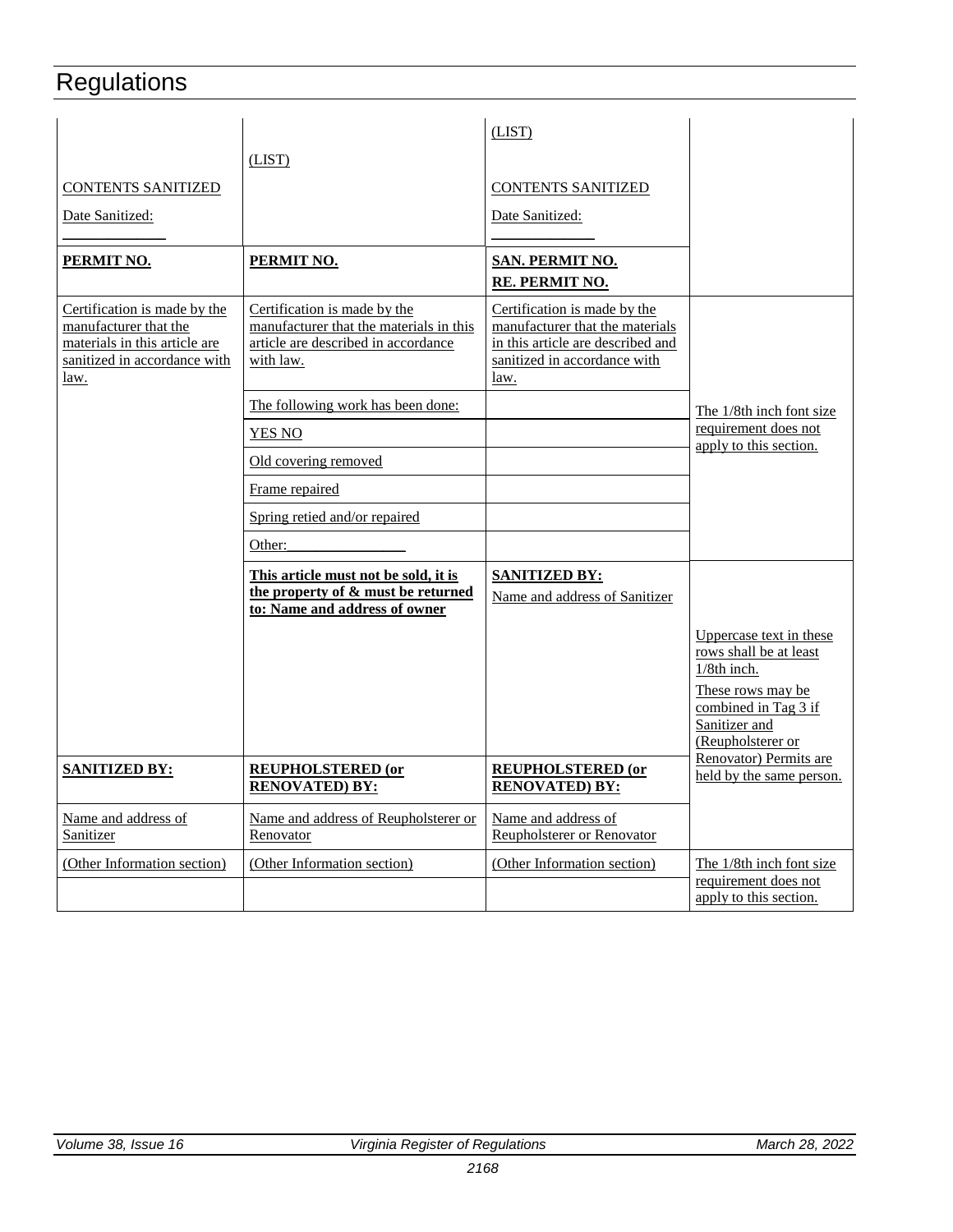| <b>CONTENTS SANITIZED</b><br><u>Date Sanitized:</u><br>PERMIT NO.                                                              | (LIST)<br>PERMIT NO.                                                                                                        | (LIST)<br><b>CONTENTS SANITIZED</b><br>Date Sanitized:<br>SAN. PERMIT NO.<br>RE. PERMIT NO.                                                  |                                                                                 |
|--------------------------------------------------------------------------------------------------------------------------------|-----------------------------------------------------------------------------------------------------------------------------|----------------------------------------------------------------------------------------------------------------------------------------------|---------------------------------------------------------------------------------|
| Certification is made by the<br>manufacturer that the<br>materials in this article are<br>sanitized in accordance with<br>law. | Certification is made by the<br>manufacturer that the materials in this<br>article are described in accordance<br>with law. | Certification is made by the<br>manufacturer that the materials<br>in this article are described and<br>sanitized in accordance with<br>law. |                                                                                 |
|                                                                                                                                | The following work has been done:                                                                                           |                                                                                                                                              | The 1/8th inch font size<br>requirement does not                                |
|                                                                                                                                | YES NO                                                                                                                      |                                                                                                                                              | apply to this section.                                                          |
|                                                                                                                                | Old covering removed                                                                                                        |                                                                                                                                              |                                                                                 |
|                                                                                                                                | Frame repaired                                                                                                              |                                                                                                                                              |                                                                                 |
|                                                                                                                                | Spring retied and/or repaired                                                                                               |                                                                                                                                              |                                                                                 |
|                                                                                                                                | Other:                                                                                                                      |                                                                                                                                              |                                                                                 |
|                                                                                                                                | This article must not be sold, it is<br>the property of & must be returned<br>to: Name and address of owner                 | <b>SANITIZED BY:</b><br>Name and address of Sanitizer                                                                                        |                                                                                 |
|                                                                                                                                |                                                                                                                             |                                                                                                                                              | Uppercase text in these<br>rows shall be at least<br>$1/8$ th inch.             |
|                                                                                                                                |                                                                                                                             |                                                                                                                                              | These rows may be<br>combined in Tag 3 if<br>Sanitizer and<br>(Reupholsterer or |
| <u>SANITIZED BY:</u>                                                                                                           | <b>REUPHOLSTERED (or</b><br><b>RENOVATED) BY:</b>                                                                           | <b>REUPHOLSTERED (or</b><br><b>RENOVATED) BY:</b>                                                                                            | Renovator) Permits are<br>held by the same person.                              |
| Name and address of<br>Sanitizer                                                                                               | Name and address of Reupholsterer or<br>Renovator                                                                           | Name and address of<br>Reupholsterer or Renovator                                                                                            |                                                                                 |
| (Other Information section)                                                                                                    | (Other Information section)                                                                                                 | (Other Information section)                                                                                                                  | The 1/8th inch font size                                                        |
|                                                                                                                                |                                                                                                                             |                                                                                                                                              | requirement does not<br>apply to this section.                                  |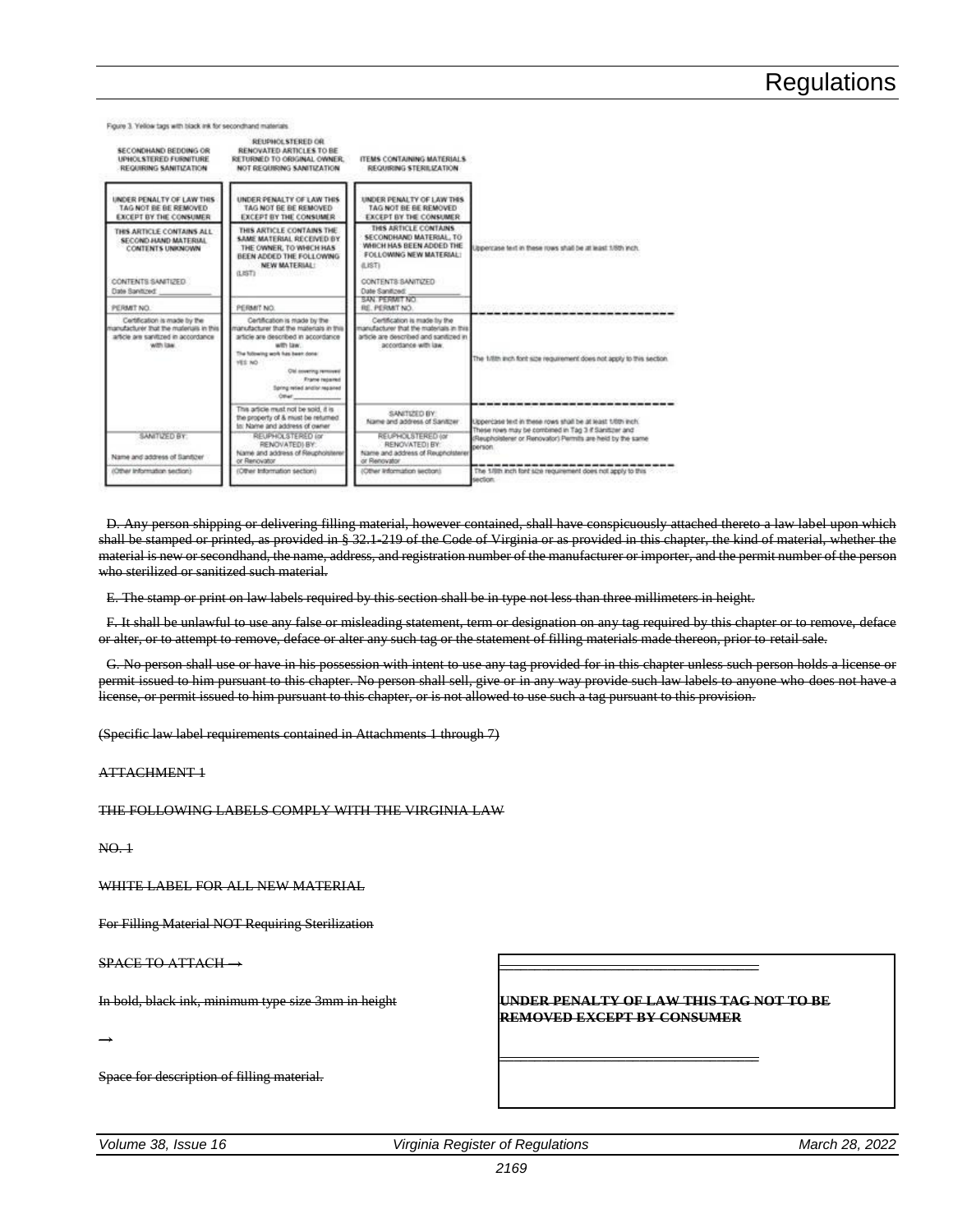| SECONDHAND BEDDING OR<br><b>UPHOL STERED FURNITURE</b><br>REQUIRING SANITIZATION                                            | REUPHOLSTERED OR<br>RENOVATED ARTICLES TO BE<br>RETURNED TO ORIGINAL OWNER.<br>NOT REQUIRING SANITIZATION.                                                                                                                                                    | ITEMS CONTAINING MATERIALS<br><b>REQUIRING STERILIZATION</b>                                                                                                                      |                                                                                                                     |
|-----------------------------------------------------------------------------------------------------------------------------|---------------------------------------------------------------------------------------------------------------------------------------------------------------------------------------------------------------------------------------------------------------|-----------------------------------------------------------------------------------------------------------------------------------------------------------------------------------|---------------------------------------------------------------------------------------------------------------------|
| UNDER PENALTY OF LAW THIS<br>TAG NOT BE BE REMOVED<br><b>EXCEPT BY THE CONSUMER</b>                                         | UNDER PENALTY OF LAW THIS<br>TAG NOT BE BE REMOVED.<br><b>EXCEPT BY THE CONSUMER</b>                                                                                                                                                                          | UNDER PENALTY OF LAW THIS<br>TAG NOT BE BE REMOVED<br><b>EXCEPT BY THE CONSUMER</b>                                                                                               |                                                                                                                     |
| THIS ARTICLE CONTAINS ALL<br>SECOND HAND MATERIAL<br><b>CONTENTS UNKNOWN</b><br>CONTENTS SANITUED.<br>Date Santowd          | THIS ARTICLE CONTAINS THE<br>SAME MATERIAL RECEIVED BY<br>THE OWNER, TO WHICH HAS<br>BEEN ADDED THE FOLLOWING<br><b>NEW MATERIAL!</b><br>(LIST)<br>발화 전작 정치 2011                                                                                              | THIS ARTICLE CONTAINS<br>SECONDHAND MATERIAL: TO<br>WHICH HAS BEEN ADDED THE<br>FOLLOWING NEW MATERIAL:<br><b>AISTI</b><br>CONTENTS SANITIZED.<br>Date Sanitowit<br>SAN PERMIT NO | [사진 주의] ( AMT & L& WARD LAWSON TARDE)<br>Uppercase text in these rows shall be at least 1/8th inch.                 |
| PERMIT NO.                                                                                                                  | PERMIT NO.                                                                                                                                                                                                                                                    | RE. PERMIT NO.                                                                                                                                                                    |                                                                                                                     |
| Certification is made by the<br>manufacturer that the materials in this<br>article are sanitized in accordance<br>with law. | Certification is made by the<br>manufacturer that the materials in this<br>article are described in accordance<br>with law:<br>The following work has been done:<br>YEE NO<br>Old covering removed<br>Frank repared<br>Spring retied and/or repaired<br>Other | Certification is made by the<br>manufacturer that the materials in this<br>article are described and sanitized in<br>accordance with law.                                         | The 1/8th inch font size requirement does not apply to this section.                                                |
|                                                                                                                             | This article must not be sold, it is<br>the property of & must be returned.<br>to: Name and address of owner                                                                                                                                                  | SANITIZED BY:<br>Name and address of Santowr                                                                                                                                      | Uppenciese text in these rows shall be at least 1/001 inch.<br>These rows may be combined in Tag 3 if Sanitizer and |
| SANTIZED BY:<br>Name and address of Sanfiger                                                                                | REUPHOLSTERED (or<br>RENOVATED BY:<br>Name and address of Reupholsterer<br>or Renovator                                                                                                                                                                       | REUPHOLSTERED (or<br><b>RENOVATEDI BY</b><br>Name and address of Reupholsterer<br>or Renovator                                                                                    | (Reupholstener or Renovator) Permits are held by the same<br>person.                                                |
| (Other Information section)                                                                                                 | (Other Information section)                                                                                                                                                                                                                                   | (Other Information lascbon)                                                                                                                                                       | The 1/8th inch ford size requirement does not apply to this<br>section.                                             |

D. Any person shipping or delivering filling material, however contained, shall have conspicuously attached thereto a law label upon which shall be stamped or printed, as provided in § 32.1-219 of the Code of Virginia or as provided in this chapter, the kind of material, whether the material is new or secondhand, the name, address, and registration number of the manufacturer or importer, and the permit number of the person who sterilized or sanitized such material.

E. The stamp or print on law labels required by this section shall be in type not less than three millimeters in height.

F. It shall be unlawful to use any false or misleading statement, term or designation on any tag required by this chapter or to remove, deface or alter, or to attempt to remove, deface or alter any such tag or the statement of filling materials made thereon, prior to retail sale.

G. No person shall use or have in his possession with intent to use any tag provided for in this chapter unless such person holds a license or permit issued to him pursuant to this chapter. No person shall sell, give or in any way provide such law labels to anyone who does not have a license, or permit issued to him pursuant to this chapter, or is not allowed to use such a tag pursuant to this provision.

(Specific law label requirements contained in Attachments 1 through 7)

ATTACHMENT 1

Figure 3. Yellow tags with black ink for secondhand materials

THE FOLLOWING LABELS COMPLY WITH THE VIRGINIA LAW

 $NO.1$ 

WHITE LABEL FOR ALL NEW MATERIAL

For Filling Material NOT Requiring Sterilization

SPACE TO ATTACH →

In bold, black ink, minimum type size 3mm in height

 $\rightarrow$ 

Space for description of filling material.

|  | <u>HNDED DENALTV OF LAW THIS TAC NOT TO RE</u> |  |
|--|------------------------------------------------|--|
|  | <b>REMOVED EXCEPT BY CONSUMER</b>              |  |
|  |                                                |  |

*Volume 38, Issue 16 Virginia Register of Regulations March 28, 2022*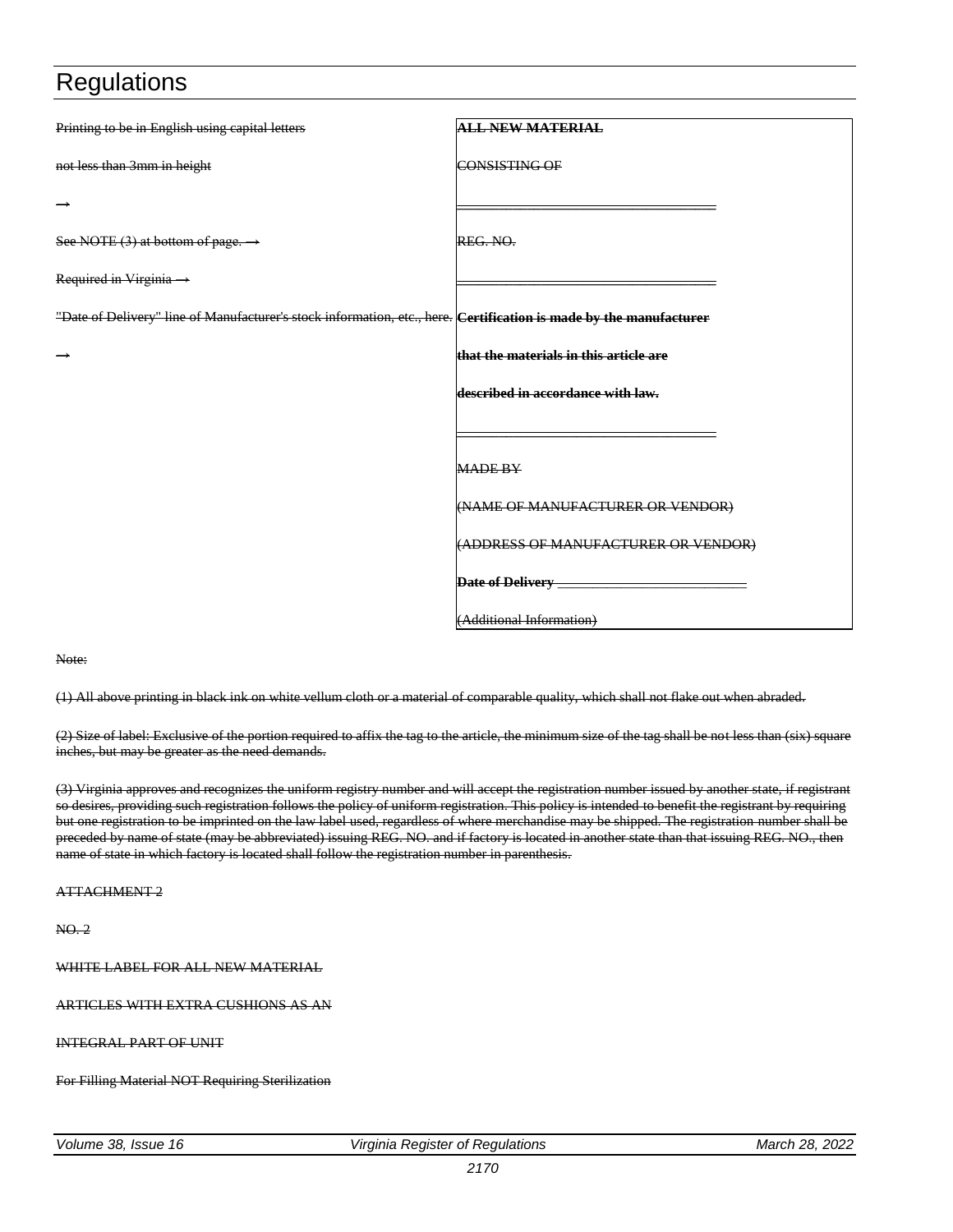| Printing to be in English using capital letters                                                                            | <b>ALL NEW MATERIAL</b>                |
|----------------------------------------------------------------------------------------------------------------------------|----------------------------------------|
| not less than 3mm in height                                                                                                | <b>CONSISTING OF</b>                   |
|                                                                                                                            |                                        |
| See NOTE $(3)$ at bottom of page. $\rightarrow$                                                                            | REG. NO.                               |
| Required in Virginia $\rightarrow$                                                                                         |                                        |
| "Date of Delivery" line of Manufacturer's stock information, etc., here. <b>(Certification is made by the manufacturer</b> |                                        |
|                                                                                                                            | that the materials in this article are |
|                                                                                                                            | described in accordance with law.      |
|                                                                                                                            |                                        |
|                                                                                                                            | <b>MADE BY</b>                         |
|                                                                                                                            | (NAME OF MANUFACTURER OR VENDOR)       |
|                                                                                                                            | (ADDRESS OF MANUFACTURER OR VENDOR)    |
|                                                                                                                            | Date of Delivery ___                   |
|                                                                                                                            | (Additional Information)               |

#### Note:

(1) All above printing in black ink on white vellum cloth or a material of comparable quality, which shall not flake out when abraded.

(2) Size of label: Exclusive of the portion required to affix the tag to the article, the minimum size of the tag shall be not less than (six) square inches, but may be greater as the need demands.

(3) Virginia approves and recognizes the uniform registry number and will accept the registration number issued by another state, if registrant so desires, providing such registration follows the policy of uniform registration. This policy is intended to benefit the registrant by requiring but one registration to be imprinted on the law label used, regardless of where merchandise may be shipped. The registration number shall be preceded by name of state (may be abbreviated) issuing REG. NO. and if factory is located in another state than that issuing REG. NO., then name of state in which factory is located shall follow the registration number in parenthesis.

#### ATTACHMENT 2

NO. 2

WHITE LABEL FOR ALL NEW MATERIAL

ARTICLES WITH EXTRA CUSHIONS AS AN

INTEGRAL PART OF UNIT

For Filling Material NOT Requiring Sterilization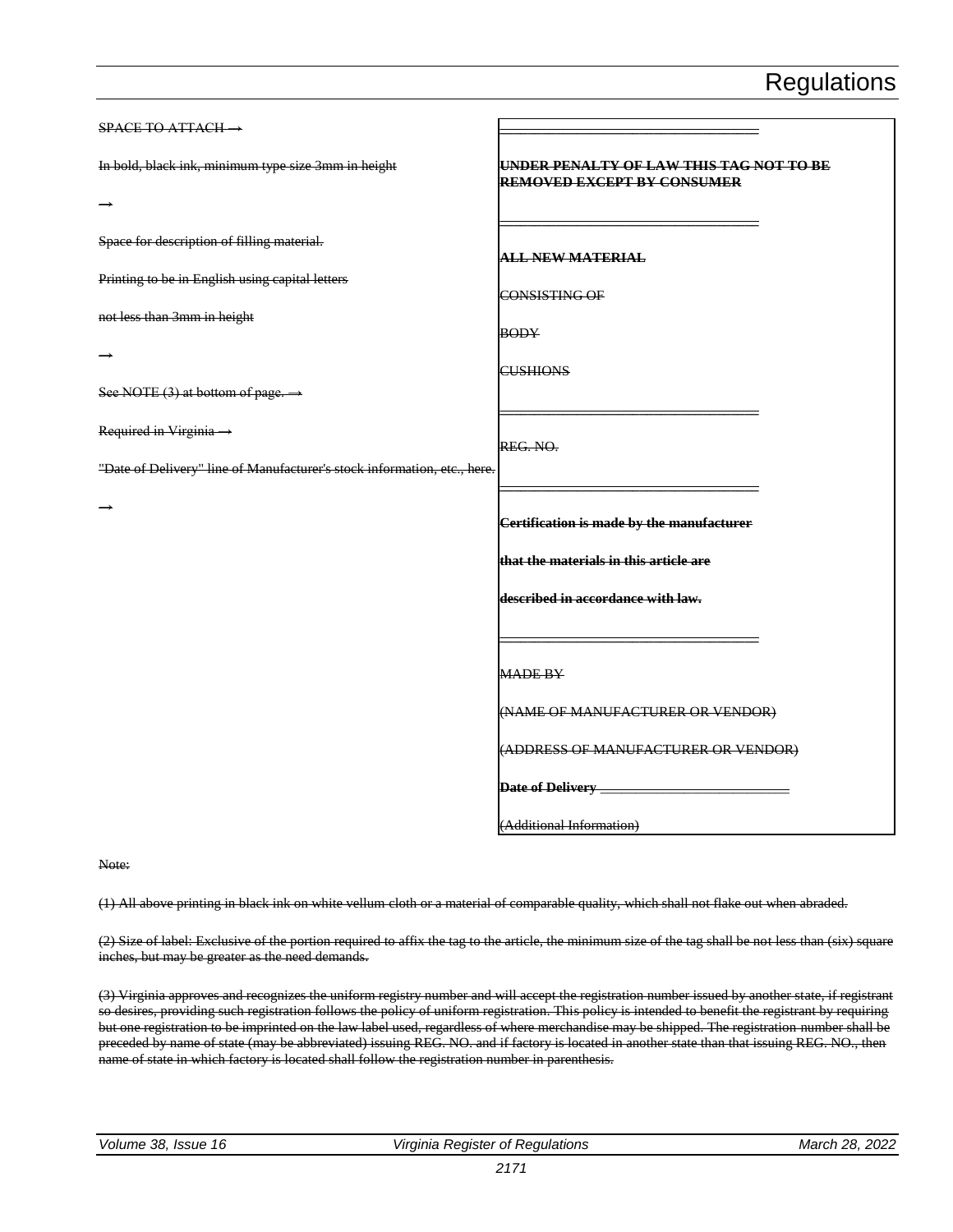| $SPACE$ TO ATTACH $\rightarrow$                                          |                                                                              |
|--------------------------------------------------------------------------|------------------------------------------------------------------------------|
| In bold, black ink, minimum type size 3mm in height                      | UNDER PENALTY OF LAW THIS TAG NOT TO BE<br><b>REMOVED EXCEPT BY CONSUMER</b> |
|                                                                          |                                                                              |
| Space for description of filling material.                               | <b>ALL NEW MATERIAL</b>                                                      |
| Printing to be in English using capital letters                          | CONSISTING OF                                                                |
| not less than 3mm in height                                              | <b>BODY</b>                                                                  |
| →                                                                        | <b>CUSHIONS</b>                                                              |
| See NOTE (3) at bottom of page. $\rightarrow$                            |                                                                              |
| Required in Virginia ->                                                  | REG. NO.                                                                     |
| "Date of Delivery" line of Manufacturer's stock information, etc., here. |                                                                              |
|                                                                          | Certification is made by the manufacturer                                    |
|                                                                          | that the materials in this article are                                       |
|                                                                          | described in accordance with law.                                            |
|                                                                          |                                                                              |
|                                                                          | <b>MADE BY</b>                                                               |
|                                                                          | (NAME OF MANUFACTURER OR VENDOR)                                             |
|                                                                          | (ADDRESS OF MANUFACTURER OR VENDOR)                                          |
|                                                                          | Date of Delivery ___                                                         |
|                                                                          | (Additional Information)                                                     |

Note:

(1) All above printing in black ink on white vellum cloth or a material of comparable quality, which shall not flake out when abraded.

(2) Size of label: Exclusive of the portion required to affix the tag to the article, the minimum size of the tag shall be not less than (six) square inches, but may be greater as the need demands.

(3) Virginia approves and recognizes the uniform registry number and will accept the registration number issued by another state, if registrant so desires, providing such registration follows the policy of uniform registration. This policy is intended to benefit the registrant by requiring but one registration to be imprinted on the law label used, regardless of where merchandise may be shipped. The registration number shall be preceded by name of state (may be abbreviated) issuing REG. NO. and if factory is located in another state than that issuing REG. NO., then name of state in which factory is located shall follow the registration number in parenthesis.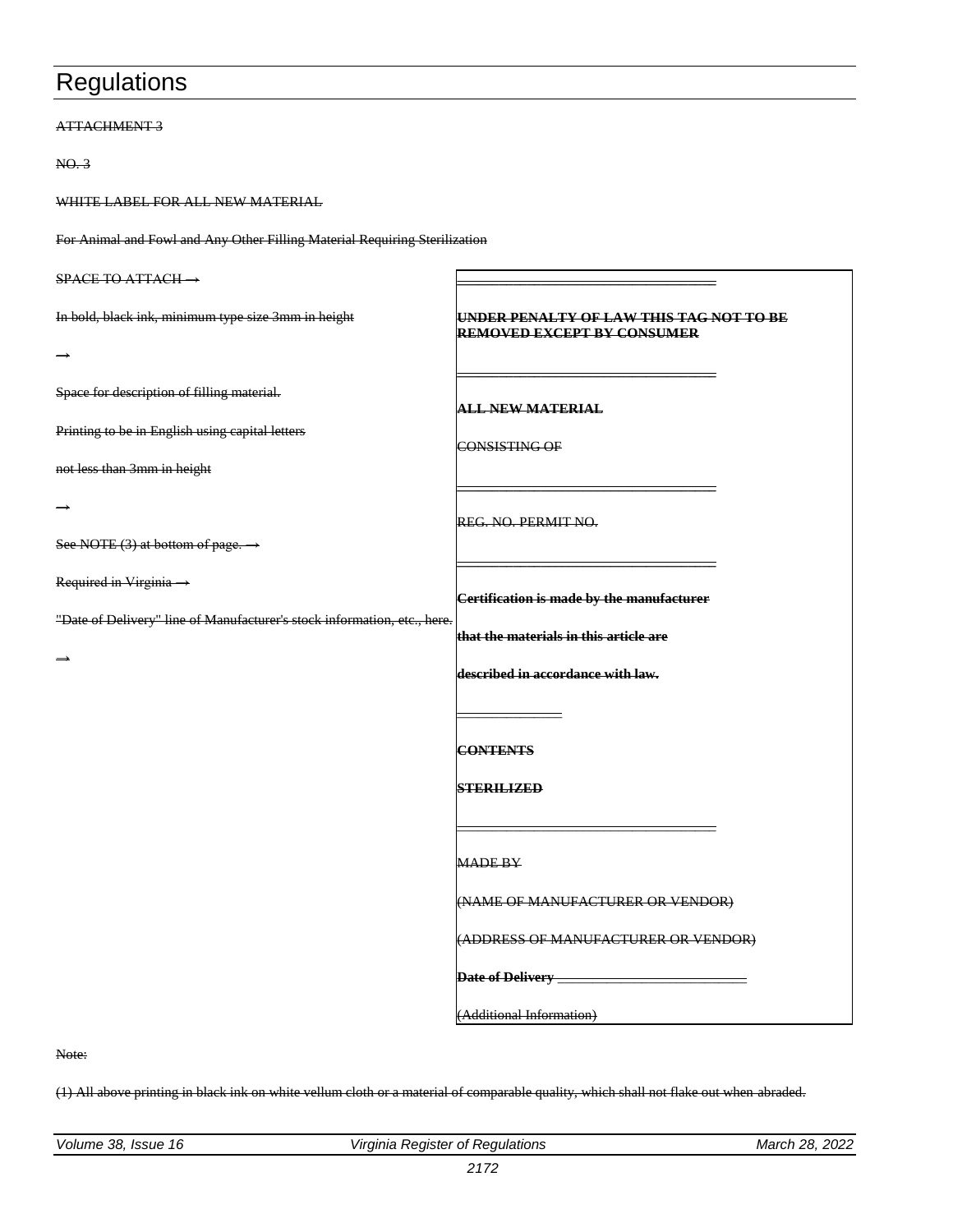#### ATTACHMENT 3

NO. 3

WHITE LABEL FOR ALL NEW MATERIAL

For Animal and Fowl and Any Other Filling Material Requiring Sterilization

| $SPACE TO ATTACH \rightarrow$                                            |                                                                              |
|--------------------------------------------------------------------------|------------------------------------------------------------------------------|
| In bold, black ink, minimum type size 3mm in height                      | UNDER PENALTY OF LAW THIS TAG NOT TO BE<br><b>REMOVED EXCEPT BY CONSUMER</b> |
| $\rightarrow$                                                            |                                                                              |
| Space for description of filling material.                               | <b>ALL NEW MATERIAL</b>                                                      |
| Printing to be in English using capital letters                          | CONSISTING OF                                                                |
| not less than 3mm in height                                              |                                                                              |
|                                                                          | REG. NO. PERMIT NO.                                                          |
| See NOTE (3) at bottom of page. $\rightarrow$                            |                                                                              |
| Required in Virginia ->                                                  | Certification is made by the manufacturer                                    |
| "Date of Delivery" line of Manufacturer's stock information, etc., here. | that the materials in this article are                                       |
|                                                                          | described in accordance with law.                                            |
|                                                                          |                                                                              |
|                                                                          | <b>CONTENTS</b>                                                              |
|                                                                          | <b>STERILIZED</b>                                                            |
|                                                                          |                                                                              |
|                                                                          | <b>MADE BY</b>                                                               |
|                                                                          | (NAME OF MANUFACTURER OR VENDOR)                                             |
|                                                                          | (ADDRESS OF MANUFACTURER OR VENDOR)                                          |
|                                                                          |                                                                              |
|                                                                          | (Additional Information)                                                     |

Note:

(1) All above printing in black ink on white vellum cloth or a material of comparable quality, which shall not flake out when abraded.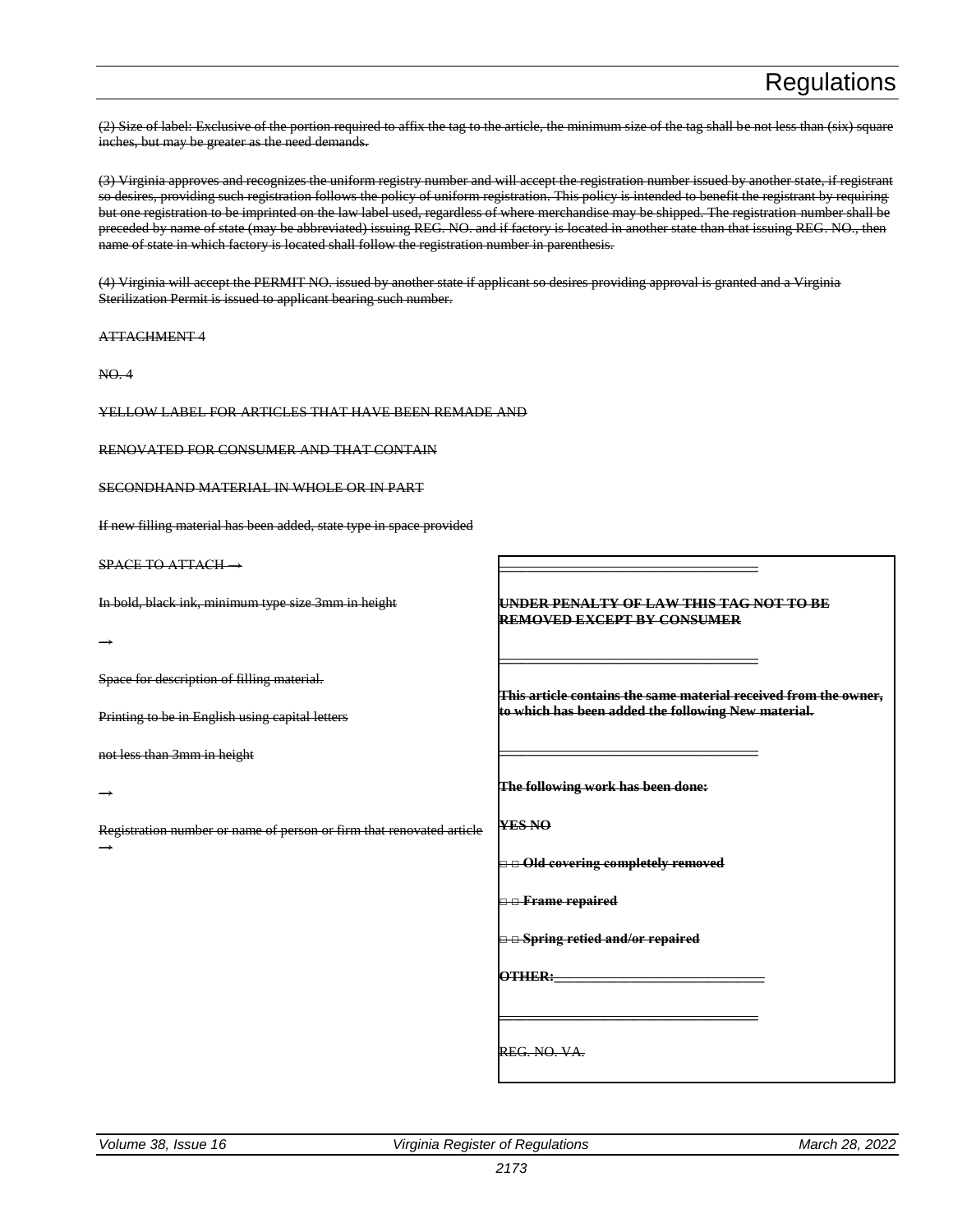(2) Size of label: Exclusive of the portion required to affix the tag to the article, the minimum size of the tag shall be not less than (six) square inches, but may be greater as the need demands.

(3) Virginia approves and recognizes the uniform registry number and will accept the registration number issued by another state, if registrant so desires, providing such registration follows the policy of uniform registration. This policy is intended to benefit the registrant by requiring but one registration to be imprinted on the law label used, regardless of where merchandise may be shipped. The registration number shall be preceded by name of state (may be abbreviated) issuing REG. NO. and if factory is located in another state than that issuing REG. NO., then name of state in which factory is located shall follow the registration number in parenthesis.

(4) Virginia will accept the PERMIT NO. issued by another state if applicant so desires providing approval is granted and a Virginia Sterilization Permit is issued to applicant bearing such number.

ATTACHMENT 4

NO. 4

YELLOW LABEL FOR ARTICLES THAT HAVE BEEN REMADE AND

RENOVATED FOR CONSUMER AND THAT CONTAIN

SECONDHAND MATERIAL IN WHOLE OR IN PART

If new filling material has been added, state type in space provided

SPACE TO ATTACH →

In bold, black ink, minimum type size 3mm in height

→

→

 $\rightarrow$ 

Space for description of filling material.

Printing to be in English using capital letters

not less than 3mm in height

Registration number or name of person or firm that renovated article

**UNDER PENALTY OF LAW THIS TAG NOT TO BE REMOVED EXCEPT BY CONSUMER \_\_\_\_\_\_\_\_\_\_\_\_\_\_\_\_\_\_\_\_\_\_\_\_\_\_\_\_\_\_\_\_\_\_\_\_\_ This article contains the same material received from the owner, to which has been added the following New material. \_\_\_\_\_\_\_\_\_\_\_\_\_\_\_\_\_\_\_\_\_\_\_\_\_\_\_\_\_\_\_\_\_\_\_\_\_ The following work has been done:**

**YES NO**

**□ □ Old covering completely removed**

**\_\_\_\_\_\_\_\_\_\_\_\_\_\_\_\_\_\_\_\_\_\_\_\_\_\_\_\_\_\_\_\_\_\_\_\_\_**

**□ □ Frame repaired**

**□ □ Spring retied and/or repaired**

**OTHER:\_\_\_\_\_\_\_\_\_\_\_\_\_\_\_\_\_\_\_\_\_\_\_\_\_\_\_\_\_\_**

**\_\_\_\_\_\_\_\_\_\_\_\_\_\_\_\_\_\_\_\_\_\_\_\_\_\_\_\_\_\_\_\_\_\_\_\_\_**

REG. NO. VA.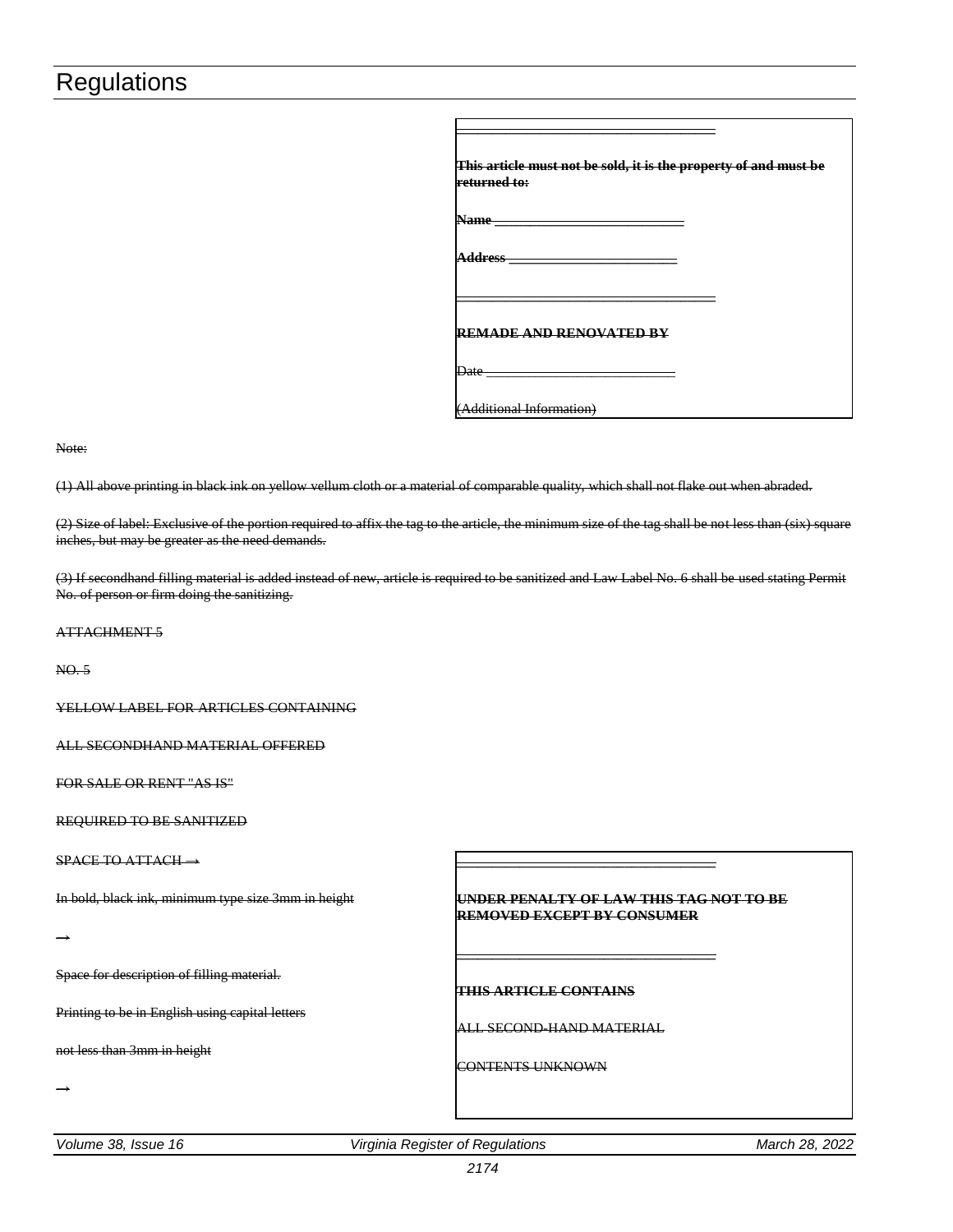| returned to:                   | This article must not be sold, it is the property of and must be |
|--------------------------------|------------------------------------------------------------------|
| Name                           |                                                                  |
| .ddress                        |                                                                  |
| <b>REMADE AND RENOVATED BY</b> |                                                                  |
| Date                           |                                                                  |
| Additional Information)        |                                                                  |

#### Note:

(1) All above printing in black ink on yellow vellum cloth or a material of comparable quality, which shall not flake out when abraded.

(2) Size of label: Exclusive of the portion required to affix the tag to the article, the minimum size of the tag shall be not less than (six) square inches, but may be greater as the need demands.

(3) If secondhand filling material is added instead of new, article is required to be sanitized and Law Label No. 6 shall be used stating Permit No. of person or firm doing the sanitizing.

ATTACHMENT 5

NO. 5

YELLOW LABEL FOR ARTICLES CONTAINING

ALL SECONDHAND MATERIAL OFFERED

FOR SALE OR RENT "AS IS"

REQUIRED TO BE SANITIZED

SPACE TO ATTACH →

In bold, black ink, minimum type size 3mm in height

→

Space for description of filling material.

Printing to be in English using capital letters

not less than 3mm in height

→

**UNDER PENALTY OF LAW THIS TAG NOT TO BE REMOVED EXCEPT BY CONSUMER**

**\_\_\_\_\_\_\_\_\_\_\_\_\_\_\_\_\_\_\_\_\_\_\_\_\_\_\_\_\_\_\_\_\_\_\_\_\_**

**\_\_\_\_\_\_\_\_\_\_\_\_\_\_\_\_\_\_\_\_\_\_\_\_\_\_\_\_\_\_\_\_\_\_\_\_\_**

**THIS ARTICLE CONTAINS**

ALL SECOND-HAND MATERIAL

CONTENTS UNKNOWN

*Volume 38, Issue 16 Virginia Register of Regulations March 28, 2022*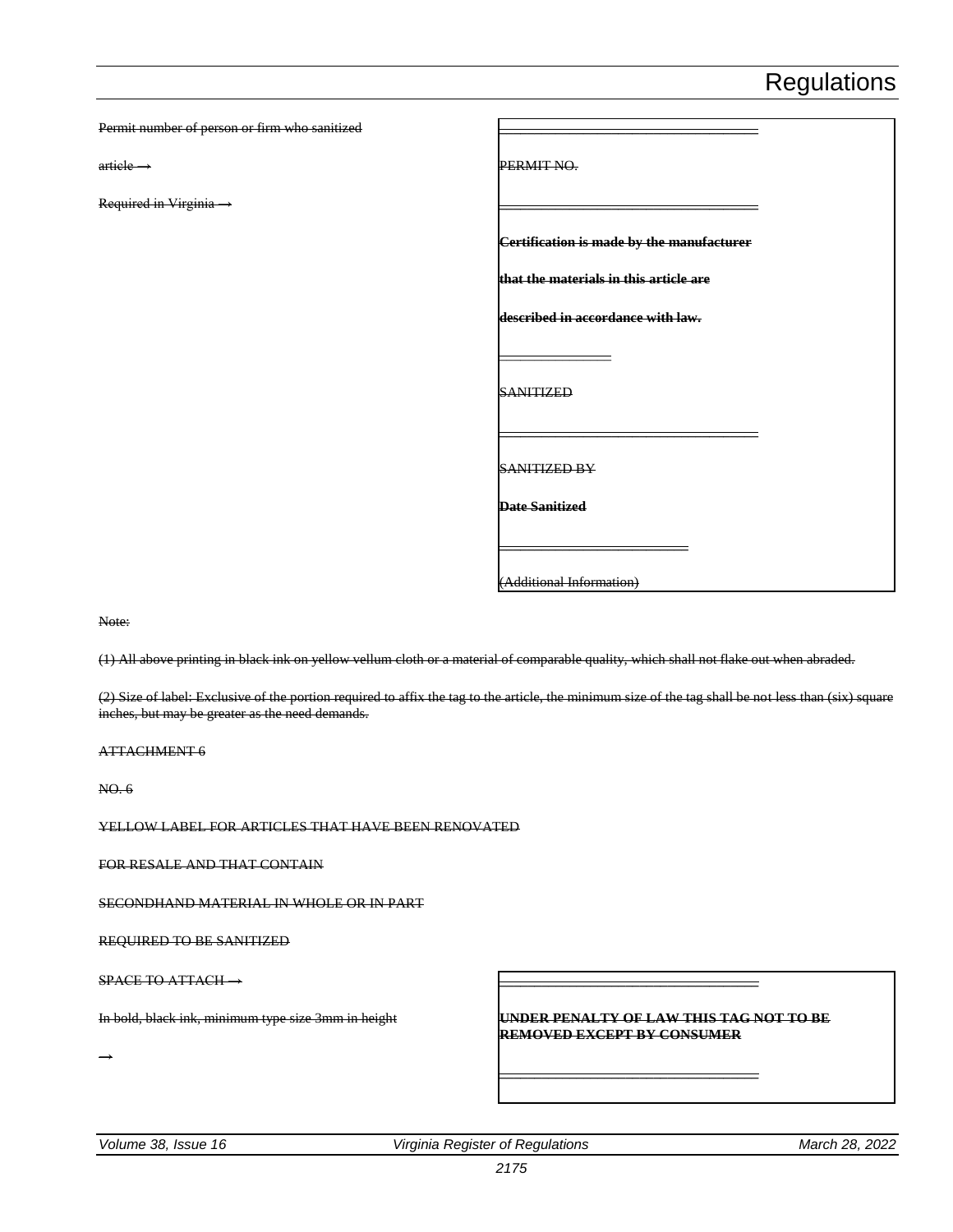| Permit number of person or firm who sanitized |                                           |
|-----------------------------------------------|-------------------------------------------|
| $article$                                     | PERMIT NO.                                |
| Required in Virginia ->                       |                                           |
|                                               | Certification is made by the manufacturer |
|                                               | that the materials in this article are    |
|                                               | described in accordance with law.         |
|                                               | <b>SANITIZED</b>                          |
|                                               | <b>SANITIZED BY</b>                       |
|                                               | <b>Date Sanitized</b>                     |
|                                               | (Additional Information)                  |

Note:

(1) All above printing in black ink on yellow vellum cloth or a material of comparable quality, which shall not flake out when abraded.

(2) Size of label: Exclusive of the portion required to affix the tag to the article, the minimum size of the tag shall be not less than (six) square inches, but may be greater as the need demands.

ATTACHMENT 6

NO. 6

YELLOW LABEL FOR ARTICLES THAT HAVE BEEN RENOVATED

FOR RESALE AND THAT CONTAIN

SECONDHAND MATERIAL IN WHOLE OR IN PART

REQUIRED TO BE SANITIZED

SPACE TO ATTACH →

In bold, black ink, minimum type size 3mm in height

→

**UNDER PENALTY OF LAW THIS TAG NOT TO BE REMOVED EXCEPT BY CONSUMER**

**\_\_\_\_\_\_\_\_\_\_\_\_\_\_\_\_\_\_\_\_\_\_\_\_\_\_\_\_\_\_\_\_\_\_\_\_\_**

**\_\_\_\_\_\_\_\_\_\_\_\_\_\_\_\_\_\_\_\_\_\_\_\_\_\_\_\_\_\_\_\_\_\_\_\_\_**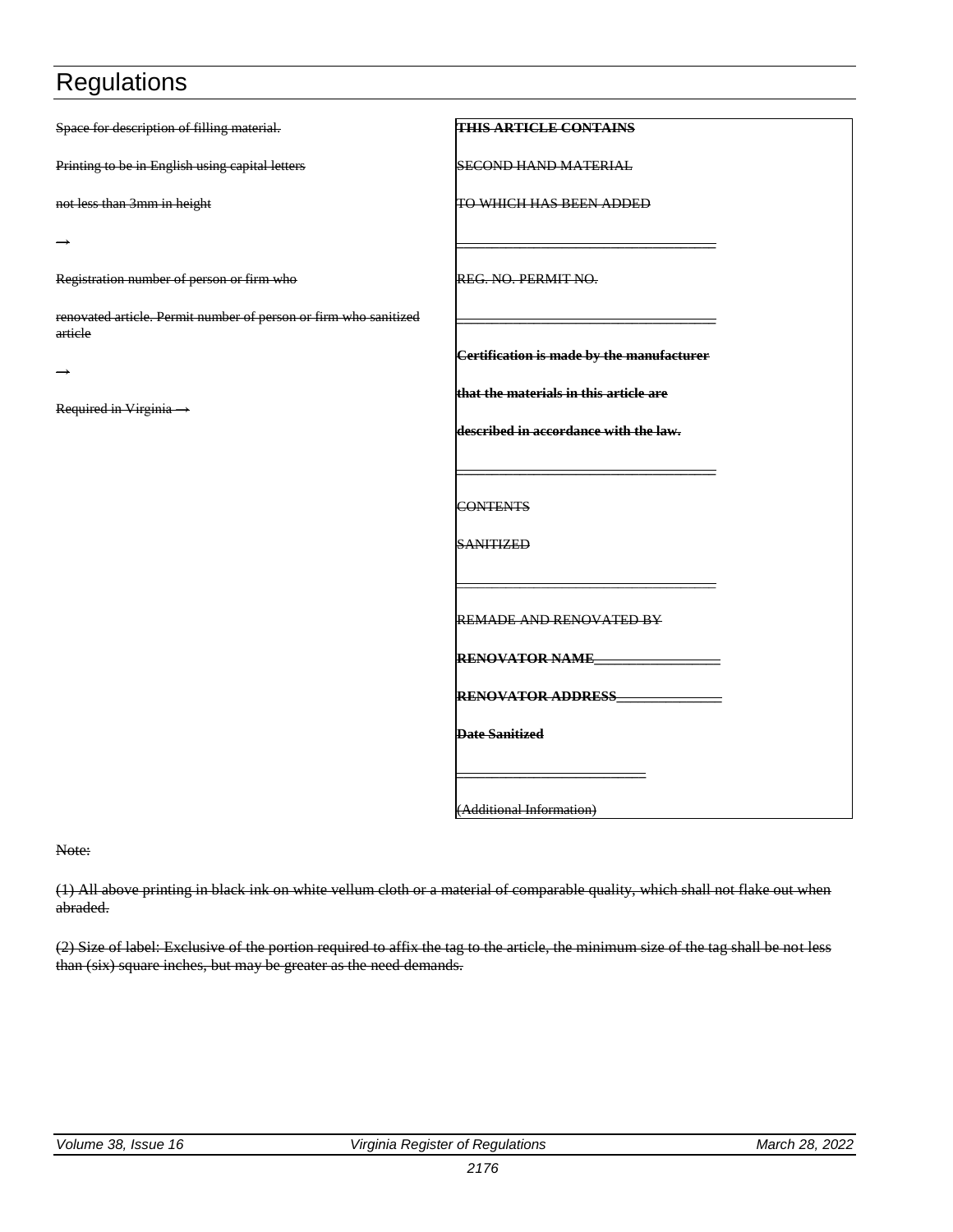| Space for description of filling material.                                  | <b>THIS ARTICLE CONTAINS</b>              |
|-----------------------------------------------------------------------------|-------------------------------------------|
| Printing to be in English using capital letters                             | <b>SECOND HAND MATERIAL</b>               |
| not less than 3mm in height                                                 | TO WHICH HAS BEEN ADDED                   |
|                                                                             |                                           |
| Registration number of person or firm who                                   | REG. NO. PERMIT NO.                       |
| renovated article. Permit number of person or firm who sanitized<br>article |                                           |
|                                                                             | Certification is made by the manufacturer |
|                                                                             | that the materials in this article are    |
| Required in Virginia $\rightarrow$                                          | described in accordance with the law.     |
|                                                                             |                                           |
|                                                                             | <b>CONTENTS</b>                           |
|                                                                             | <b>SANITIZED</b>                          |
|                                                                             |                                           |
|                                                                             | REMADE AND RENOVATED BY                   |
|                                                                             | <b>RENOVATOR NAME_</b>                    |
|                                                                             | <b>RENOVATOR ADDRESS</b>                  |
|                                                                             | <b>Date Sanitized</b>                     |
|                                                                             |                                           |
|                                                                             | (Additional Information)                  |

Note:

(1) All above printing in black ink on white vellum cloth or a material of comparable quality, which shall not flake out when abraded.

(2) Size of label: Exclusive of the portion required to affix the tag to the article, the minimum size of the tag shall be not less than (six) square inches, but may be greater as the need demands.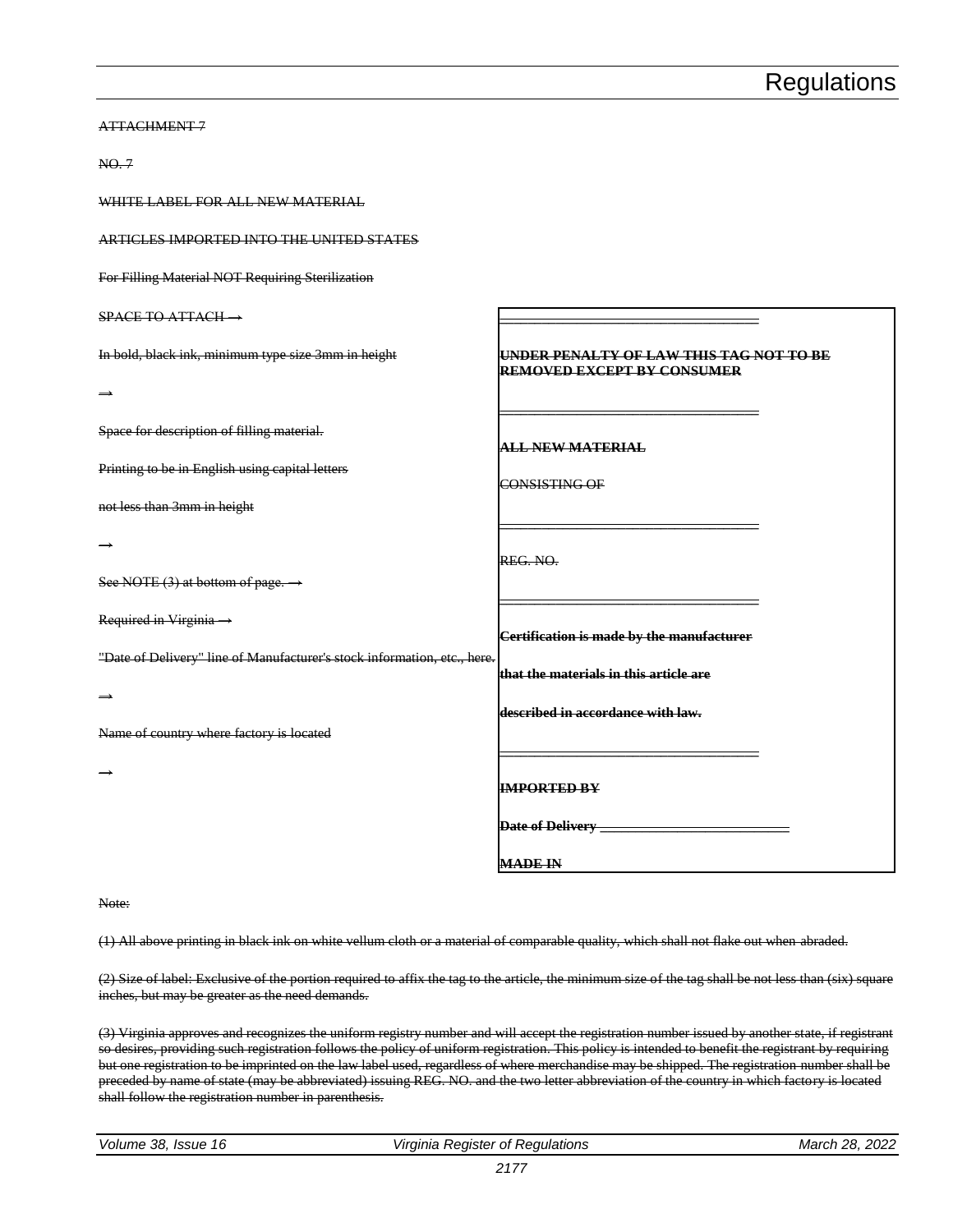| NO.7                                                                     |                                                                                     |
|--------------------------------------------------------------------------|-------------------------------------------------------------------------------------|
| WHITE LABEL FOR ALL NEW MATERIAL                                         |                                                                                     |
| ARTICLES IMPORTED INTO THE UNITED STATES                                 |                                                                                     |
| For Filling Material NOT Requiring Sterilization                         |                                                                                     |
| $SPACE TO ATTACH \rightarrow$                                            |                                                                                     |
| In bold, black ink, minimum type size 3mm in height                      | <u>UNDER PENALTY OF LAW THIS TAG NOT TO BE</u><br><b>REMOVED EXCEPT BY CONSUMER</b> |
|                                                                          |                                                                                     |
| Space for description of filling material.                               | <b>ALL NEW MATERIAL</b>                                                             |
| Printing to be in English using capital letters                          | CONSISTING OF                                                                       |
| not less than 3mm in height                                              |                                                                                     |
|                                                                          | REG. NO.                                                                            |
| See NOTE $(3)$ at bottom of page. $\rightarrow$                          |                                                                                     |
| Required in Virginia ->                                                  | Certification is made by the manufacturer                                           |
| "Date of Delivery" line of Manufacturer's stock information, etc., here. | that the materials in this article are                                              |
| $\rightarrow$                                                            | described in accordance with law.                                                   |
| Name of country where factory is located                                 |                                                                                     |
|                                                                          | <b>IMPORTED BY</b>                                                                  |
|                                                                          | <b>Date of Delivery</b>                                                             |
|                                                                          | <b>MADE IN</b>                                                                      |

Note:

ATTACHMENT 7

(1) All above printing in black ink on white vellum cloth or a material of comparable quality, which shall not flake out when abraded.

(2) Size of label: Exclusive of the portion required to affix the tag to the article, the minimum size of the tag shall be not less than (six) square inches, but may be greater as the need demands.

(3) Virginia approves and recognizes the uniform registry number and will accept the registration number issued by another state, if registrant so desires, providing such registration follows the policy of uniform registration. This policy is intended to benefit the registrant by requiring but one registration to be imprinted on the law label used, regardless of where merchandise may be shipped. The registration number shall be preceded by name of state (may be abbreviated) issuing REG. NO. and the two letter abbreviation of the country in which factory is located shall follow the registration number in parenthesis.

| Volume 38, Issue 16 |  |
|---------------------|--|
|---------------------|--|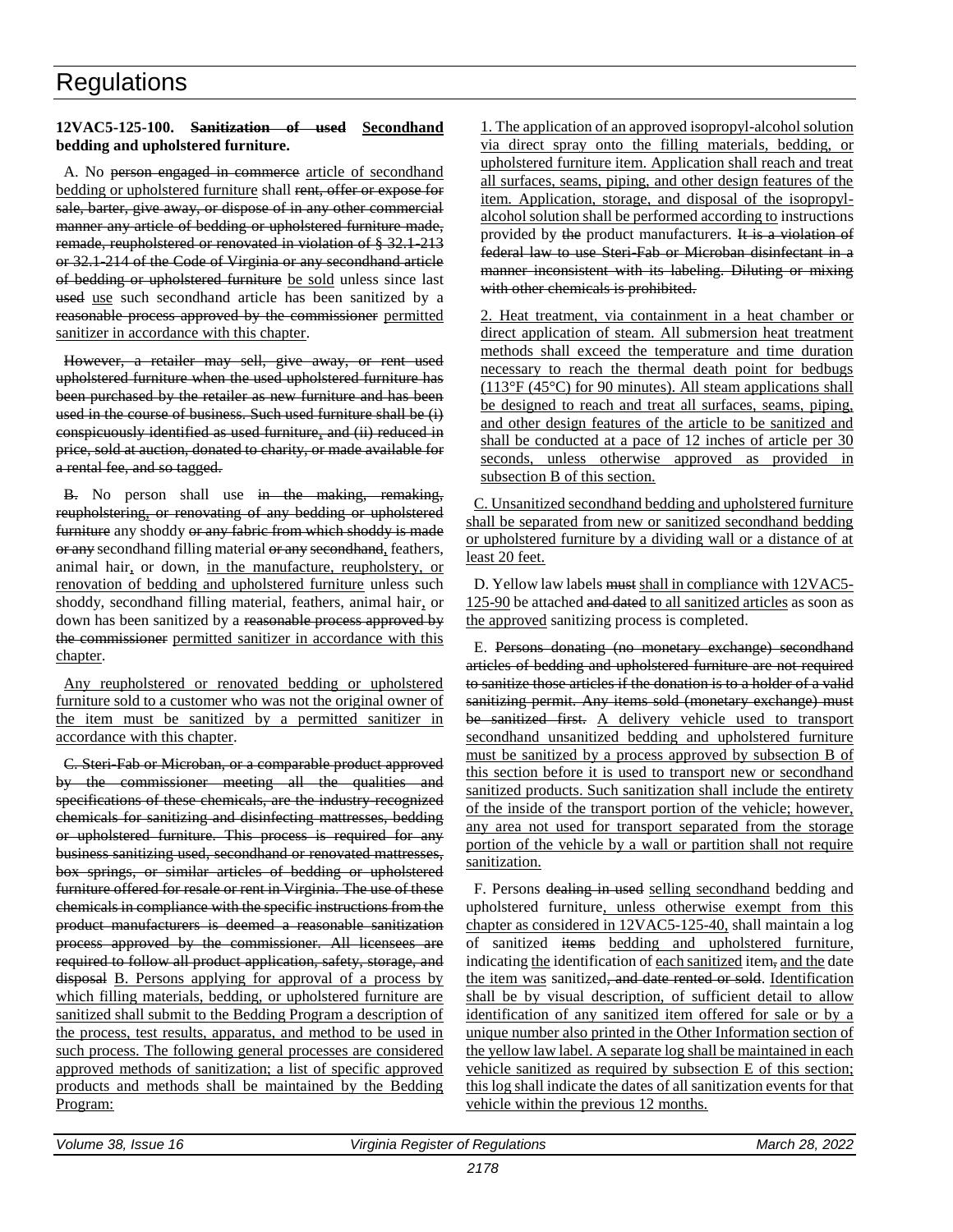#### **12VAC5-125-100. Sanitization of used Secondhand bedding and upholstered furniture.**

A. No person engaged in commerce article of secondhand bedding or upholstered furniture shall rent, offer or expose for sale, barter, give away, or dispose of in any other commercial manner any article of bedding or upholstered furniture made, remade, reupholstered or renovated in violation of § 32.1-213 or 32.1-214 of the Code of Virginia or any secondhand article of bedding or upholstered furniture be sold unless since last used use such secondhand article has been sanitized by a reasonable process approved by the commissioner permitted sanitizer in accordance with this chapter.

However, a retailer may sell, give away, or rent used upholstered furniture when the used upholstered furniture has been purchased by the retailer as new furniture and has been used in the course of business. Such used furniture shall be (i) conspicuously identified as used furniture, and (ii) reduced in price, sold at auction, donated to charity, or made available for a rental fee, and so tagged.

B. No person shall use in the making, remaking, reupholstering, or renovating of any bedding or upholstered furniture any shoddy or any fabric from which shoddy is made or any secondhand filling material or any secondhand, feathers, animal hair, or down, in the manufacture, reupholstery, or renovation of bedding and upholstered furniture unless such shoddy, secondhand filling material, feathers, animal hair, or down has been sanitized by a reasonable process approved by the commissioner permitted sanitizer in accordance with this chapter.

Any reupholstered or renovated bedding or upholstered furniture sold to a customer who was not the original owner of the item must be sanitized by a permitted sanitizer in accordance with this chapter.

C. Steri-Fab or Microban, or a comparable product approved by the commissioner meeting all the qualities and specifications of these chemicals, are the industry-recognized chemicals for sanitizing and disinfecting mattresses, bedding or upholstered furniture. This process is required for any business sanitizing used, secondhand or renovated mattresses, box springs, or similar articles of bedding or upholstered furniture offered for resale or rent in Virginia. The use of these chemicals in compliance with the specific instructions from the product manufacturers is deemed a reasonable sanitization process approved by the commissioner. All licensees are required to follow all product application, safety, storage, and disposal B. Persons applying for approval of a process by which filling materials, bedding, or upholstered furniture are sanitized shall submit to the Bedding Program a description of the process, test results, apparatus, and method to be used in such process. The following general processes are considered approved methods of sanitization; a list of specific approved products and methods shall be maintained by the Bedding Program:

1. The application of an approved isopropyl-alcohol solution via direct spray onto the filling materials, bedding, or upholstered furniture item. Application shall reach and treat all surfaces, seams, piping, and other design features of the item. Application, storage, and disposal of the isopropylalcohol solution shall be performed according to instructions provided by the product manufacturers. It is a violation of federal law to use Steri-Fab or Microban disinfectant in a manner inconsistent with its labeling. Diluting or mixing with other chemicals is prohibited.

2. Heat treatment, via containment in a heat chamber or direct application of steam. All submersion heat treatment methods shall exceed the temperature and time duration necessary to reach the thermal death point for bedbugs (113°F (45°C) for 90 minutes). All steam applications shall be designed to reach and treat all surfaces, seams, piping, and other design features of the article to be sanitized and shall be conducted at a pace of 12 inches of article per 30 seconds, unless otherwise approved as provided in subsection B of this section.

C. Unsanitized secondhand bedding and upholstered furniture shall be separated from new or sanitized secondhand bedding or upholstered furniture by a dividing wall or a distance of at least 20 feet.

D. Yellow law labels must shall in compliance with 12VAC5- 125-90 be attached and dated to all sanitized articles as soon as the approved sanitizing process is completed.

E. Persons donating (no monetary exchange) secondhand articles of bedding and upholstered furniture are not required to sanitize those articles if the donation is to a holder of a valid sanitizing permit. Any items sold (monetary exchange) must be sanitized first. A delivery vehicle used to transport secondhand unsanitized bedding and upholstered furniture must be sanitized by a process approved by subsection B of this section before it is used to transport new or secondhand sanitized products. Such sanitization shall include the entirety of the inside of the transport portion of the vehicle; however, any area not used for transport separated from the storage portion of the vehicle by a wall or partition shall not require sanitization.

F. Persons dealing in used selling secondhand bedding and upholstered furniture, unless otherwise exempt from this chapter as considered in 12VAC5-125-40, shall maintain a log of sanitized items bedding and upholstered furniture, indicating the identification of each sanitized item, and the date the item was sanitized<del>, and date rented or sold</del>. Identification shall be by visual description, of sufficient detail to allow identification of any sanitized item offered for sale or by a unique number also printed in the Other Information section of the yellow law label. A separate log shall be maintained in each vehicle sanitized as required by subsection E of this section; this log shall indicate the dates of all sanitization events for that vehicle within the previous 12 months.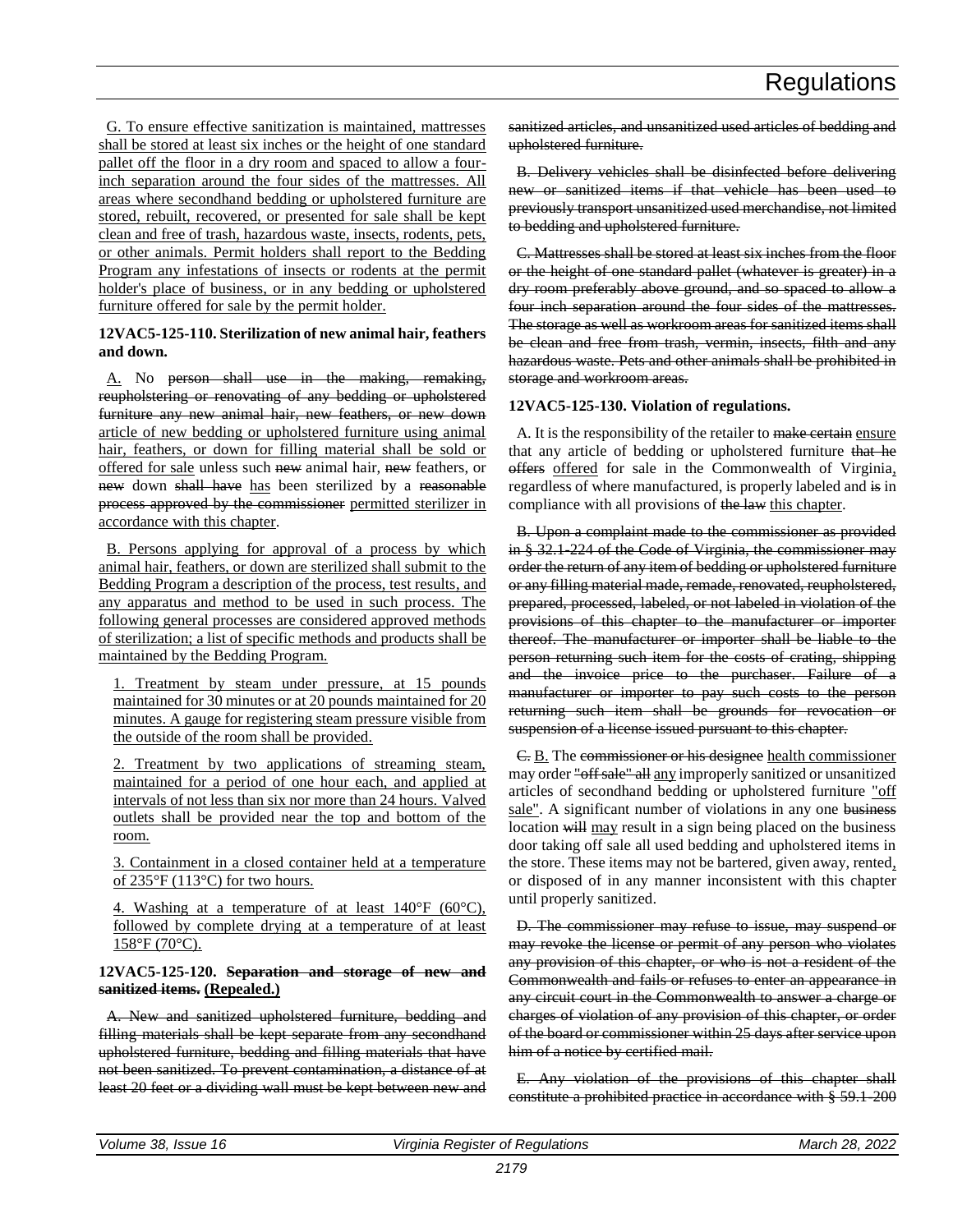G. To ensure effective sanitization is maintained, mattresses shall be stored at least six inches or the height of one standard pallet off the floor in a dry room and spaced to allow a fourinch separation around the four sides of the mattresses. All areas where secondhand bedding or upholstered furniture are stored, rebuilt, recovered, or presented for sale shall be kept clean and free of trash, hazardous waste, insects, rodents, pets, or other animals. Permit holders shall report to the Bedding Program any infestations of insects or rodents at the permit holder's place of business, or in any bedding or upholstered furniture offered for sale by the permit holder.

#### **12VAC5-125-110. Sterilization of new animal hair, feathers and down.**

A. No person shall use in the making, remaking, reupholstering or renovating of any bedding or upholstered furniture any new animal hair, new feathers, or new down article of new bedding or upholstered furniture using animal hair, feathers, or down for filling material shall be sold or offered for sale unless such new animal hair, new feathers, or new down shall have has been sterilized by a reasonable process approved by the commissioner permitted sterilizer in accordance with this chapter.

B. Persons applying for approval of a process by which animal hair, feathers, or down are sterilized shall submit to the Bedding Program a description of the process, test results, and any apparatus and method to be used in such process. The following general processes are considered approved methods of sterilization; a list of specific methods and products shall be maintained by the Bedding Program.

1. Treatment by steam under pressure, at 15 pounds maintained for 30 minutes or at 20 pounds maintained for 20 minutes. A gauge for registering steam pressure visible from the outside of the room shall be provided.

2. Treatment by two applications of streaming steam, maintained for a period of one hour each, and applied at intervals of not less than six nor more than 24 hours. Valved outlets shall be provided near the top and bottom of the room.

3. Containment in a closed container held at a temperature of 235°F (113°C) for two hours.

4. Washing at a temperature of at least  $140^{\circ}$ F (60 $^{\circ}$ C), followed by complete drying at a temperature of at least 158°F (70°C).

#### **12VAC5-125-120. Separation and storage of new and sanitized items. (Repealed.)**

A. New and sanitized upholstered furniture, bedding and filling materials shall be kept separate from any secondhand upholstered furniture, bedding and filling materials that have not been sanitized. To prevent contamination, a distance of at least 20 feet or a dividing wall must be kept between new and

sanitized articles, and unsanitized used articles of bedding and upholstered furniture.

B. Delivery vehicles shall be disinfected before delivering new or sanitized items if that vehicle has been used to previously transport unsanitized used merchandise, not limited to bedding and upholstered furniture.

C. Mattresses shall be stored at least six inches from the floor or the height of one standard pallet (whatever is greater) in a dry room preferably above ground, and so spaced to allow a four inch separation around the four sides of the mattresses. The storage as well as workroom areas for sanitized items shall be clean and free from trash, vermin, insects, filth and any hazardous waste. Pets and other animals shall be prohibited in storage and workroom areas.

#### **12VAC5-125-130. Violation of regulations.**

A. It is the responsibility of the retailer to make certain ensure that any article of bedding or upholstered furniture that he offers offered for sale in the Commonwealth of Virginia, regardless of where manufactured, is properly labeled and is in compliance with all provisions of the law this chapter.

B. Upon a complaint made to the commissioner as provided in § 32.1-224 of the Code of Virginia, the commissioner may order the return of any item of bedding or upholstered furniture or any filling material made, remade, renovated, reupholstered, prepared, processed, labeled, or not labeled in violation of the provisions of this chapter to the manufacturer or importer thereof. The manufacturer or importer shall be liable to the person returning such item for the costs of crating, shipping and the invoice price to the purchaser. Failure of a manufacturer or importer to pay such costs to the person returning such item shall be grounds for revocation or suspension of a license issued pursuant to this chapter.

C. B. The commissioner or his designee health commissioner may order "off sale" all any improperly sanitized or unsanitized articles of secondhand bedding or upholstered furniture "off sale". A significant number of violations in any one business location will may result in a sign being placed on the business door taking off sale all used bedding and upholstered items in the store. These items may not be bartered, given away, rented, or disposed of in any manner inconsistent with this chapter until properly sanitized.

D. The commissioner may refuse to issue, may suspend or may revoke the license or permit of any person who violates any provision of this chapter, or who is not a resident of the Commonwealth and fails or refuses to enter an appearance in any circuit court in the Commonwealth to answer a charge or charges of violation of any provision of this chapter, or order of the board or commissioner within 25 days after service upon him of a notice by certified mail.

E. Any violation of the provisions of this chapter shall constitute a prohibited practice in accordance with § 59.1-200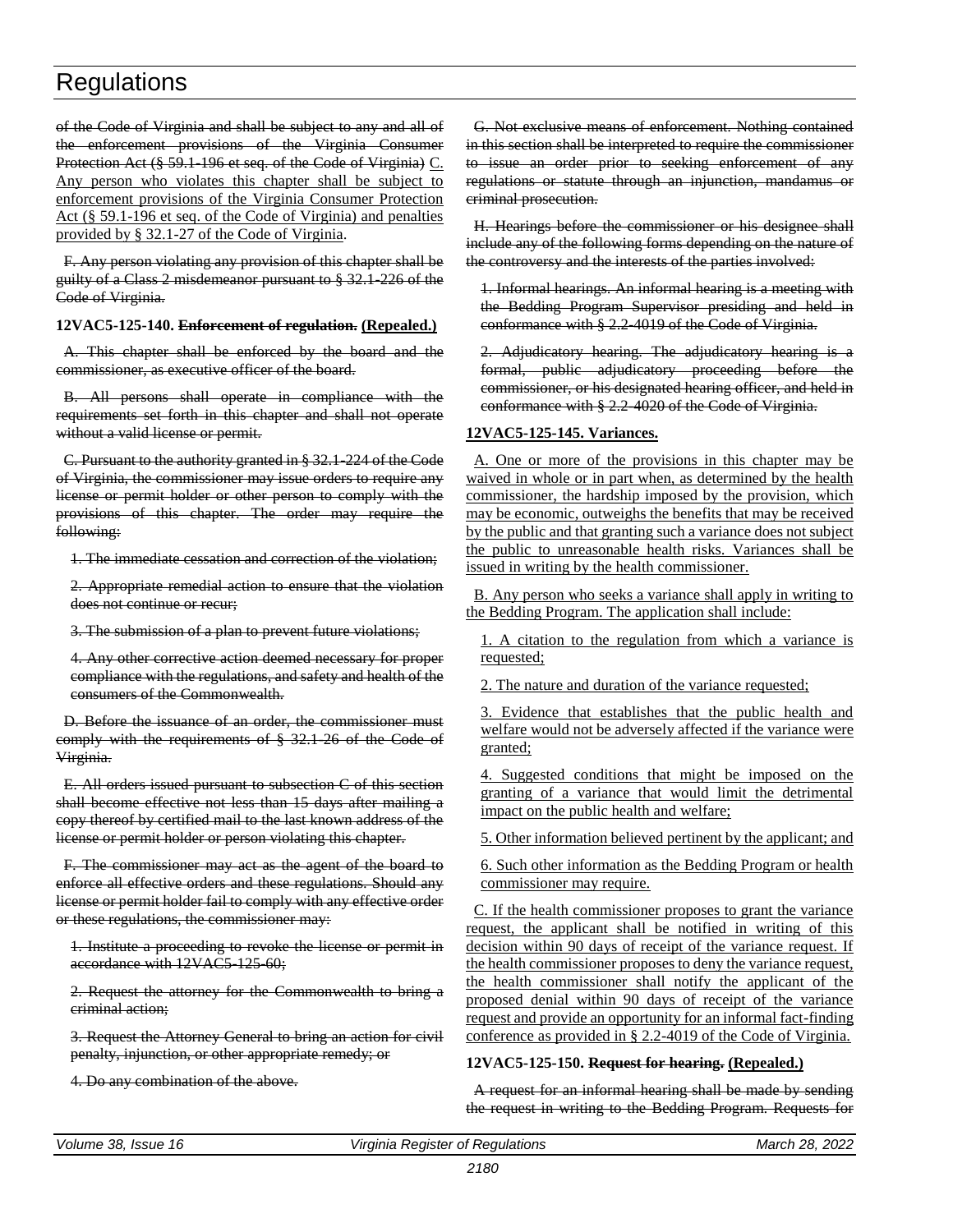of the Code of Virginia and shall be subject to any and all of the enforcement provisions of the Virginia Consumer Protection Act (§ 59.1-196 et seq. of the Code of Virginia) C. Any person who violates this chapter shall be subject to enforcement provisions of the Virginia Consumer Protection Act (§ 59.1-196 et seq. of the Code of Virginia) and penalties provided by § 32.1-27 of the Code of Virginia.

F. Any person violating any provision of this chapter shall be guilty of a Class 2 misdemeanor pursuant to § 32.1-226 of the Code of Virginia.

#### **12VAC5-125-140. Enforcement of regulation. (Repealed.)**

A. This chapter shall be enforced by the board and the commissioner, as executive officer of the board.

B. All persons shall operate in compliance with the requirements set forth in this chapter and shall not operate without a valid license or permit.

C. Pursuant to the authority granted in § 32.1-224 of the Code of Virginia, the commissioner may issue orders to require any license or permit holder or other person to comply with the provisions of this chapter. The order may require the following:

1. The immediate cessation and correction of the violation;

2. Appropriate remedial action to ensure that the violation does not continue or recur;

3. The submission of a plan to prevent future violations;

4. Any other corrective action deemed necessary for proper compliance with the regulations, and safety and health of the consumers of the Commonwealth.

D. Before the issuance of an order, the commissioner must comply with the requirements of § 32.1-26 of the Code of Virginia.

E. All orders issued pursuant to subsection C of this section shall become effective not less than 15 days after mailing a copy thereof by certified mail to the last known address of the license or permit holder or person violating this chapter.

F. The commissioner may act as the agent of the board to enforce all effective orders and these regulations. Should any license or permit holder fail to comply with any effective order or these regulations, the commissioner may:

1. Institute a proceeding to revoke the license or permit in accordance with 12VAC5 125 60;

2. Request the attorney for the Commonwealth to bring a criminal action;

3. Request the Attorney General to bring an action for civil penalty, injunction, or other appropriate remedy; or

4. Do any combination of the above.

G. Not exclusive means of enforcement. Nothing contained in this section shall be interpreted to require the commissioner to issue an order prior to seeking enforcement of any regulations or statute through an injunction, mandamus or criminal prosecution.

H. Hearings before the commissioner or his designee shall include any of the following forms depending on the nature of the controversy and the interests of the parties involved:

1. Informal hearings. An informal hearing is a meeting with the Bedding Program Supervisor presiding and held in conformance with § 2.2-4019 of the Code of Virginia.

2. Adjudicatory hearing. The adjudicatory hearing is a formal, public adjudicatory proceeding before the commissioner, or his designated hearing officer, and held in conformance with § 2.2-4020 of the Code of Virginia.

#### **12VAC5-125-145. Variances.**

A. One or more of the provisions in this chapter may be waived in whole or in part when, as determined by the health commissioner, the hardship imposed by the provision, which may be economic, outweighs the benefits that may be received by the public and that granting such a variance does not subject the public to unreasonable health risks. Variances shall be issued in writing by the health commissioner.

B. Any person who seeks a variance shall apply in writing to the Bedding Program. The application shall include:

1. A citation to the regulation from which a variance is requested;

2. The nature and duration of the variance requested;

3. Evidence that establishes that the public health and welfare would not be adversely affected if the variance were granted;

4. Suggested conditions that might be imposed on the granting of a variance that would limit the detrimental impact on the public health and welfare;

5. Other information believed pertinent by the applicant; and

6. Such other information as the Bedding Program or health commissioner may require.

C. If the health commissioner proposes to grant the variance request, the applicant shall be notified in writing of this decision within 90 days of receipt of the variance request. If the health commissioner proposes to deny the variance request, the health commissioner shall notify the applicant of the proposed denial within 90 days of receipt of the variance request and provide an opportunity for an informal fact-finding conference as provided in § 2.2-4019 of the Code of Virginia.

#### **12VAC5-125-150. Request for hearing. (Repealed.)**

A request for an informal hearing shall be made by sending the request in writing to the Bedding Program. Requests for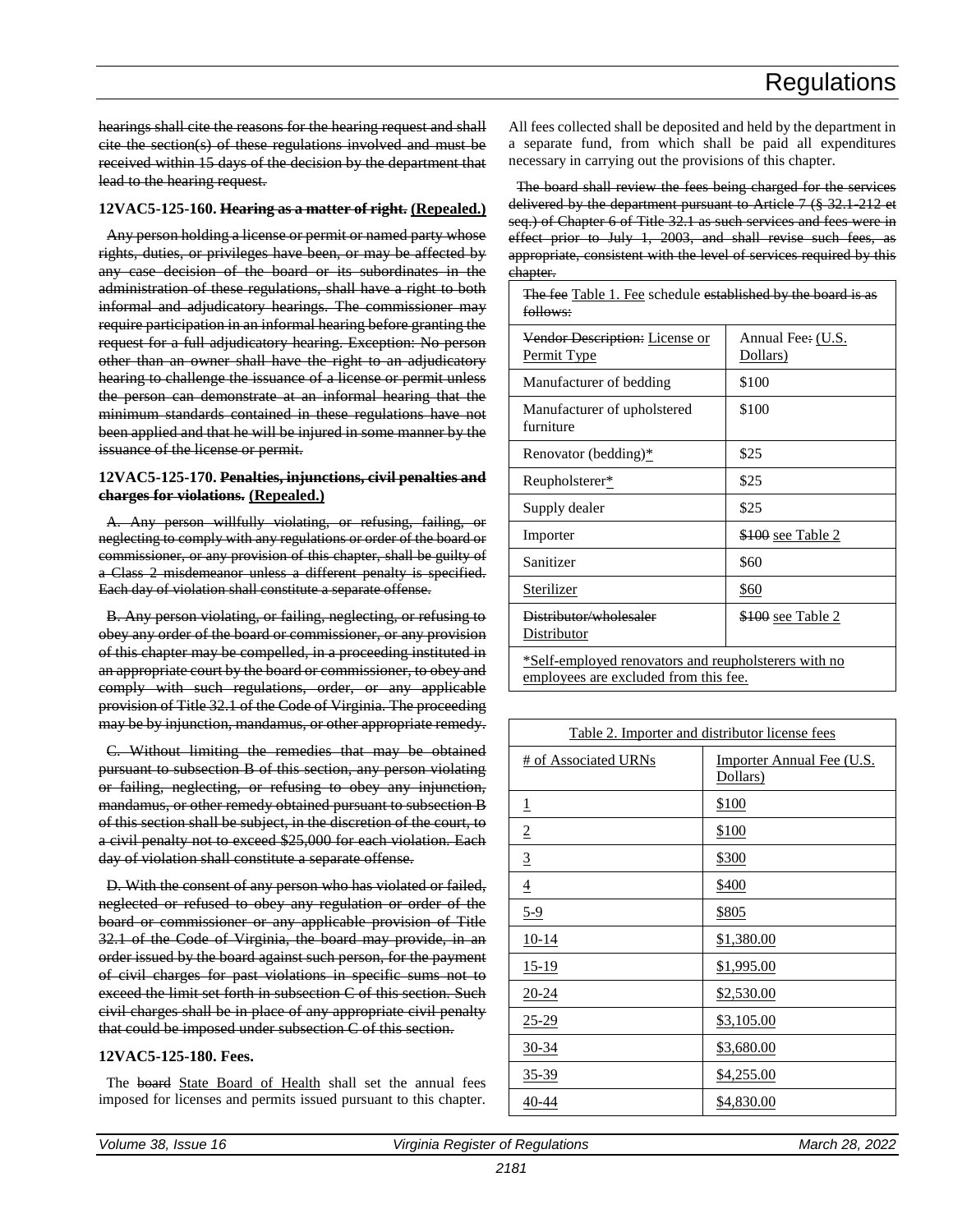hearings shall cite the reasons for the hearing request and shall cite the section(s) of these regulations involved and must be received within 15 days of the decision by the department that lead to the hearing request.

#### **12VAC5-125-160. Hearing as a matter of right. (Repealed.)**

Any person holding a license or permit or named party whose rights, duties, or privileges have been, or may be affected by any case decision of the board or its subordinates in the administration of these regulations, shall have a right to both informal and adjudicatory hearings. The commissioner may require participation in an informal hearing before granting the request for a full adjudicatory hearing. Exception: No person other than an owner shall have the right to an adjudicatory hearing to challenge the issuance of a license or permit unless the person can demonstrate at an informal hearing that the minimum standards contained in these regulations have not been applied and that he will be injured in some manner by the issuance of the license or permit.

#### **12VAC5-125-170. Penalties, injunctions, civil penalties and charges for violations. (Repealed.)**

A. Any person willfully violating, or refusing, failing, or neglecting to comply with any regulations or order of the board or commissioner, or any provision of this chapter, shall be guilty of a Class 2 misdemeanor unless a different penalty is specified. Each day of violation shall constitute a separate offense.

B. Any person violating, or failing, neglecting, or refusing to obey any order of the board or commissioner, or any provision of this chapter may be compelled, in a proceeding instituted in an appropriate court by the board or commissioner, to obey and comply with such regulations, order, or any applicable provision of Title 32.1 of the Code of Virginia. The proceeding may be by injunction, mandamus, or other appropriate remedy.

C. Without limiting the remedies that may be obtained pursuant to subsection B of this section, any person violating or failing, neglecting, or refusing to obey any injunction, mandamus, or other remedy obtained pursuant to subsection B of this section shall be subject, in the discretion of the court, to a civil penalty not to exceed \$25,000 for each violation. Each day of violation shall constitute a separate offense.

D. With the consent of any person who has violated or failed, neglected or refused to obey any regulation or order of the board or commissioner or any applicable provision of Title 32.1 of the Code of Virginia, the board may provide, in an order issued by the board against such person, for the payment of civil charges for past violations in specific sums not to exceed the limit set forth in subsection C of this section. Such civil charges shall be in place of any appropriate civil penalty that could be imposed under subsection C of this section.

#### **12VAC5-125-180. Fees.**

The board State Board of Health shall set the annual fees imposed for licenses and permits issued pursuant to this chapter.

All fees collected shall be deposited and held by the department in a separate fund, from which shall be paid all expenditures necessary in carrying out the provisions of this chapter.

The board shall review the fees being charged for the services delivered by the department pursuant to Article 7 (§ 32.1-212 et seq.) of Chapter 6 of Title 32.1 as such services and fees were in effect prior to July 1, 2003, and shall revise such fees, as appropriate, consistent with the level of services required by this chapter.

The fee Table 1. Fee schedule established by the board is as

| follows:                                                                                      |                               |
|-----------------------------------------------------------------------------------------------|-------------------------------|
| Vendor Description: License or<br>Permit Type                                                 | Annual Fee: (U.S.<br>Dollars) |
| Manufacturer of bedding                                                                       | \$100                         |
| Manufacturer of upholstered<br>furniture                                                      | \$100                         |
| Renovator (bedding)*                                                                          | \$25                          |
| Reupholsterer*                                                                                | \$25                          |
| Supply dealer                                                                                 | \$25                          |
| Importer                                                                                      | <u>\$100 see Table 2</u>      |
| Sanitizer                                                                                     | \$60                          |
| Sterilizer                                                                                    | \$60                          |
| Distributor/wholesaler<br>Distributor                                                         | <u>\$100 see Table 2</u>      |
| *Self-employed renovators and reupholsterers with no<br>employees are excluded from this fee. |                               |

| Table 2. Importer and distributor license fees |                                              |
|------------------------------------------------|----------------------------------------------|
| <b># of Associated URNs</b>                    | <b>Importer Annual Fee (U.S.</b><br>Dollars) |
| $\overline{1}$                                 | \$100                                        |
| $\overline{2}$                                 | <u>\$100</u>                                 |
| $\overline{3}$                                 | \$300                                        |
| $\overline{4}$                                 | \$400                                        |
| $5-9$                                          | <u>\$805</u>                                 |
| $10-14$                                        | <u>\$1,380.00</u>                            |
| $15-19$                                        | \$1,995.00                                   |
| $20 - 24$                                      | \$2,530.00                                   |
| $25 - 29$                                      | <u>\$3,105.00</u>                            |
| $30 - 34$                                      | \$3,680.00                                   |
| <u>35-39</u>                                   | \$4,255.00                                   |
| $40 - 44$                                      | <u>\$4,830.00</u>                            |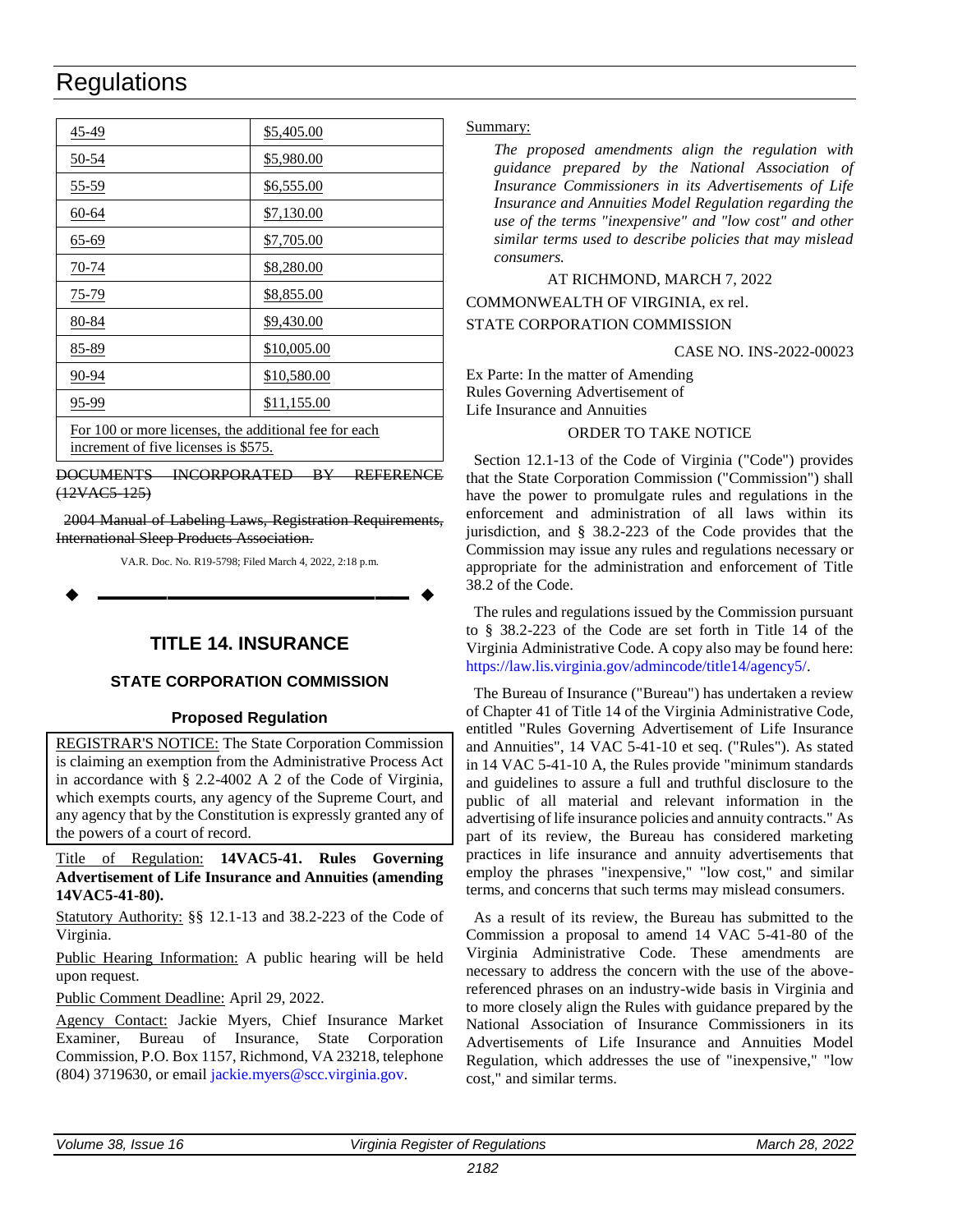<span id="page-36-0"></span>

| <u>45-49</u>                                                                                  | <u>\$5,405.00</u> |
|-----------------------------------------------------------------------------------------------|-------------------|
| <u>50-54</u>                                                                                  | \$5,980.00        |
| 55-59                                                                                         | \$6,555.00        |
| 60-64                                                                                         | \$7,130.00        |
| <u>65-69</u>                                                                                  | \$7,705.00        |
| 70-74                                                                                         | \$8,280.00        |
| 75-79                                                                                         | <u>\$8,855.00</u> |
| 80-84                                                                                         | \$9,430.00        |
| 85-89                                                                                         | \$10,005.00       |
| 90-94                                                                                         | \$10,580.00       |
| 95-99                                                                                         | \$11,155.00       |
| For 100 or more licenses, the additional fee for each<br>increment of five licenses is \$575. |                   |

DOCUMENTS INCORPORATED BY REFERENCE (12VAC5-125)

2004 Manual of Labeling Laws, Registration Requirements, International Sleep Products Association.

VA.R. Doc. No. R19-5798; Filed March 4, 2022, 2:18 p.m.

**––––––––––––––––––**

#### **TITLE 14. INSURANCE**

#### **STATE CORPORATION COMMISSION**

#### **Proposed Regulation**

REGISTRAR'S NOTICE: The State Corporation Commission is claiming an exemption from the Administrative Process Act in accordance with § 2.2-4002 A 2 of the Code of Virginia, which exempts courts, any agency of the Supreme Court, and any agency that by the Constitution is expressly granted any of the powers of a court of record.

Title of Regulation: **14VAC5-41. Rules Governing Advertisement of Life Insurance and Annuities (amending 14VAC5-41-80).**

Statutory Authority: §§ 12.1-13 and 38.2-223 of the Code of Virginia.

Public Hearing Information: A public hearing will be held upon request.

Public Comment Deadline: April 29, 2022.

Agency Contact: Jackie Myers, Chief Insurance Market Examiner, Bureau of Insurance, State Corporation Commission, P.O. Box 1157, Richmond, VA 23218, telephone (804) 3719630, or email [jackie.myers@scc.virginia.gov.](mailto:jackie.myers@scc.virginia.gov)

#### Summary:

*The proposed amendments align the regulation with guidance prepared by the National Association of Insurance Commissioners in its Advertisements of Life Insurance and Annuities Model Regulation regarding the use of the terms "inexpensive" and "low cost" and other similar terms used to describe policies that may mislead consumers.* 

#### AT RICHMOND, MARCH 7, 2022

COMMONWEALTH OF VIRGINIA, ex rel.

#### STATE CORPORATION COMMISSION

#### CASE NO. INS-2022-00023

Ex Parte: In the matter of Amending Rules Governing Advertisement of Life Insurance and Annuities

#### ORDER TO TAKE NOTICE

Section 12.1-13 of the Code of Virginia ("Code") provides that the State Corporation Commission ("Commission") shall have the power to promulgate rules and regulations in the enforcement and administration of all laws within its jurisdiction, and § 38.2-223 of the Code provides that the Commission may issue any rules and regulations necessary or appropriate for the administration and enforcement of Title 38.2 of the Code.

The rules and regulations issued by the Commission pursuant to § 38.2-223 of the Code are set forth in Title 14 of the Virginia Administrative Code. A copy also may be found here: [https://law.lis.virginia.gov/admincode/title14/agency5/.](https://law.lis.virginia.gov/admincode/title14/agency5/)

The Bureau of Insurance ("Bureau") has undertaken a review of Chapter 41 of Title 14 of the Virginia Administrative Code, entitled "Rules Governing Advertisement of Life Insurance and Annuities", 14 VAC 5-41-10 et seq. ("Rules"). As stated in 14 VAC 5-41-10 A, the Rules provide "minimum standards and guidelines to assure a full and truthful disclosure to the public of all material and relevant information in the advertising of life insurance policies and annuity contracts." As part of its review, the Bureau has considered marketing practices in life insurance and annuity advertisements that employ the phrases "inexpensive," "low cost," and similar terms, and concerns that such terms may mislead consumers.

As a result of its review, the Bureau has submitted to the Commission a proposal to amend 14 VAC 5-41-80 of the Virginia Administrative Code. These amendments are necessary to address the concern with the use of the abovereferenced phrases on an industry-wide basis in Virginia and to more closely align the Rules with guidance prepared by the National Association of Insurance Commissioners in its Advertisements of Life Insurance and Annuities Model Regulation, which addresses the use of "inexpensive," "low cost," and similar terms.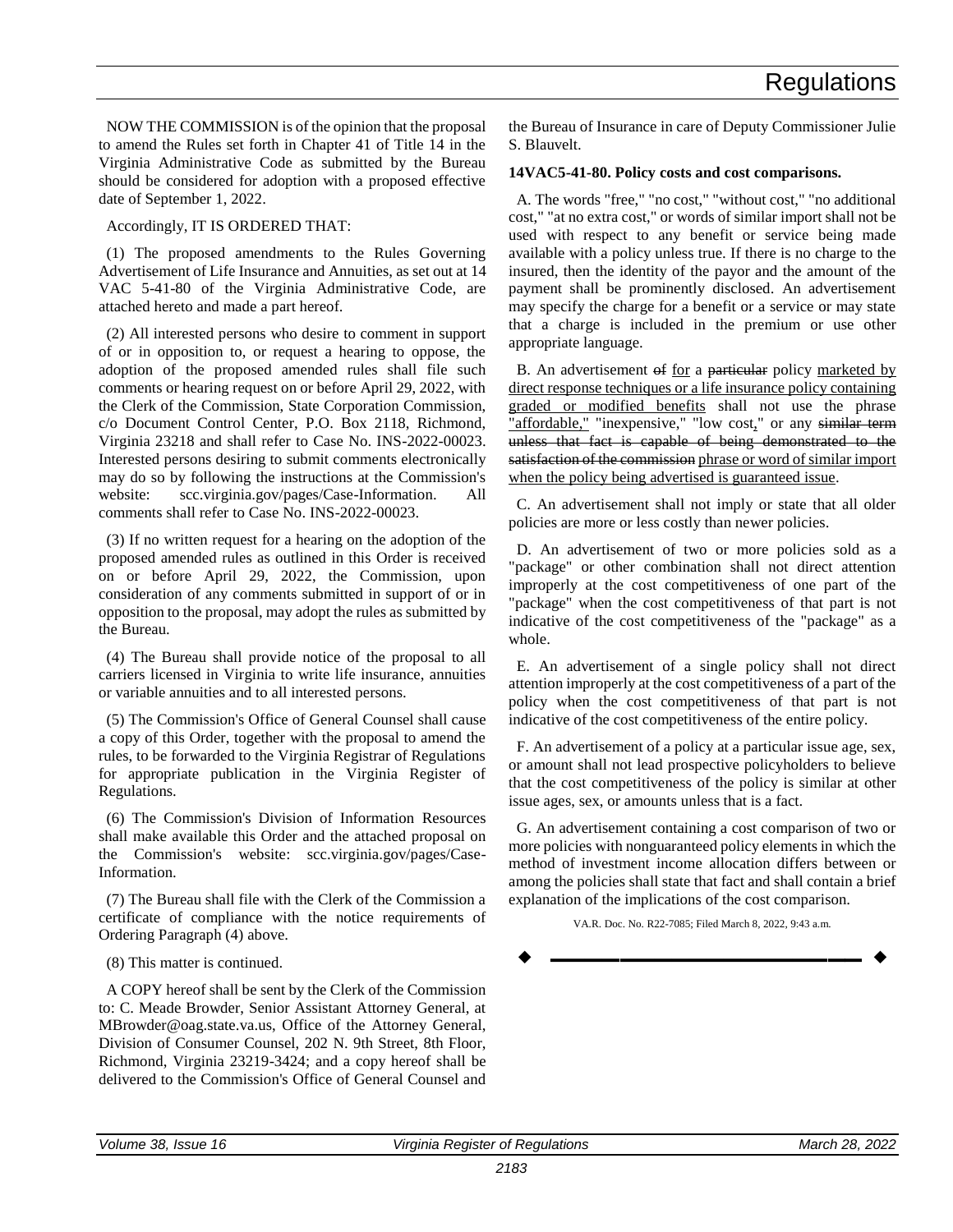NOW THE COMMISSION is of the opinion that the proposal to amend the Rules set forth in Chapter 41 of Title 14 in the Virginia Administrative Code as submitted by the Bureau should be considered for adoption with a proposed effective date of September 1, 2022.

Accordingly, IT IS ORDERED THAT:

(1) The proposed amendments to the Rules Governing Advertisement of Life Insurance and Annuities, as set out at 14 VAC 5-41-80 of the Virginia Administrative Code, are attached hereto and made a part hereof.

(2) All interested persons who desire to comment in support of or in opposition to, or request a hearing to oppose, the adoption of the proposed amended rules shall file such comments or hearing request on or before April 29, 2022, with the Clerk of the Commission, State Corporation Commission, c/o Document Control Center, P.O. Box 2118, Richmond, Virginia 23218 and shall refer to Case No. INS-2022-00023. Interested persons desiring to submit comments electronically may do so by following the instructions at the Commission's website: scc.virginia.gov/pages/Case-Information. All comments shall refer to Case No. INS-2022-00023.

(3) If no written request for a hearing on the adoption of the proposed amended rules as outlined in this Order is received on or before April 29, 2022, the Commission, upon consideration of any comments submitted in support of or in opposition to the proposal, may adopt the rules as submitted by the Bureau.

(4) The Bureau shall provide notice of the proposal to all carriers licensed in Virginia to write life insurance, annuities or variable annuities and to all interested persons.

(5) The Commission's Office of General Counsel shall cause a copy of this Order, together with the proposal to amend the rules, to be forwarded to the Virginia Registrar of Regulations for appropriate publication in the Virginia Register of Regulations.

(6) The Commission's Division of Information Resources shall make available this Order and the attached proposal on the Commission's website: scc.virginia.gov/pages/Case-Information.

(7) The Bureau shall file with the Clerk of the Commission a certificate of compliance with the notice requirements of Ordering Paragraph (4) above.

(8) This matter is continued.

A COPY hereof shall be sent by the Clerk of the Commission to: C. Meade Browder, Senior Assistant Attorney General, at MBrowder@oag.state.va.us, Office of the Attorney General, Division of Consumer Counsel, 202 N. 9th Street, 8th Floor, Richmond, Virginia 23219-3424; and a copy hereof shall be delivered to the Commission's Office of General Counsel and

the Bureau of Insurance in care of Deputy Commissioner Julie S. Blauvelt.

#### **14VAC5-41-80. Policy costs and cost comparisons.**

A. The words "free," "no cost," "without cost," "no additional cost," "at no extra cost," or words of similar import shall not be used with respect to any benefit or service being made available with a policy unless true. If there is no charge to the insured, then the identity of the payor and the amount of the payment shall be prominently disclosed. An advertisement may specify the charge for a benefit or a service or may state that a charge is included in the premium or use other appropriate language.

B. An advertisement of for a particular policy marketed by direct response techniques or a life insurance policy containing graded or modified benefits shall not use the phrase "affordable," "inexpensive," "low cost," or any similar term unless that fact is capable of being demonstrated to the satisfaction of the commission phrase or word of similar import when the policy being advertised is guaranteed issue.

C. An advertisement shall not imply or state that all older policies are more or less costly than newer policies.

D. An advertisement of two or more policies sold as a "package" or other combination shall not direct attention improperly at the cost competitiveness of one part of the "package" when the cost competitiveness of that part is not indicative of the cost competitiveness of the "package" as a whole.

E. An advertisement of a single policy shall not direct attention improperly at the cost competitiveness of a part of the policy when the cost competitiveness of that part is not indicative of the cost competitiveness of the entire policy.

F. An advertisement of a policy at a particular issue age, sex, or amount shall not lead prospective policyholders to believe that the cost competitiveness of the policy is similar at other issue ages, sex, or amounts unless that is a fact.

G. An advertisement containing a cost comparison of two or more policies with nonguaranteed policy elements in which the method of investment income allocation differs between or among the policies shall state that fact and shall contain a brief explanation of the implications of the cost comparison.

VA.R. Doc. No. R22-7085; Filed March 8, 2022, 9:43 a.m.

**––––––––––––––––––**

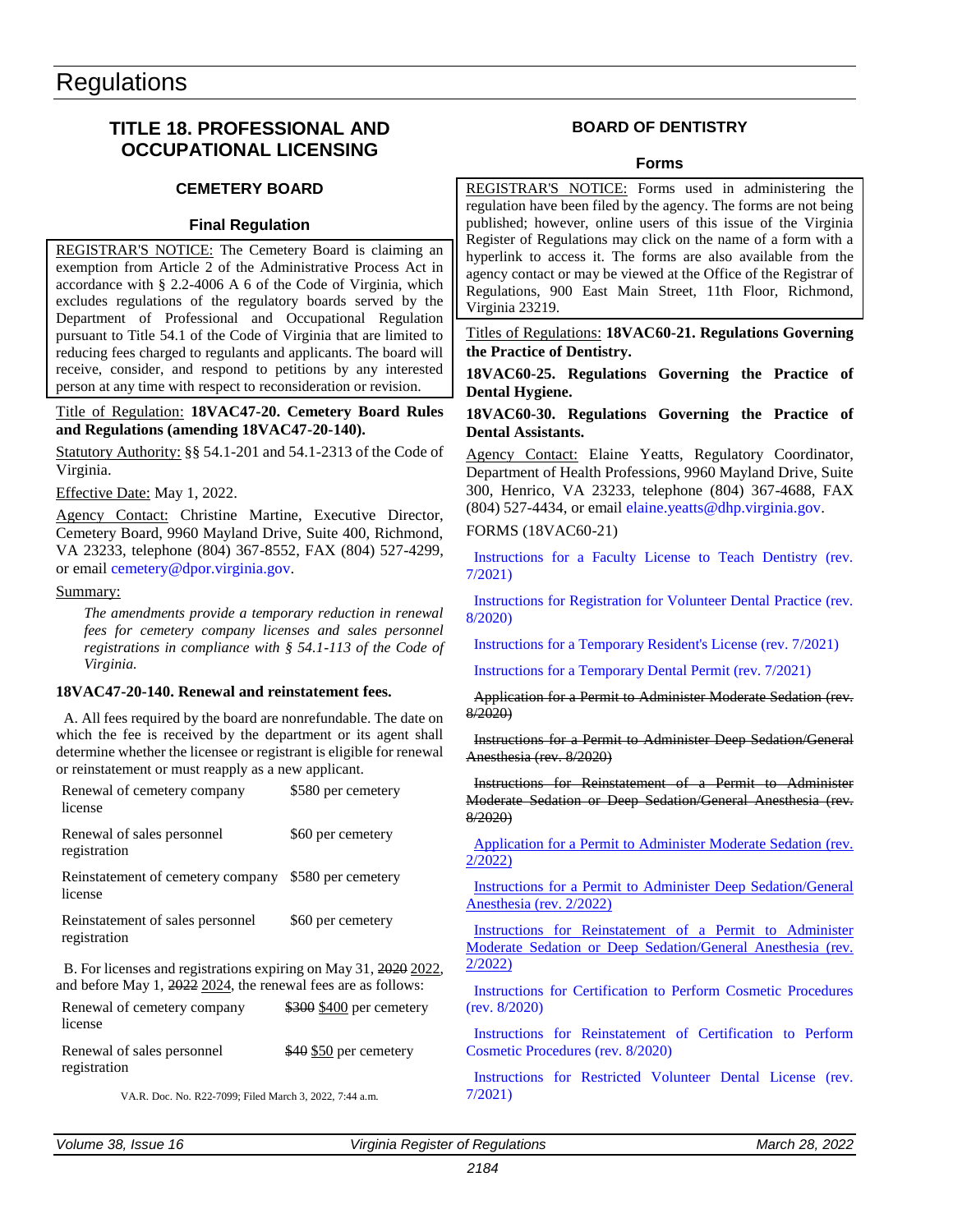#### <span id="page-38-0"></span>**TITLE 18. PROFESSIONAL AND OCCUPATIONAL LICENSING**

#### **CEMETERY BOARD**

#### **Final Regulation**

REGISTRAR'S NOTICE: The Cemetery Board is claiming an exemption from Article 2 of the Administrative Process Act in accordance with § 2.2-4006 A 6 of the Code of Virginia, which excludes regulations of the regulatory boards served by the Department of Professional and Occupational Regulation pursuant to Title 54.1 of the Code of Virginia that are limited to reducing fees charged to regulants and applicants. The board will receive, consider, and respond to petitions by any interested person at any time with respect to reconsideration or revision.

#### Title of Regulation: **18VAC47-20. Cemetery Board Rules and Regulations (amending 18VAC47-20-140).**

Statutory Authority: §§ 54.1-201 and 54.1-2313 of the Code of Virginia.

Effective Date: May 1, 2022.

Agency Contact: Christine Martine, Executive Director, Cemetery Board, 9960 Mayland Drive, Suite 400, Richmond, VA 23233, telephone (804) 367-8552, FAX (804) 527-4299, or email [cemetery@dpor.virginia.gov.](mailto:cemetery@dpor.virginia.gov)

#### Summary:

*The amendments provide a temporary reduction in renewal fees for cemetery company licenses and sales personnel registrations in compliance with § 54.1-113 of the Code of Virginia.*

#### **18VAC47-20-140. Renewal and reinstatement fees.**

A. All fees required by the board are nonrefundable. The date on which the fee is received by the department or its agent shall determine whether the licensee or registrant is eligible for renewal or reinstatement or must reapply as a new applicant.

| Renewal of cemetery company<br>license                                                                                            | \$580 per cemetery       |
|-----------------------------------------------------------------------------------------------------------------------------------|--------------------------|
| Renewal of sales personnel<br>registration                                                                                        | \$60 per cemetery        |
| Reinstatement of cemetery company<br>license                                                                                      | \$580 per cemetery       |
| Reinstatement of sales personnel<br>registration                                                                                  | \$60 per cemetery        |
| B. For licenses and registrations expiring on May 31, 2020 2022,<br>and before May 1, 2022 2024, the renewal fees are as follows: |                          |
| Renewal of cemetery company                                                                                                       | \$300 \$400 per cemetery |

license Renewal of sales personnel registration \$40 \$50 per cemetery

VA.R. Doc. No. R22-7099; Filed March 3, 2022, 7:44 a.m.

#### **BOARD OF DENTISTRY**

#### **Forms**

REGISTRAR'S NOTICE: Forms used in administering the regulation have been filed by the agency. The forms are not being published; however, online users of this issue of the Virginia Register of Regulations may click on the name of a form with a hyperlink to access it. The forms are also available from the agency contact or may be viewed at the Office of the Registrar of Regulations, 900 East Main Street, 11th Floor, Richmond, Virginia 23219.

Titles of Regulations: **18VAC60-21. Regulations Governing the Practice of Dentistry.**

**18VAC60-25. Regulations Governing the Practice of Dental Hygiene.**

#### **18VAC60-30. Regulations Governing the Practice of Dental Assistants.**

Agency Contact: Elaine Yeatts, Regulatory Coordinator, Department of Health Professions, 9960 Mayland Drive, Suite 300, Henrico, VA 23233, telephone (804) 367-4688, FAX  $(804)$  527-4434, or email [elaine.yeatts@dhp.virginia.gov.](mailto:elaine.yeatts@dhp.virginia.gov)

FORMS (18VAC60-21)

[Instructions for a Faculty License to Teach Dentistry \(rev.](https://ris.dls.virginia.gov/uploads/18VAC60/forms/2021_Instr_Faculty-20210918180553.pdf)  [7/2021\)](https://ris.dls.virginia.gov/uploads/18VAC60/forms/2021_Instr_Faculty-20210918180553.pdf)

[Instructions for Registration for Volunteer Dental Practice \(rev.](https://ris.dls.virginia.gov/uploads/18VAC60/forms/Volunteer_Dental-20201228153147.pdf)  [8/2020\)](https://ris.dls.virginia.gov/uploads/18VAC60/forms/Volunteer_Dental-20201228153147.pdf)

[Instructions for a Temporary Resident's License \(rev. 7/2021\)](https://ris.dls.virginia.gov/uploads/18VAC60/forms/2021_TemporaryResident-20210918180625.pdf)

[Instructions for a Temporary Dental Permit \(rev. 7/2021\)](https://ris.dls.virginia.gov/uploads/18VAC60/forms/2021_Instr_TempDentalPermit-20210918180651.pdf)

Application for a Permit to Administer Moderate Sedation (rev. 8/2020)

Instructions for a Permit to Administer Deep Sedation/General Anesthesia (rev. 8/2020)

Instructions for Reinstatement of a Permit to Administer Moderate Sedation or Deep Sedation/General Anesthesia (rev. 8/2020)

[Application for a Permit to Administer Moderate Sedation \(rev.](https://ris.dls.virginia.gov/uploads/18VAC60/forms/Moderate%20Sedation%20Application%20Revised%20February%202022-20220301144058.pdf)  [2/2022\)](https://ris.dls.virginia.gov/uploads/18VAC60/forms/Moderate%20Sedation%20Application%20Revised%20February%202022-20220301144058.pdf)

[Instructions for a Permit to Administer Deep Sedation/General](https://ris.dls.virginia.gov/uploads/18VAC60/forms/Deep%20Sedation-General%20Anesthesia%20Application%20Revised%20February%202022-20220301143950.pdf)  [Anesthesia \(rev. 2/2022\)](https://ris.dls.virginia.gov/uploads/18VAC60/forms/Deep%20Sedation-General%20Anesthesia%20Application%20Revised%20February%202022-20220301143950.pdf)

[Instructions for Reinstatement of a Permit to Administer](https://ris.dls.virginia.gov/uploads/18VAC60/forms/Moderate%20Sedation%20or%20Deep%20Sedation-General%20Anesthesia%20Reinstatement%20Application%20Revised%20February%202022-20220301144248.pdf)  [Moderate Sedation or Deep Sedation/General Anesthesia \(rev.](https://ris.dls.virginia.gov/uploads/18VAC60/forms/Moderate%20Sedation%20or%20Deep%20Sedation-General%20Anesthesia%20Reinstatement%20Application%20Revised%20February%202022-20220301144248.pdf)  [2/2022\)](https://ris.dls.virginia.gov/uploads/18VAC60/forms/Moderate%20Sedation%20or%20Deep%20Sedation-General%20Anesthesia%20Reinstatement%20Application%20Revised%20February%202022-20220301144248.pdf)

[Instructions for Certification to Perform Cosmetic Procedures](https://ris.dls.virginia.gov/uploads/18VAC60/forms/Cosmetic_Certification-20201228153606.pdf)  [\(rev. 8/2020\)](https://ris.dls.virginia.gov/uploads/18VAC60/forms/Cosmetic_Certification-20201228153606.pdf)

[Instructions for Reinstatement of Certification to Perform](https://ris.dls.virginia.gov/uploads/18VAC60/forms/Reinstatement%20of%20Certification%20to%20Perform%20Cosmetic%20Procedures-20201228165212.pdf)  [Cosmetic Procedures \(rev. 8/2020\)](https://ris.dls.virginia.gov/uploads/18VAC60/forms/Reinstatement%20of%20Certification%20to%20Perform%20Cosmetic%20Procedures-20201228165212.pdf)

[Instructions for Restricted Volunteer Dental License \(rev.](https://ris.dls.virginia.gov/uploads/18VAC60/forms/2021_RestrictedVolunteer-20210918180742.pdf)  [7/2021\)](https://ris.dls.virginia.gov/uploads/18VAC60/forms/2021_RestrictedVolunteer-20210918180742.pdf)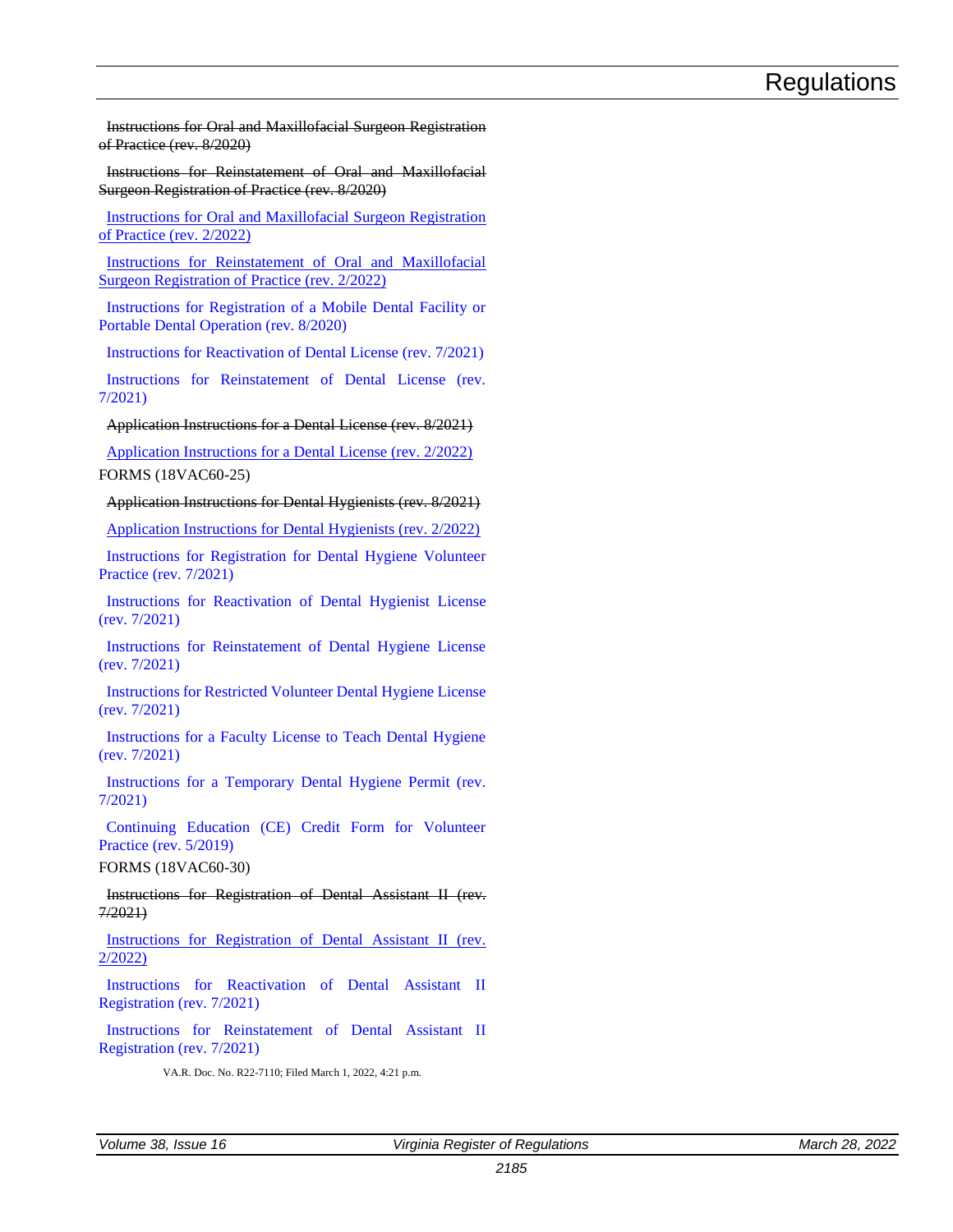Instructions for Oral and Maxillofacial Surgeon Registration of Practice (rev. 8/2020)

Instructions for Reinstatement of Oral and Maxillofacial Surgeon Registration of Practice (rev. 8/2020)

[Instructions for Oral and Maxillofacial Surgeon Registration](https://ris.dls.virginia.gov/uploads/18VAC60/forms/OMS%20Registration%20Application%20Revised%20February%202022-20220301143556.pdf)  [of Practice \(rev. 2/2022\)](https://ris.dls.virginia.gov/uploads/18VAC60/forms/OMS%20Registration%20Application%20Revised%20February%202022-20220301143556.pdf)

[Instructions for Reinstatement of Oral and Maxillofacial](https://ris.dls.virginia.gov/uploads/18VAC60/forms/OMS%20Registration%20Reinstatement%20Application%20Revised%20February%202022-20220301143715.pdf)  [Surgeon Registration of Practice \(rev. 2/2022\)](https://ris.dls.virginia.gov/uploads/18VAC60/forms/OMS%20Registration%20Reinstatement%20Application%20Revised%20February%202022-20220301143715.pdf)

[Instructions for Registration of a Mobile Dental Facility or](https://ris.dls.virginia.gov/uploads/18VAC60/forms/Mobile_Facility_App-20201228153807.pdf)  [Portable Dental Operation \(rev. 8/2020\)](https://ris.dls.virginia.gov/uploads/18VAC60/forms/Mobile_Facility_App-20201228153807.pdf)

[Instructions for Reactivation of Dental License \(rev. 7/2021\)](https://ris.dls.virginia.gov/uploads/18VAC60/forms/2021_Instr_Reactivation-20210918180817.pdf)

[Instructions for Reinstatement of Dental License \(rev.](https://ris.dls.virginia.gov/uploads/18VAC60/forms/2021_Instr_Reinstatement-20210918180848.pdf)  [7/2021\)](https://ris.dls.virginia.gov/uploads/18VAC60/forms/2021_Instr_Reinstatement-20210918180848.pdf)

#### Application Instructions for a Dental License (rev. 8/2021)

[Application Instructions for a Dental License \(rev. 2/2022\)](https://ris.dls.virginia.gov/uploads/18VAC60/forms/Dentist%20Online%20Application%20Instructions%20Revised%20February%202022-20220301145250.pdf) FORMS (18VAC60-25)

#### Application Instructions for Dental Hygienists (rev. 8/2021)

[Application Instructions for Dental Hygienists \(rev. 2/2022\)](https://ris.dls.virginia.gov/uploads/18VAC60/forms/Dental%20Hygiene%20Online%20Application%20Instructions%20Revised%20February%202022-20220301150407.pdf)

[Instructions for Registration for Dental Hygiene Volunteer](https://ris.dls.virginia.gov/uploads/18VAC60/forms/2021_Instr_Reg_VolunteerPractice-20210918182409.pdf)  [Practice \(rev. 7/2021\)](https://ris.dls.virginia.gov/uploads/18VAC60/forms/2021_Instr_Reg_VolunteerPractice-20210918182409.pdf)

[Instructions for Reactivation of Dental Hygienist License](https://ris.dls.virginia.gov/uploads/18VAC60/forms/2021_Instr_Reactivation_Hyg-20210918182953.pdf)  [\(rev. 7/2021\)](https://ris.dls.virginia.gov/uploads/18VAC60/forms/2021_Instr_Reactivation_Hyg-20210918182953.pdf)

[Instructions for Reinstatement of Dental Hygiene License](https://ris.dls.virginia.gov/uploads/18VAC60/forms/2021_Instr_Reinstatement_Hyg-20210918182922.pdf)  [\(rev. 7/2021\)](https://ris.dls.virginia.gov/uploads/18VAC60/forms/2021_Instr_Reinstatement_Hyg-20210918182922.pdf)

[Instructions for Restricted Volunteer Dental Hygiene License](https://ris.dls.virginia.gov/uploads/18VAC60/forms/2021_Instr_RestrictedVolunteer-20210918182825.pdf)  [\(rev. 7/2021\)](https://ris.dls.virginia.gov/uploads/18VAC60/forms/2021_Instr_RestrictedVolunteer-20210918182825.pdf)

[Instructions for a Faculty License to Teach Dental Hygiene](https://ris.dls.virginia.gov/uploads/18VAC60/forms/2021_Instr_FacultyLicense-20210918182738.pdf)  [\(rev. 7/2021\)](https://ris.dls.virginia.gov/uploads/18VAC60/forms/2021_Instr_FacultyLicense-20210918182738.pdf)

[Instructions for a Temporary Dental Hygiene Permit \(rev.](https://ris.dls.virginia.gov/uploads/18VAC60/forms/2021_Instr_TempPermit-20210918182602.pdf) [7/2021\)](https://ris.dls.virginia.gov/uploads/18VAC60/forms/2021_Instr_TempPermit-20210918182602.pdf)

[Continuing Education \(CE\) Credit Form for Volunteer](https://ris.dls.virginia.gov/uploads/18VAC60/forms/VolunteerPractice_CEForm-20201228133640.pdf)  [Practice \(rev. 5/2019\)](https://ris.dls.virginia.gov/uploads/18VAC60/forms/VolunteerPractice_CEForm-20201228133640.pdf)

FORMS (18VAC60-30)

Instructions for Registration of Dental Assistant II (rev. 7/2021)

[Instructions for Registration of Dental Assistant II \(rev.](https://ris.dls.virginia.gov/uploads/18VAC60/forms/Dental%20Assistant%20II%20Application%20February%202022-20220301143122.pdf)  [2/2022\)](https://ris.dls.virginia.gov/uploads/18VAC60/forms/Dental%20Assistant%20II%20Application%20February%202022-20220301143122.pdf)

[Instructions for Reactivation of Dental Assistant II](https://ris.dls.virginia.gov/uploads/18VAC60/forms/2021_Reactivate-20210918183633.pdf)  [Registration \(rev. 7/2021\)](https://ris.dls.virginia.gov/uploads/18VAC60/forms/2021_Reactivate-20210918183633.pdf)

[Instructions for Reinstatement of Dental Assistant II](https://ris.dls.virginia.gov/uploads/18VAC60/forms/2021_Reinstate-20210918183651.pdf)  [Registration \(rev. 7/2021\)](https://ris.dls.virginia.gov/uploads/18VAC60/forms/2021_Reinstate-20210918183651.pdf)

VA.R. Doc. No. R22-7110; Filed March 1, 2022, 4:21 p.m.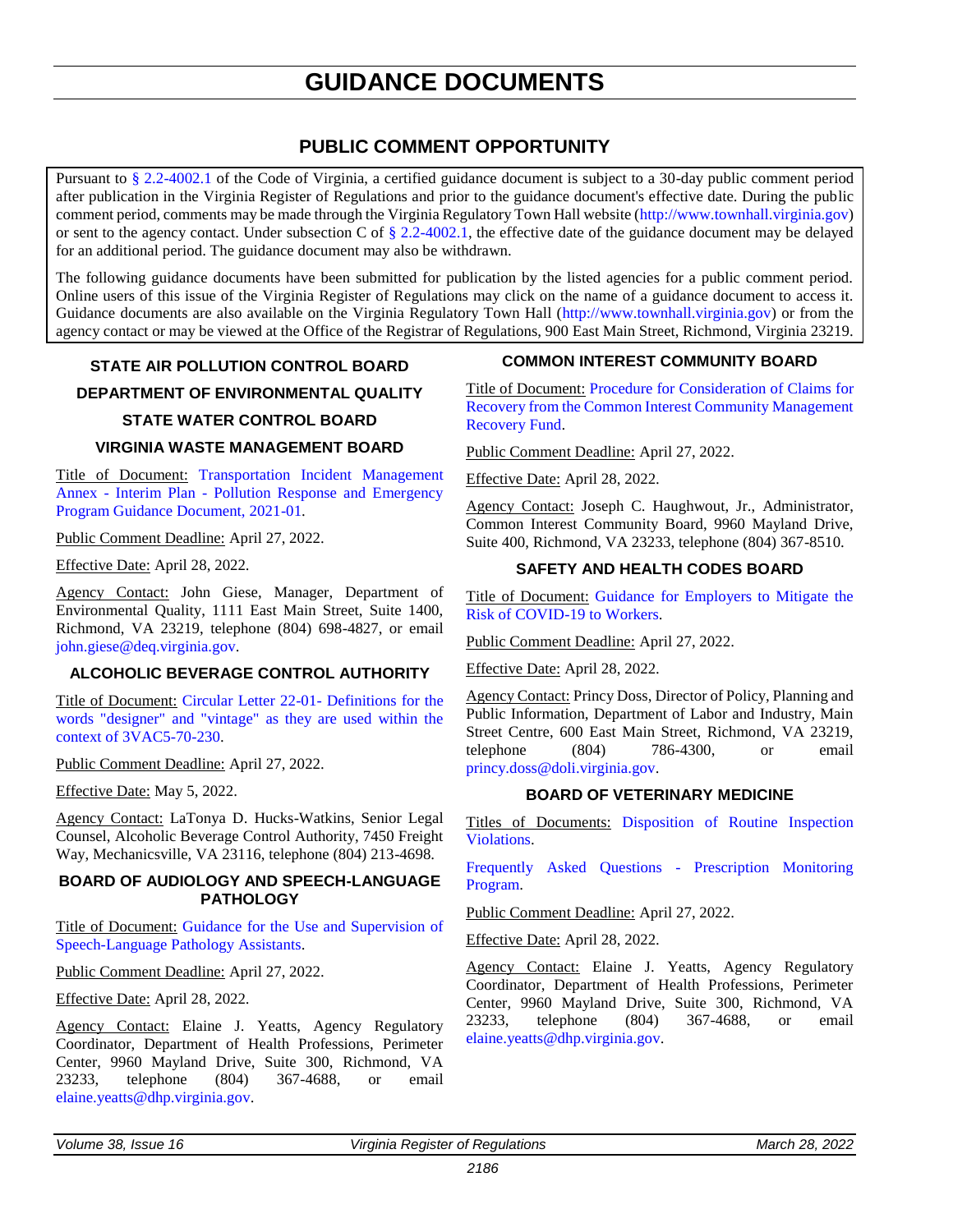## **GUIDANCE DOCUMENTS**

### **PUBLIC COMMENT OPPORTUNITY**

<span id="page-40-0"></span>Pursuant to [§ 2.2-4002.1](https://law.lis.virginia.gov/vacode/title2.2/chapter40/section2.2-4002.1/) of the Code of Virginia, a certified guidance document is subject to a 30-day public comment period after publication in the Virginia Register of Regulations and prior to the guidance document's effective date. During the public comment period, comments may be made through the Virginia Regulatory Town Hall website [\(http://www.townhall.virginia.gov\)](http://www.townhall.virginia.gov/) or sent to the agency contact. Under subsection C of [§ 2.2-4002.1,](https://law.lis.virginia.gov/vacode/title2.2/chapter40/section2.2-4002.1/) the effective date of the guidance document may be delayed for an additional period. The guidance document may also be withdrawn.

The following guidance documents have been submitted for publication by the listed agencies for a public comment period. Online users of this issue of the Virginia Register of Regulations may click on the name of a guidance document to access it. Guidance documents are also available on the Virginia Regulatory Town Hall [\(http://www.townhall.virginia.gov\)](http://www.townhall.virginia.gov/) or from the agency contact or may be viewed at the Office of the Registrar of Regulations, 900 East Main Street, Richmond, Virginia 23219.

#### **STATE AIR POLLUTION CONTROL BOARD**

**DEPARTMENT OF ENVIRONMENTAL QUALITY**

#### **STATE WATER CONTROL BOARD**

#### **VIRGINIA WASTE MANAGEMENT BOARD**

Title of Document: [Transportation Incident Management](https://townhall.virginia.gov/L/GetFile.cfm?File=C:/TownHall/docroot/GuidanceDocs_Proposed/440/GDoc_DEQ_6104_20220303.pdf)  Annex - Interim Plan - [Pollution Response and Emergency](https://townhall.virginia.gov/L/GetFile.cfm?File=C:/TownHall/docroot/GuidanceDocs_Proposed/440/GDoc_DEQ_6104_20220303.pdf)  [Program Guidance Document, 2021-01.](https://townhall.virginia.gov/L/GetFile.cfm?File=C:/TownHall/docroot/GuidanceDocs_Proposed/440/GDoc_DEQ_6104_20220303.pdf)

Public Comment Deadline: April 27, 2022.

Effective Date: April 28, 2022.

Agency Contact: John Giese, Manager, Department of Environmental Quality, 1111 East Main Street, Suite 1400, Richmond, VA 23219, telephone (804) 698-4827, or email [john.giese@deq.virginia.gov.](mailto:John.Giese@deq.virginia.gov)

#### **ALCOHOLIC BEVERAGE CONTROL AUTHORITY**

Title of Document: [Circular Letter 22-01-](https://townhall.virginia.gov/l/GetFile.cfm?File=C:/TownHall/docroot/GuidanceDocs_Proposed/999/GDoc_ABC_6106_20220307.pdf) Definitions for the [words "designer" and "vintage" as they are used within the](https://townhall.virginia.gov/l/GetFile.cfm?File=C:/TownHall/docroot/GuidanceDocs_Proposed/999/GDoc_ABC_6106_20220307.pdf)  [context of 3VAC5-70-230.](https://townhall.virginia.gov/l/GetFile.cfm?File=C:/TownHall/docroot/GuidanceDocs_Proposed/999/GDoc_ABC_6106_20220307.pdf)

Public Comment Deadline: April 27, 2022.

Effective Date: May 5, 2022.

Agency Contact: LaTonya D. Hucks-Watkins, Senior Legal Counsel, Alcoholic Beverage Control Authority, 7450 Freight Way, Mechanicsville, VA 23116, telephone (804) 213-4698.

#### **BOARD OF AUDIOLOGY AND SPEECH-LANGUAGE PATHOLOGY**

Title of Document: [Guidance for the Use and Supervision of](https://townhall.virginia.gov/l/GetFile.cfm?File=C:/TownHall/docroot/GuidanceDocs_Proposed/223/GDoc_DHP_6107_20220308.pdf)  [Speech-Language Pathology Assistants.](https://townhall.virginia.gov/l/GetFile.cfm?File=C:/TownHall/docroot/GuidanceDocs_Proposed/223/GDoc_DHP_6107_20220308.pdf)

Public Comment Deadline: April 27, 2022.

Effective Date: April 28, 2022.

Agency Contact: Elaine J. Yeatts, Agency Regulatory Coordinator, Department of Health Professions, Perimeter Center, 9960 Mayland Drive, Suite 300, Richmond, VA 23233, telephone (804) 367-4688, or email [elaine.yeatts@dhp.virginia.gov.](mailto:elaine.yeatts@dhp.virginia.gov)

#### **COMMON INTEREST COMMUNITY BOARD**

Title of Document: [Procedure for Consideration of Claims for](https://townhall.virginia.gov/l/GetFile.cfm?File=C:/TownHall/docroot/GuidanceDocs_Proposed/222/GDoc_DPOR_6105_20220307.pdf)  [Recovery from the Common Interest Community Management](https://townhall.virginia.gov/l/GetFile.cfm?File=C:/TownHall/docroot/GuidanceDocs_Proposed/222/GDoc_DPOR_6105_20220307.pdf)  [Recovery Fund.](https://townhall.virginia.gov/l/GetFile.cfm?File=C:/TownHall/docroot/GuidanceDocs_Proposed/222/GDoc_DPOR_6105_20220307.pdf)

Public Comment Deadline: April 27, 2022.

Effective Date: April 28, 2022.

Agency Contact: Joseph C. Haughwout, Jr., Administrator, Common Interest Community Board, 9960 Mayland Drive, Suite 400, Richmond, VA 23233, telephone (804) 367-8510.

#### **SAFETY AND HEALTH CODES BOARD**

Title of Document: [Guidance for Employers to Mitigate the](https://townhall.virginia.gov/L/GetFile.cfm?File=C:/TownHall/docroot/GuidanceDocs_Proposed/181/GDoc_DOLI_6097_20220301.pdf)  [Risk of COVID-19 to Workers.](https://townhall.virginia.gov/L/GetFile.cfm?File=C:/TownHall/docroot/GuidanceDocs_Proposed/181/GDoc_DOLI_6097_20220301.pdf)

Public Comment Deadline: April 27, 2022.

Effective Date: April 28, 2022.

Agency Contact: Princy Doss, Director of Policy, Planning and Public Information, Department of Labor and Industry, Main Street Centre, 600 East Main Street, Richmond, VA 23219, telephone (804) 786-4300, or email [princy.doss@doli.virginia.gov.](mailto:princy.doss@doli.virginia.gov)

#### **BOARD OF VETERINARY MEDICINE**

Titles of Documents: [Disposition of Routine Inspection](https://townhall.virginia.gov/L/GetFile.cfm?File=C:/TownHall/docroot/GuidanceDocs_Proposed/223/GDoc_DHP_6100_20220303.pdf)  [Violations.](https://townhall.virginia.gov/L/GetFile.cfm?File=C:/TownHall/docroot/GuidanceDocs_Proposed/223/GDoc_DHP_6100_20220303.pdf)

[Frequently Asked Questions -](https://townhall.virginia.gov/L/GetFile.cfm?File=C:/TownHall/docroot/GuidanceDocs_Proposed/223/GDoc_DHP_6101_20220303.pdf) Prescription Monitoring [Program.](https://townhall.virginia.gov/L/GetFile.cfm?File=C:/TownHall/docroot/GuidanceDocs_Proposed/223/GDoc_DHP_6101_20220303.pdf)

Public Comment Deadline: April 27, 2022.

Effective Date: April 28, 2022.

Agency Contact: Elaine J. Yeatts, Agency Regulatory Coordinator, Department of Health Professions, Perimeter Center, 9960 Mayland Drive, Suite 300, Richmond, VA 23233, telephone (804) 367-4688, or email [elaine.yeatts@dhp.virginia.gov.](mailto:elaine.yeatts@dhp.virginia.gov)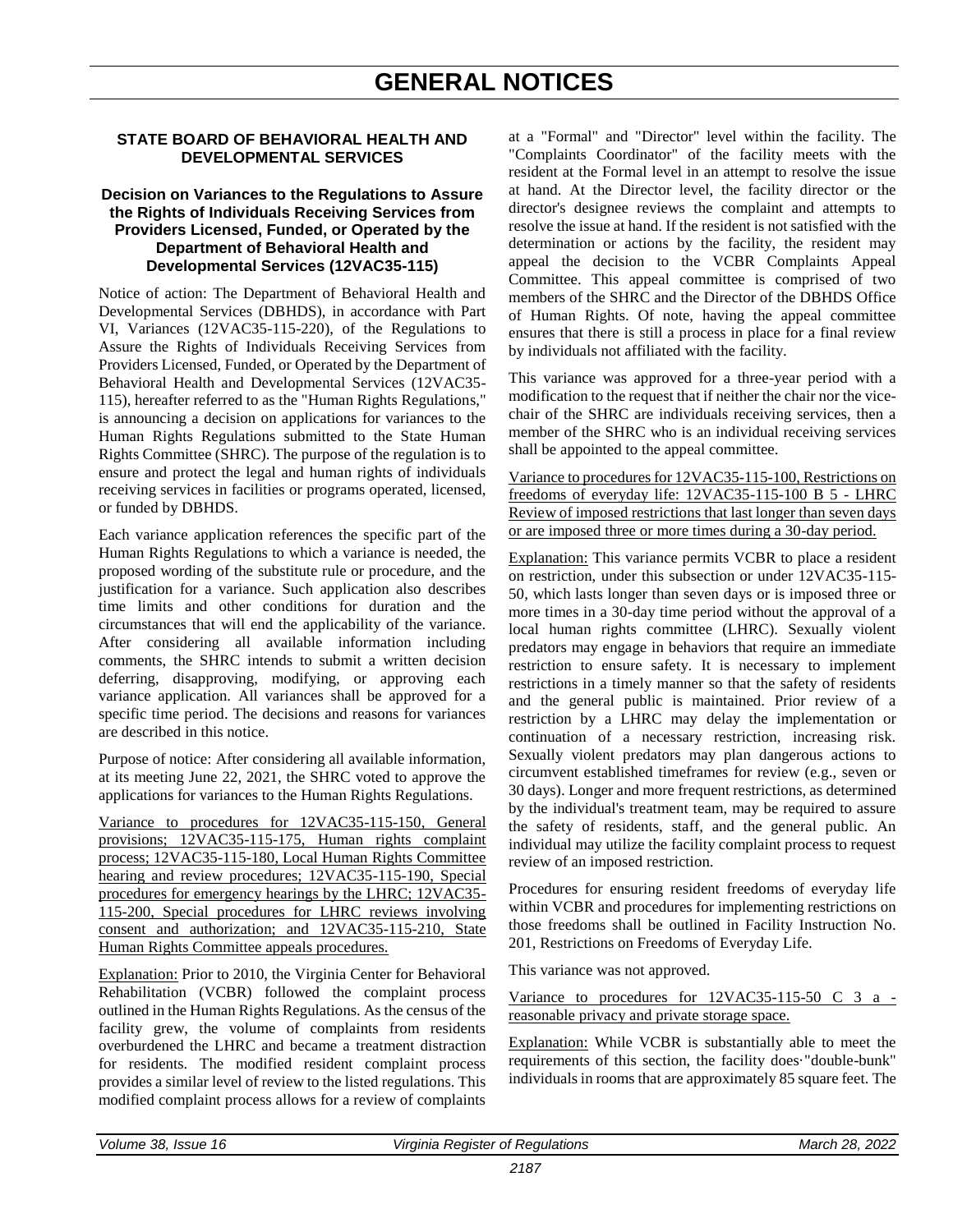#### <span id="page-41-0"></span>**STATE BOARD OF BEHAVIORAL HEALTH AND DEVELOPMENTAL SERVICES**

#### **Decision on Variances to the Regulations to Assure the Rights of Individuals Receiving Services from Providers Licensed, Funded, or Operated by the Department of Behavioral Health and Developmental Services (12VAC35-115)**

Notice of action: The Department of Behavioral Health and Developmental Services (DBHDS), in accordance with Part VI, Variances (12VAC35-115-220), of the Regulations to Assure the Rights of Individuals Receiving Services from Providers Licensed, Funded, or Operated by the Department of Behavioral Health and Developmental Services (12VAC35- 115), hereafter referred to as the "Human Rights Regulations," is announcing a decision on applications for variances to the Human Rights Regulations submitted to the State Human Rights Committee (SHRC). The purpose of the regulation is to ensure and protect the legal and human rights of individuals receiving services in facilities or programs operated, licensed, or funded by DBHDS.

Each variance application references the specific part of the Human Rights Regulations to which a variance is needed, the proposed wording of the substitute rule or procedure, and the justification for a variance. Such application also describes time limits and other conditions for duration and the circumstances that will end the applicability of the variance. After considering all available information including comments, the SHRC intends to submit a written decision deferring, disapproving, modifying, or approving each variance application. All variances shall be approved for a specific time period. The decisions and reasons for variances are described in this notice.

Purpose of notice: After considering all available information, at its meeting June 22, 2021, the SHRC voted to approve the applications for variances to the Human Rights Regulations.

Variance to procedures for 12VAC35-115-150, General provisions; 12VAC35-115-175, Human rights complaint process; 12VAC35-115-180, Local Human Rights Committee hearing and review procedures; 12VAC35-115-190, Special procedures for emergency hearings by the LHRC; 12VAC35- 115-200, Special procedures for LHRC reviews involving consent and authorization; and 12VAC35-115-210, State Human Rights Committee appeals procedures.

Explanation: Prior to 2010, the Virginia Center for Behavioral Rehabilitation (VCBR) followed the complaint process outlined in the Human Rights Regulations. As the census of the facility grew, the volume of complaints from residents overburdened the LHRC and became a treatment distraction for residents. The modified resident complaint process provides a similar level of review to the listed regulations. This modified complaint process allows for a review of complaints

at a "Formal" and "Director" level within the facility. The "Complaints Coordinator" of the facility meets with the resident at the Formal level in an attempt to resolve the issue at hand. At the Director level, the facility director or the director's designee reviews the complaint and attempts to resolve the issue at hand. If the resident is not satisfied with the determination or actions by the facility, the resident may appeal the decision to the VCBR Complaints Appeal Committee. This appeal committee is comprised of two members of the SHRC and the Director of the DBHDS Office of Human Rights. Of note, having the appeal committee ensures that there is still a process in place for a final review by individuals not affiliated with the facility.

This variance was approved for a three-year period with a modification to the request that if neither the chair nor the vicechair of the SHRC are individuals receiving services, then a member of the SHRC who is an individual receiving services shall be appointed to the appeal committee.

Variance to procedures for 12VAC35-115-100, Restrictions on freedoms of everyday life: 12VAC35-115-100 B 5 - LHRC Review of imposed restrictions that last longer than seven days or are imposed three or more times during a 30-day period.

Explanation: This variance permits VCBR to place a resident on restriction, under this subsection or under 12VAC35-115- 50, which lasts longer than seven days or is imposed three or more times in a 30-day time period without the approval of a local human rights committee (LHRC). Sexually violent predators may engage in behaviors that require an immediate restriction to ensure safety. It is necessary to implement restrictions in a timely manner so that the safety of residents and the general public is maintained. Prior review of a restriction by a LHRC may delay the implementation or continuation of a necessary restriction, increasing risk. Sexually violent predators may plan dangerous actions to circumvent established timeframes for review (e.g., seven or 30 days). Longer and more frequent restrictions, as determined by the individual's treatment team, may be required to assure the safety of residents, staff, and the general public. An individual may utilize the facility complaint process to request review of an imposed restriction.

Procedures for ensuring resident freedoms of everyday life within VCBR and procedures for implementing restrictions on those freedoms shall be outlined in Facility Instruction No. 201, Restrictions on Freedoms of Everyday Life.

This variance was not approved.

Variance to procedures for 12VAC35-115-50 C 3 a reasonable privacy and private storage space.

Explanation: While VCBR is substantially able to meet the requirements of this section, the facility does·"double-bunk" individuals in rooms that are approximately 85 square feet. The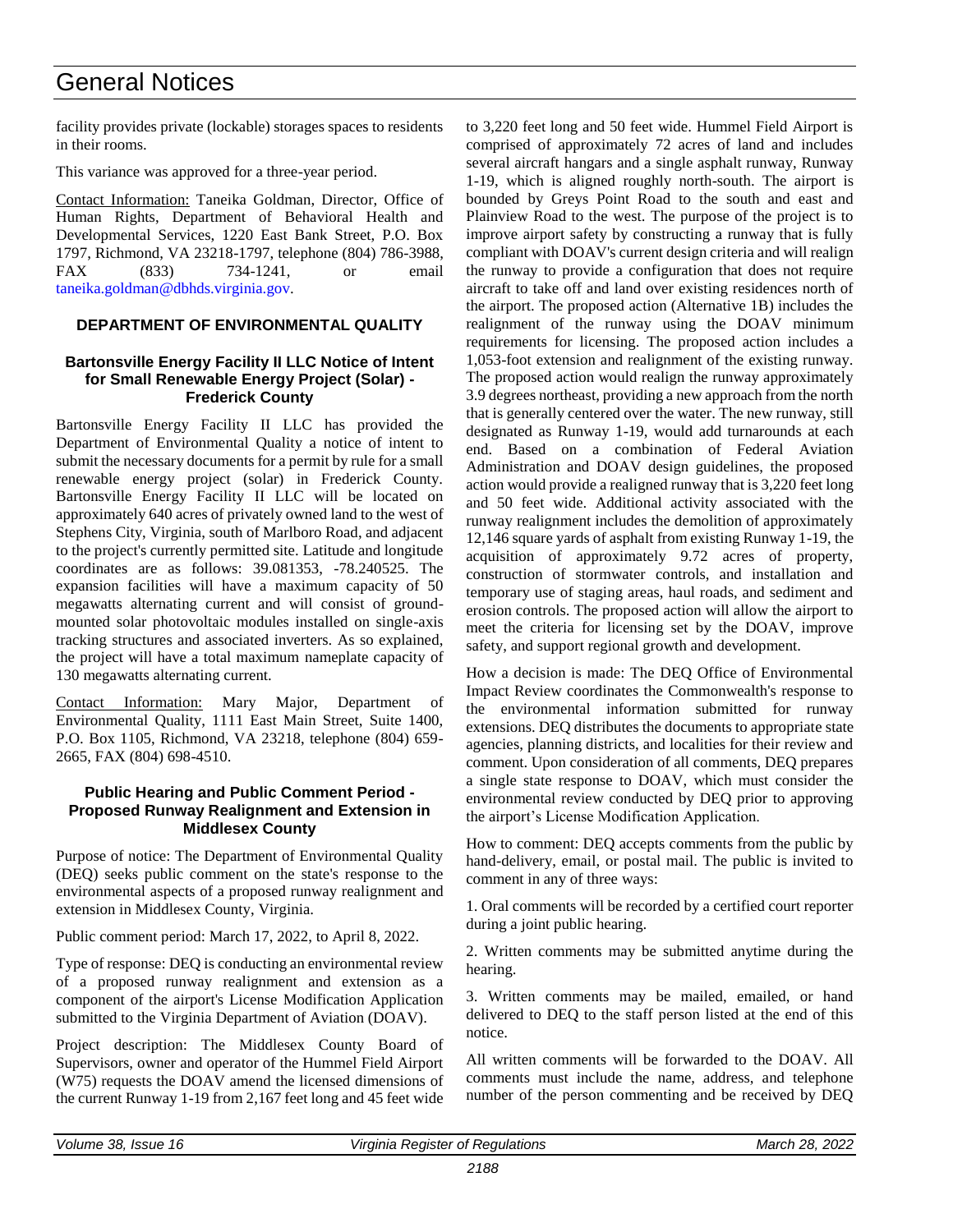## General Notices

facility provides private (lockable) storages spaces to residents in their rooms.

This variance was approved for a three-year period.

Contact Information: Taneika Goldman, Director, Office of Human Rights, Department of Behavioral Health and Developmental Services, 1220 East Bank Street, P.O. Box 1797, Richmond, VA 23218-1797, telephone (804) 786-3988, FAX (833) 734-1241, or email [taneika.goldman@dbhds.virginia.gov.](mailto:taneika.goldman@dbhds.virginia.gov)

#### **DEPARTMENT OF ENVIRONMENTAL QUALITY**

#### **Bartonsville Energy Facility II LLC Notice of Intent for Small Renewable Energy Project (Solar) - Frederick County**

Bartonsville Energy Facility II LLC has provided the Department of Environmental Quality a notice of intent to submit the necessary documents for a permit by rule for a small renewable energy project (solar) in Frederick County. Bartonsville Energy Facility II LLC will be located on approximately 640 acres of privately owned land to the west of Stephens City, Virginia, south of Marlboro Road, and adjacent to the project's currently permitted site. Latitude and longitude coordinates are as follows: 39.081353, -78.240525. The expansion facilities will have a maximum capacity of 50 megawatts alternating current and will consist of groundmounted solar photovoltaic modules installed on single-axis tracking structures and associated inverters. As so explained, the project will have a total maximum nameplate capacity of 130 megawatts alternating current.

Contact Information: Mary Major, Department of Environmental Quality, 1111 East Main Street, Suite 1400, P.O. Box 1105, Richmond, VA 23218, telephone (804) 659- 2665, FAX (804) 698-4510.

#### **Public Hearing and Public Comment Period - Proposed Runway Realignment and Extension in Middlesex County**

Purpose of notice: The Department of Environmental Quality (DEQ) seeks public comment on the state's response to the environmental aspects of a proposed runway realignment and extension in Middlesex County, Virginia.

Public comment period: March 17, 2022, to April 8, 2022.

Type of response: DEQ is conducting an environmental review of a proposed runway realignment and extension as a component of the airport's License Modification Application submitted to the Virginia Department of Aviation (DOAV).

Project description: The Middlesex County Board of Supervisors, owner and operator of the Hummel Field Airport (W75) requests the DOAV amend the licensed dimensions of the current Runway 1-19 from 2,167 feet long and 45 feet wide to 3,220 feet long and 50 feet wide. Hummel Field Airport is comprised of approximately 72 acres of land and includes several aircraft hangars and a single asphalt runway, Runway 1-19, which is aligned roughly north-south. The airport is bounded by Greys Point Road to the south and east and Plainview Road to the west. The purpose of the project is to improve airport safety by constructing a runway that is fully compliant with DOAV's current design criteria and will realign the runway to provide a configuration that does not require aircraft to take off and land over existing residences north of the airport. The proposed action (Alternative 1B) includes the realignment of the runway using the DOAV minimum requirements for licensing. The proposed action includes a 1,053-foot extension and realignment of the existing runway. The proposed action would realign the runway approximately 3.9 degrees northeast, providing a new approach from the north that is generally centered over the water. The new runway, still designated as Runway 1-19, would add turnarounds at each end. Based on a combination of Federal Aviation Administration and DOAV design guidelines, the proposed action would provide a realigned runway that is 3,220 feet long and 50 feet wide. Additional activity associated with the runway realignment includes the demolition of approximately 12,146 square yards of asphalt from existing Runway 1-19, the acquisition of approximately 9.72 acres of property, construction of stormwater controls, and installation and temporary use of staging areas, haul roads, and sediment and erosion controls. The proposed action will allow the airport to meet the criteria for licensing set by the DOAV, improve safety, and support regional growth and development.

How a decision is made: The DEQ Office of Environmental Impact Review coordinates the Commonwealth's response to the environmental information submitted for runway extensions. DEQ distributes the documents to appropriate state agencies, planning districts, and localities for their review and comment. Upon consideration of all comments, DEQ prepares a single state response to DOAV, which must consider the environmental review conducted by DEQ prior to approving the airport's License Modification Application.

How to comment: DEQ accepts comments from the public by hand-delivery, email, or postal mail. The public is invited to comment in any of three ways:

1. Oral comments will be recorded by a certified court reporter during a joint public hearing.

2. Written comments may be submitted anytime during the hearing.

3. Written comments may be mailed, emailed, or hand delivered to DEQ to the staff person listed at the end of this notice.

All written comments will be forwarded to the DOAV. All comments must include the name, address, and telephone number of the person commenting and be received by DEQ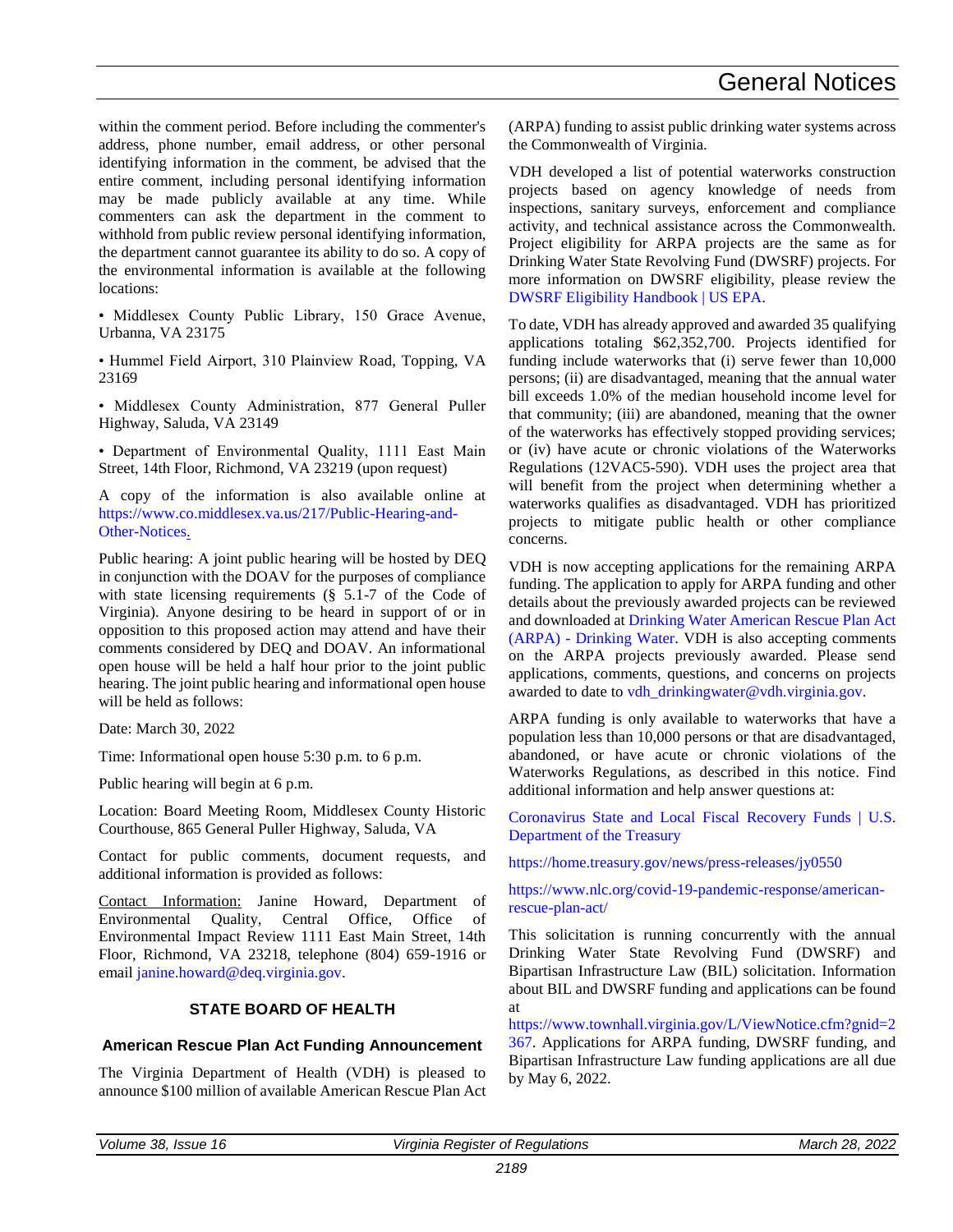within the comment period. Before including the commenter's address, phone number, email address, or other personal identifying information in the comment, be advised that the entire comment, including personal identifying information may be made publicly available at any time. While commenters can ask the department in the comment to withhold from public review personal identifying information, the department cannot guarantee its ability to do so. A copy of the environmental information is available at the following locations:

• Middlesex County Public Library, 150 Grace Avenue, Urbanna, VA 23175

• Hummel Field Airport, 310 Plainview Road, Topping, VA 23169

• Middlesex County Administration, 877 General Puller Highway, Saluda, VA 23149

• Department of Environmental Quality, 1111 East Main Street, 14th Floor, Richmond, VA 23219 (upon request)

A copy of the information is also available online at [https://www.co.middlesex.va.us/217/Public-Hearing-and-](https://www.co.middlesex.va.us/217/Public-Hearing-and-Other-Notices.)[Other-Notices.](https://www.co.middlesex.va.us/217/Public-Hearing-and-Other-Notices.)

Public hearing: A joint public hearing will be hosted by DEQ in conjunction with the DOAV for the purposes of compliance with state licensing requirements (§ 5.1-7 of the Code of Virginia). Anyone desiring to be heard in support of or in opposition to this proposed action may attend and have their comments considered by DEQ and DOAV. An informational open house will be held a half hour prior to the joint public hearing. The joint public hearing and informational open house will be held as follows:

Date: March 30, 2022

Time: Informational open house 5:30 p.m. to 6 p.m.

Public hearing will begin at 6 p.m.

Location: Board Meeting Room, Middlesex County Historic Courthouse, 865 General Puller Highway, Saluda, VA

Contact for public comments, document requests, and additional information is provided as follows:

Contact Information: Janine Howard, Department of Environmental Quality, Central Office, Office of Environmental Impact Review 1111 East Main Street, 14th Floor, Richmond, VA 23218, telephone (804) 659-1916 or email [janine.howard@deq.virginia.gov.](mailto:janine.howard@deq.virginia.gov)

#### **STATE BOARD OF HEALTH**

#### **American Rescue Plan Act Funding Announcement**

The Virginia Department of Health (VDH) is pleased to announce \$100 million of available American Rescue Plan Act (ARPA) funding to assist public drinking water systems across the Commonwealth of Virginia.

VDH developed a list of potential waterworks construction projects based on agency knowledge of needs from inspections, sanitary surveys, enforcement and compliance activity, and technical assistance across the Commonwealth. Project eligibility for ARPA projects are the same as for Drinking Water State Revolving Fund (DWSRF) projects. For more information on DWSRF eligibility, please review the [DWSRF Eligibility Handbook | US EPA.](https://www.epa.gov/dwsrf/dwsrf-eligibility-handbook)

To date, VDH has already approved and awarded 35 qualifying applications totaling \$62,352,700. Projects identified for funding include waterworks that (i) serve fewer than 10,000 persons; (ii) are disadvantaged, meaning that the annual water bill exceeds 1.0% of the median household income level for that community; (iii) are abandoned, meaning that the owner of the waterworks has effectively stopped providing services; or (iv) have acute or chronic violations of the Waterworks Regulations (12VAC5-590). VDH uses the project area that will benefit from the project when determining whether a waterworks qualifies as disadvantaged. VDH has prioritized projects to mitigate public health or other compliance concerns.

VDH is now accepting applications for the remaining ARPA funding. The application to apply for ARPA funding and other details about the previously awarded projects can be reviewed and downloaded at [Drinking Water American Rescue Plan Act](https://www.vdh.virginia.gov/drinking-water/arpa/)  (ARPA) - [Drinking Water.](https://www.vdh.virginia.gov/drinking-water/arpa/) VDH is also accepting comments on the ARPA projects previously awarded. Please send applications, comments, questions, and concerns on projects awarded to date to [vdh\\_drinkingwater@vdh.virginia.gov.](mailto:vdh_drinkingwater@vdh.virginia.gov)

ARPA funding is only available to waterworks that have a population less than 10,000 persons or that are disadvantaged, abandoned, or have acute or chronic violations of the Waterworks Regulations, as described in this notice. Find additional information and help answer questions at:

[Coronavirus State and Local Fiscal Recovery Funds | U.S.](https://home.treasury.gov/policy-issues/coronavirus/assistance-for-state-local-and-tribal-governments/state-and-local-fiscal-recovery-funds)  [Department of the Treasury](https://home.treasury.gov/policy-issues/coronavirus/assistance-for-state-local-and-tribal-governments/state-and-local-fiscal-recovery-funds)

<https://home.treasury.gov/news/press-releases/jy0550>

[https://www.nlc.org/covid-19-pandemic-response/american](https://www.nlc.org/covid-19-pandemic-response/american-rescue-plan-act/)[rescue-plan-act/](https://www.nlc.org/covid-19-pandemic-response/american-rescue-plan-act/)

This solicitation is running concurrently with the annual Drinking Water State Revolving Fund (DWSRF) and Bipartisan Infrastructure Law (BIL) solicitation. Information about BIL and DWSRF funding and applications can be found at

[https://www.townhall.virginia.gov/L/ViewNotice.cfm?gnid=2](https://www.townhall.virginia.gov/L/ViewNotice.cfm?gnid=2367) [367.](https://www.townhall.virginia.gov/L/ViewNotice.cfm?gnid=2367) Applications for ARPA funding, DWSRF funding, and Bipartisan Infrastructure Law funding applications are all due by May 6, 2022.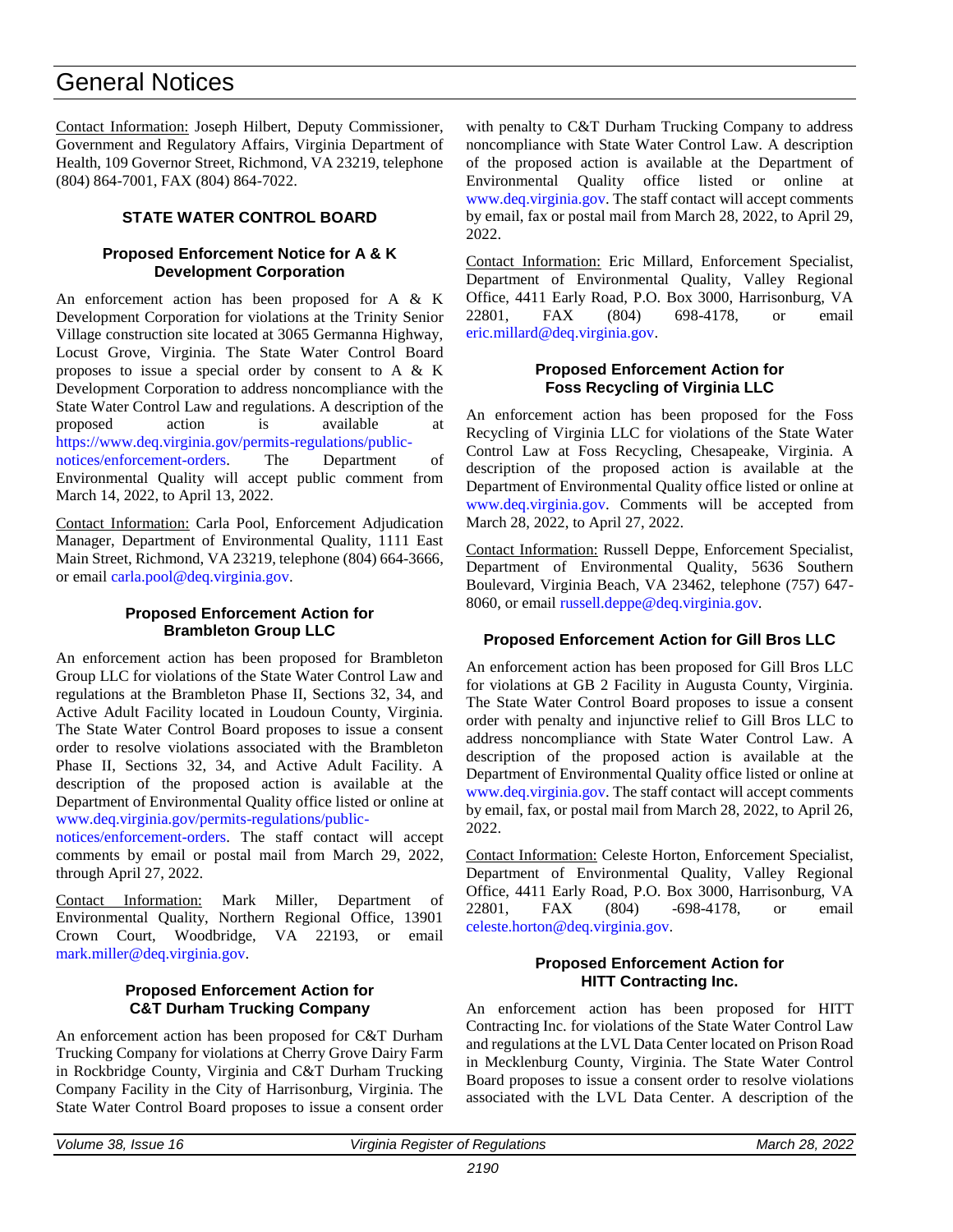## General Notices

Contact Information: Joseph Hilbert, Deputy Commissioner, Government and Regulatory Affairs, Virginia Department of Health, 109 Governor Street, Richmond, VA 23219, telephone (804) 864-7001, FAX (804) 864-7022.

#### **STATE WATER CONTROL BOARD**

#### **Proposed Enforcement Notice for A & K Development Corporation**

An enforcement action has been proposed for A & K Development Corporation for violations at the Trinity Senior Village construction site located at 3065 Germanna Highway, Locust Grove, Virginia. The State Water Control Board proposes to issue a special order by consent to A & K Development Corporation to address noncompliance with the State Water Control Law and regulations. A description of the proposed action is available at [https://www.deq.virginia.gov/permits-regulations/public-](https://www.deq.virginia.gov/permits-regulations/public-notices/enforcement-orders)

[notices/enforcement-orders.](https://www.deq.virginia.gov/permits-regulations/public-notices/enforcement-orders) The Department of Environmental Quality will accept public comment from March 14, 2022, to April 13, 2022.

Contact Information: Carla Pool, Enforcement Adjudication Manager, Department of Environmental Quality, 1111 East Main Street, Richmond, VA 23219, telephone (804) 664-3666, or email [carla.pool@deq.virginia.gov.](mailto:Carla.Pool@deq.virginia.gov)

#### **Proposed Enforcement Action for Brambleton Group LLC**

An enforcement action has been proposed for Brambleton Group LLC for violations of the State Water Control Law and regulations at the Brambleton Phase II, Sections 32, 34, and Active Adult Facility located in Loudoun County, Virginia. The State Water Control Board proposes to issue a consent order to resolve violations associated with the Brambleton Phase II, Sections 32, 34, and Active Adult Facility. A description of the proposed action is available at the Department of Environmental Quality office listed or online at [www.deq.virginia.gov/permits-regulations/public-](http://www.deq.virginia.gov/permits-regulations/public-notices/enforcement-orders)

[notices/enforcement-orders.](http://www.deq.virginia.gov/permits-regulations/public-notices/enforcement-orders) The staff contact will accept comments by email or postal mail from March 29, 2022, through April 27, 2022.

Contact Information: Mark Miller, Department of Environmental Quality, Northern Regional Office, 13901 Crown Court, Woodbridge, VA 22193, or email [mark.miller@deq.virginia.gov.](mailto:mark.miller@deq.virginia.gov)

#### **Proposed Enforcement Action for C&T Durham Trucking Company**

An enforcement action has been proposed for C&T Durham Trucking Company for violations at Cherry Grove Dairy Farm in Rockbridge County, Virginia and C&T Durham Trucking Company Facility in the City of Harrisonburg, Virginia. The State Water Control Board proposes to issue a consent order

with penalty to C&T Durham Trucking Company to address noncompliance with State Water Control Law. A description of the proposed action is available at the Department of Environmental Quality office listed or online at [www.deq.virginia.gov.](http://www.deq.virginia.gov/) The staff contact will accept comments by email, fax or postal mail from March 28, 2022, to April 29, 2022.

Contact Information: Eric Millard, Enforcement Specialist, Department of Environmental Quality, Valley Regional Office, 4411 Early Road, P.O. Box 3000, Harrisonburg, VA 22801, FAX (804) 698-4178, or email [eric.millard@deq.virginia.gov.](mailto:eric.millard@deq.virginia.gov)

#### **Proposed Enforcement Action for Foss Recycling of Virginia LLC**

An enforcement action has been proposed for the Foss Recycling of Virginia LLC for violations of the State Water Control Law at Foss Recycling, Chesapeake, Virginia. A description of the proposed action is available at the Department of Environmental Quality office listed or online at [www.deq.virginia.gov.](http://www.deq.virginia.gov/) Comments will be accepted from March 28, 2022, to April 27, 2022.

Contact Information: Russell Deppe, Enforcement Specialist, Department of Environmental Quality, 5636 Southern Boulevard, Virginia Beach, VA 23462, telephone (757) 647- 8060, or email [russell.deppe@deq.virginia.gov.](mailto:russell.deppe@deq.virginia.gov)

#### **Proposed Enforcement Action for Gill Bros LLC**

An enforcement action has been proposed for Gill Bros LLC for violations at GB 2 Facility in Augusta County, Virginia. The State Water Control Board proposes to issue a consent order with penalty and injunctive relief to Gill Bros LLC to address noncompliance with State Water Control Law. A description of the proposed action is available at the Department of Environmental Quality office listed or online at [www.deq.virginia.gov.](http://www.deq.virginia.gov/) The staff contact will accept comments by email, fax, or postal mail from March 28, 2022, to April 26, 2022.

Contact Information: Celeste Horton, Enforcement Specialist, Department of Environmental Quality, Valley Regional Office, 4411 Early Road, P.O. Box 3000, Harrisonburg, VA 22801, FAX (804) -698-4178, or email [celeste.horton@deq.virginia.gov.](mailto:celeste.horton@deq.virginia.gov)

#### **Proposed Enforcement Action for HITT Contracting Inc.**

An enforcement action has been proposed for HITT Contracting Inc. for violations of the State Water Control Law and regulations at the LVL Data Center located on Prison Road in Mecklenburg County, Virginia. The State Water Control Board proposes to issue a consent order to resolve violations associated with the LVL Data Center. A description of the